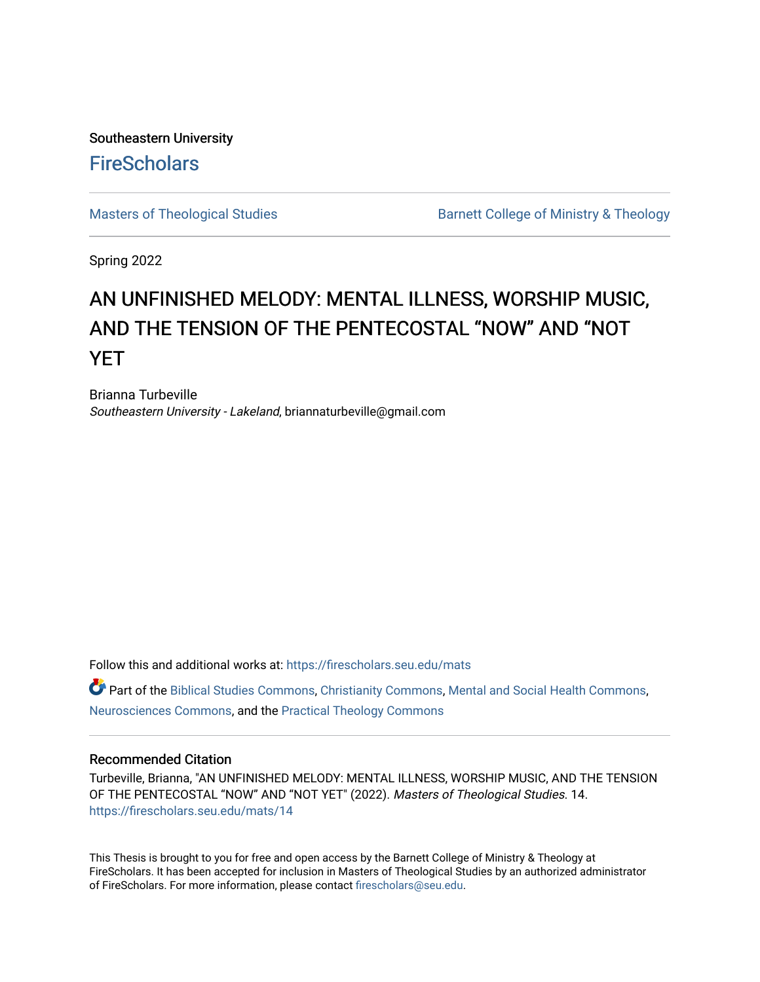Southeastern University **FireScholars** 

[Masters of Theological Studies](https://firescholars.seu.edu/mats) **Barnett College of Ministry & Theology** 

Spring 2022

# AN UNFINISHED MELODY: MENTAL ILLNESS, WORSHIP MUSIC, AND THE TENSION OF THE PENTECOSTAL "NOW" AND "NOT YET

Brianna Turbeville Southeastern University - Lakeland, briannaturbeville@gmail.com

Follow this and additional works at: [https://firescholars.seu.edu/mats](https://firescholars.seu.edu/mats?utm_source=firescholars.seu.edu%2Fmats%2F14&utm_medium=PDF&utm_campaign=PDFCoverPages) 

**P** Part of the [Biblical Studies Commons,](https://network.bepress.com/hgg/discipline/539?utm_source=firescholars.seu.edu%2Fmats%2F14&utm_medium=PDF&utm_campaign=PDFCoverPages) [Christianity Commons,](https://network.bepress.com/hgg/discipline/1181?utm_source=firescholars.seu.edu%2Fmats%2F14&utm_medium=PDF&utm_campaign=PDFCoverPages) [Mental and Social Health Commons,](https://network.bepress.com/hgg/discipline/709?utm_source=firescholars.seu.edu%2Fmats%2F14&utm_medium=PDF&utm_campaign=PDFCoverPages) [Neurosciences Commons,](https://network.bepress.com/hgg/discipline/1010?utm_source=firescholars.seu.edu%2Fmats%2F14&utm_medium=PDF&utm_campaign=PDFCoverPages) and the [Practical Theology Commons](https://network.bepress.com/hgg/discipline/1186?utm_source=firescholars.seu.edu%2Fmats%2F14&utm_medium=PDF&utm_campaign=PDFCoverPages) 

# Recommended Citation

Turbeville, Brianna, "AN UNFINISHED MELODY: MENTAL ILLNESS, WORSHIP MUSIC, AND THE TENSION OF THE PENTECOSTAL "NOW" AND "NOT YET" (2022). Masters of Theological Studies. 14. [https://firescholars.seu.edu/mats/14](https://firescholars.seu.edu/mats/14?utm_source=firescholars.seu.edu%2Fmats%2F14&utm_medium=PDF&utm_campaign=PDFCoverPages)

This Thesis is brought to you for free and open access by the Barnett College of Ministry & Theology at FireScholars. It has been accepted for inclusion in Masters of Theological Studies by an authorized administrator of FireScholars. For more information, please contact [firescholars@seu.edu](mailto:firescholars@seu.edu).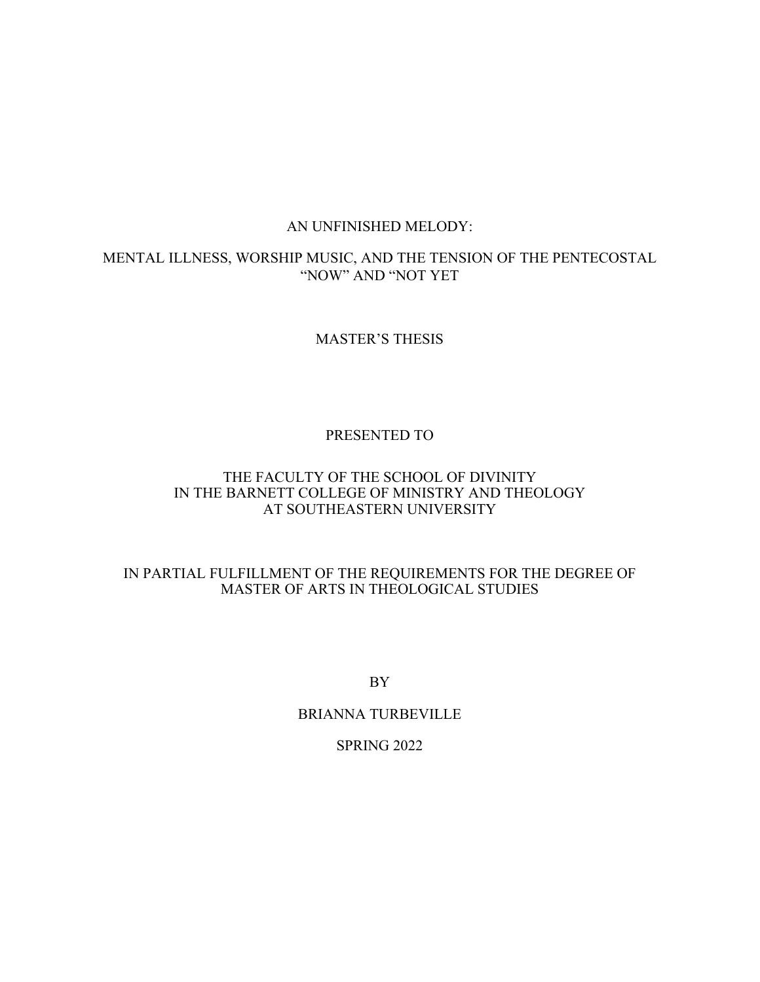# AN UNFINISHED MELODY:

# MENTAL ILLNESS, WORSHIP MUSIC, AND THE TENSION OF THE PENTECOSTAL "NOW" AND "NOT YET

# MASTER'S THESIS

# PRESENTED TO

# THE FACULTY OF THE SCHOOL OF DIVINITY IN THE BARNETT COLLEGE OF MINISTRY AND THEOLOGY AT SOUTHEASTERN UNIVERSITY

# IN PARTIAL FULFILLMENT OF THE REQUIREMENTS FOR THE DEGREE OF MASTER OF ARTS IN THEOLOGICAL STUDIES

BY

# BRIANNA TURBEVILLE

# SPRING 2022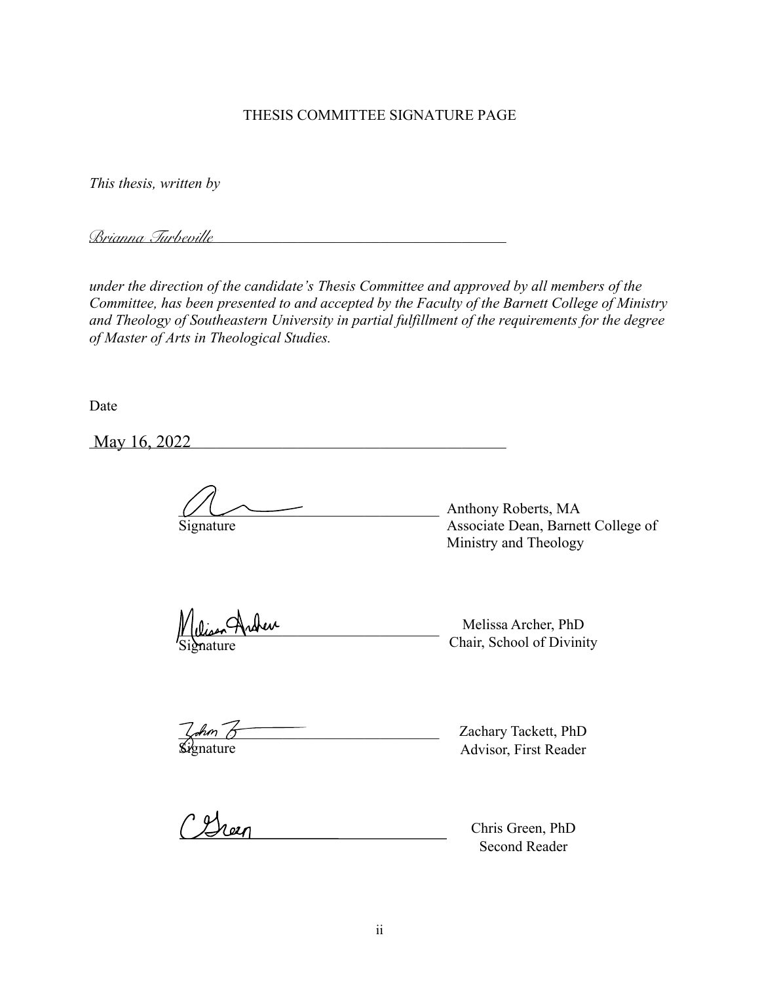# THESIS COMMITTEE SIGNATURE PAGE

*This thesis, written by*

\_\_\_\_\_\_\_\_\_\_\_\_\_\_\_\_\_\_\_\_\_\_\_\_\_\_\_\_\_\_\_\_\_\_\_\_\_\_\_\_\_\_\_\_\_\_\_\_\_\_\_\_\_\_\_\_ *Brianna Turbeville*

*under the direction of the candidate's Thesis Committee and approved by all members of the Committee, has been presented to and accepted by the Faculty of the Barnett College of Ministry and Theology of Southeastern University in partial fulfillment of the requirements for the degree of Master of Arts in Theological Studies.* 

Date

\_\_\_\_\_\_\_\_\_\_\_\_\_\_\_\_\_\_\_\_\_\_\_\_\_\_\_\_\_\_\_\_\_\_\_\_\_\_\_\_\_\_\_\_\_\_\_\_\_\_\_\_\_\_\_\_ May 16, 2022

\_\_\_\_\_\_\_\_\_\_\_\_\_\_\_\_\_\_\_\_\_\_\_\_\_\_\_\_\_\_\_\_\_\_\_ Anthony Roberts, MA Signature Associate Dean, Barnett College of Ministry and Theology

Disen Archen

Signature Chair, School of Divinity Melissa Archer, PhD

\_\_\_\_\_\_\_\_\_\_\_\_\_\_\_\_\_\_\_\_\_\_\_\_\_\_\_\_\_\_\_\_\_\_\_ Faculty Name, PhD Zachary Tackett, PhD

**Signature** Advisor, First Reader

CGreen

Chris Green, PhD Second Reader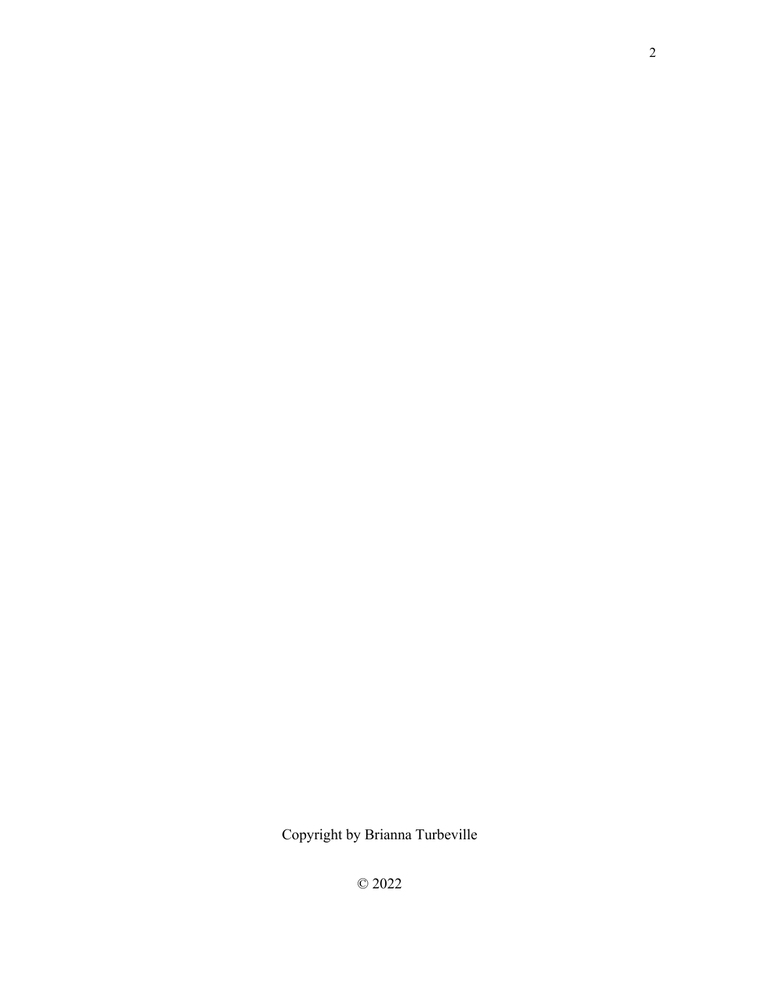Copyright by Brianna Turbeville

© 2022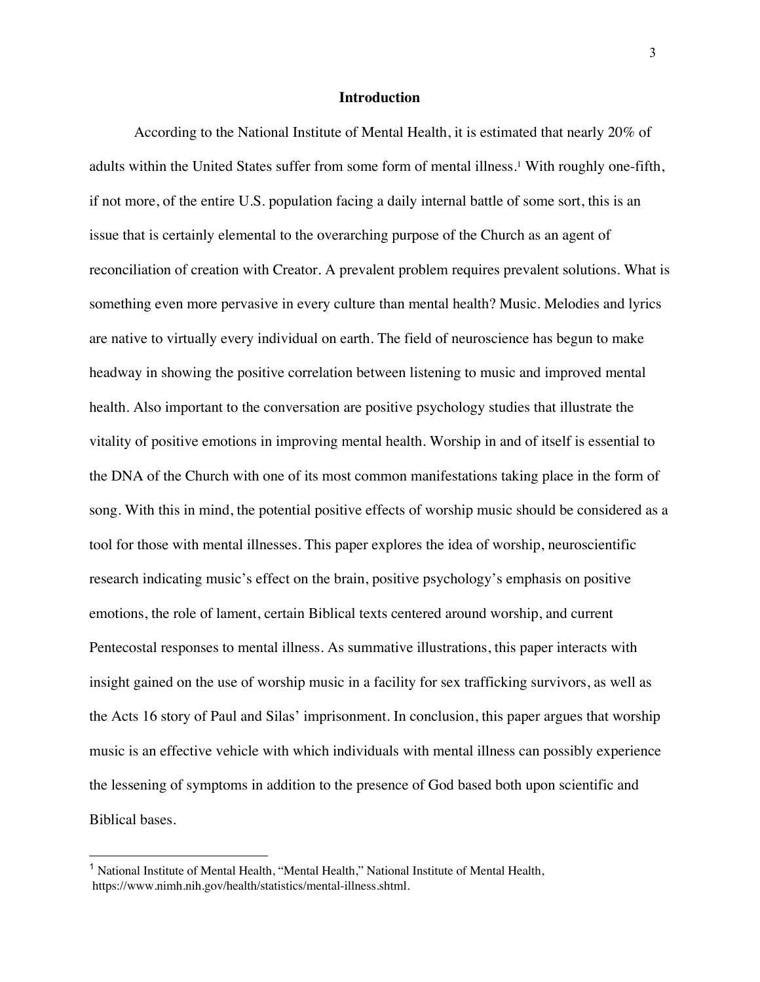# **Introduction**

According to the National Institute of Mental Health, it is estimated that nearly 20% of adults within the United States suffer from some form of mental illness.<sup>1</sup> With roughly one-fifth, if not more, of the entire U.S. population facing a daily internal battle of some sort, this is an issue that is certainly elemental to the overarching purpose of the Church as an agent of reconciliation of creation with Creator. A prevalent problem requires prevalent solutions. What is something even more pervasive in every culture than mental health? Music. Melodies and lyrics are native to virtually every individual on earth. The field of neuroscience has begun to make headway in showing the positive correlation between listening to music and improved mental health. Also important to the conversation are positive psychology studies that illustrate the vitality of positive emotions in improving mental health. Worship in and of itself is essential to the DNA of the Church with one of its most common manifestations taking place in the form of song. With this in mind, the potential positive effects of worship music should be considered as a tool for those with mental illnesses. This paper explores the idea of worship, neuroscientific research indicating music's effect on the brain, positive psychology's emphasis on positive emotions, the role of lament, certain Biblical texts centered around worship, and current Pentecostal responses to mental illness. As summative illustrations, this paper interacts with insight gained on the use of worship music in a facility for sex trafficking survivors, as well as the Acts 16 story of Paul and Silas' imprisonment. In conclusion, this paper argues that worship music is an effective vehicle with which individuals with mental illness can possibly experience the lessening of symptoms in addition to the presence of God based both upon scientific and Biblical bases.

<sup>1</sup> National Institute of Mental Health, "Mental Health," National Institute of Mental Health, https://www.nimh.nih.gov/health/statistics/mental-illness.shtml.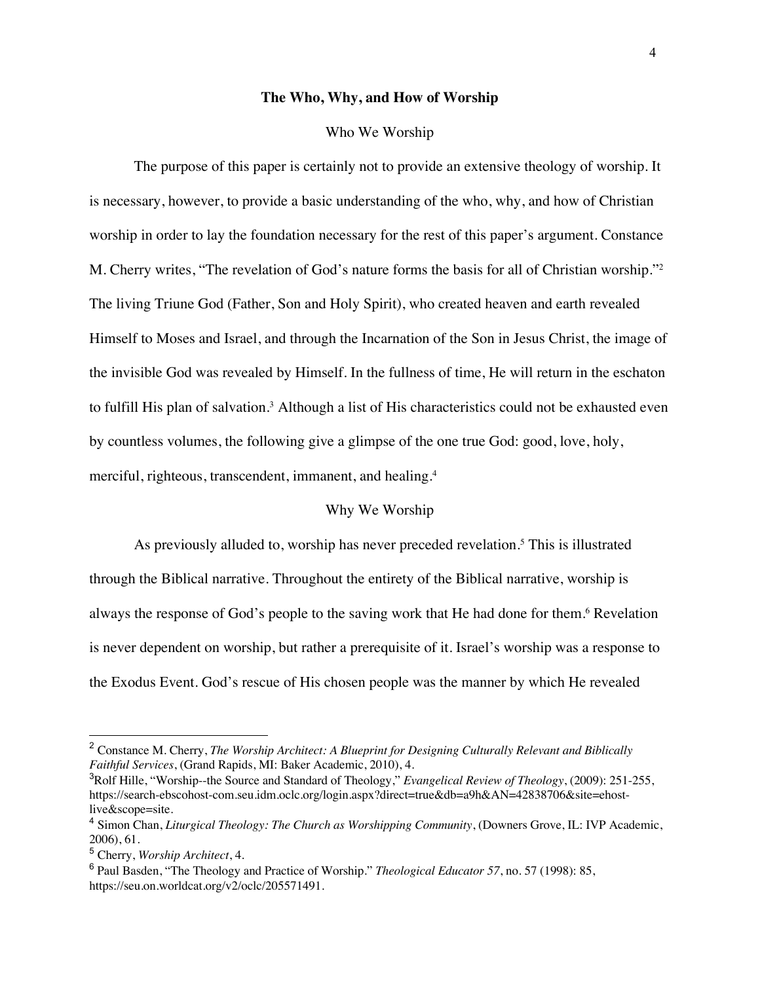#### **The Who, Why, and How of Worship**

#### Who We Worship

The purpose of this paper is certainly not to provide an extensive theology of worship. It is necessary, however, to provide a basic understanding of the who, why, and how of Christian worship in order to lay the foundation necessary for the rest of this paper's argument. Constance M. Cherry writes, "The revelation of God's nature forms the basis for all of Christian worship."2 The living Triune God (Father, Son and Holy Spirit), who created heaven and earth revealed Himself to Moses and Israel, and through the Incarnation of the Son in Jesus Christ, the image of the invisible God was revealed by Himself. In the fullness of time, He will return in the eschaton to fulfill His plan of salvation.<sup>3</sup> Although a list of His characteristics could not be exhausted even by countless volumes, the following give a glimpse of the one true God: good, love, holy, merciful, righteous, transcendent, immanent, and healing.4

# Why We Worship

As previously alluded to, worship has never preceded revelation.<sup>5</sup> This is illustrated through the Biblical narrative. Throughout the entirety of the Biblical narrative, worship is always the response of God's people to the saving work that He had done for them.<sup>6</sup> Revelation is never dependent on worship, but rather a prerequisite of it. Israel's worship was a response to the Exodus Event. God's rescue of His chosen people was the manner by which He revealed

<sup>2</sup> Constance M. Cherry, *The Worship Architect: A Blueprint for Designing Culturally Relevant and Biblically Faithful Services*, (Grand Rapids, MI: Baker Academic, 2010), 4.

<sup>3</sup> Rolf Hille, "Worship--the Source and Standard of Theology," *Evangelical Review of Theology*, (2009): 251-255, https://search-ebscohost-com.seu.idm.oclc.org/login.aspx?direct=true&db=a9h&AN=42838706&site=ehostlive&scope=site.

<sup>4</sup> Simon Chan, *Liturgical Theology: The Church as Worshipping Community*, (Downers Grove, IL: IVP Academic, 2006), 61.

<sup>5</sup> Cherry, *Worship Architect*, 4.

<sup>6</sup> Paul Basden, "The Theology and Practice of Worship." *Theological Educator 57*, no. 57 (1998): 85, https://seu.on.worldcat.org/v2/oclc/205571491.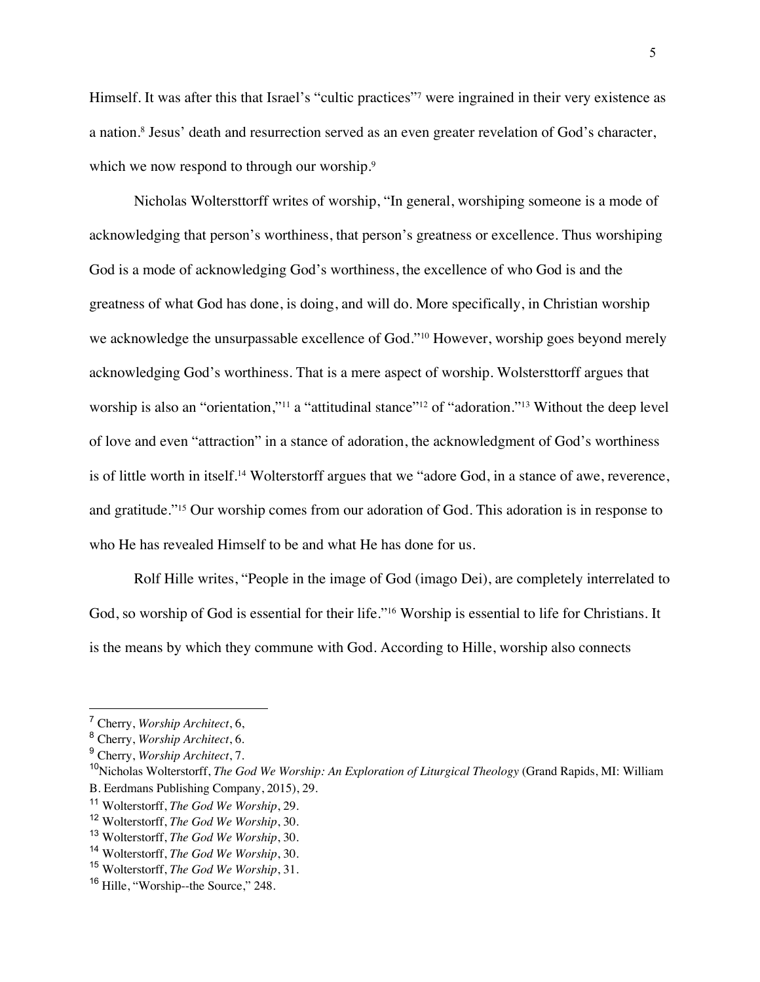Himself. It was after this that Israel's "cultic practices"7 were ingrained in their very existence as a nation.8 Jesus' death and resurrection served as an even greater revelation of God's character, which we now respond to through our worship.<sup>9</sup>

Nicholas Woltersttorff writes of worship, "In general, worshiping someone is a mode of acknowledging that person's worthiness, that person's greatness or excellence. Thus worshiping God is a mode of acknowledging God's worthiness, the excellence of who God is and the greatness of what God has done, is doing, and will do. More specifically, in Christian worship we acknowledge the unsurpassable excellence of God."10 However, worship goes beyond merely acknowledging God's worthiness. That is a mere aspect of worship. Wolstersttorff argues that worship is also an "orientation,"<sup>11</sup> a "attitudinal stance"<sup>12</sup> of "adoration."<sup>13</sup> Without the deep level of love and even "attraction" in a stance of adoration, the acknowledgment of God's worthiness is of little worth in itself.14 Wolterstorff argues that we "adore God, in a stance of awe, reverence, and gratitude."15 Our worship comes from our adoration of God. This adoration is in response to who He has revealed Himself to be and what He has done for us.

Rolf Hille writes, "People in the image of God (imago Dei), are completely interrelated to God, so worship of God is essential for their life."16 Worship is essential to life for Christians. It is the means by which they commune with God. According to Hille, worship also connects

<sup>7</sup> Cherry, *Worship Architect*, 6,

<sup>8</sup> Cherry, *Worship Architect*, 6.

<sup>9</sup> Cherry, *Worship Architect*, 7.

<sup>&</sup>lt;sup>10</sup>Nicholas Wolterstorff, *The God We Worship: An Exploration of Liturgical Theology* (Grand Rapids, MI: William B. Eerdmans Publishing Company, 2015), 29.

<sup>11</sup> Wolterstorff, *The God We Worship*, 29.

<sup>12</sup> Wolterstorff, *The God We Worship*, 30.

<sup>13</sup> Wolterstorff, *The God We Worship*, 30.

<sup>14</sup> Wolterstorff, *The God We Worship*, 30.

<sup>15</sup> Wolterstorff, *The God We Worship*, 31.

<sup>&</sup>lt;sup>16</sup> Hille, "Worship--the Source," 248.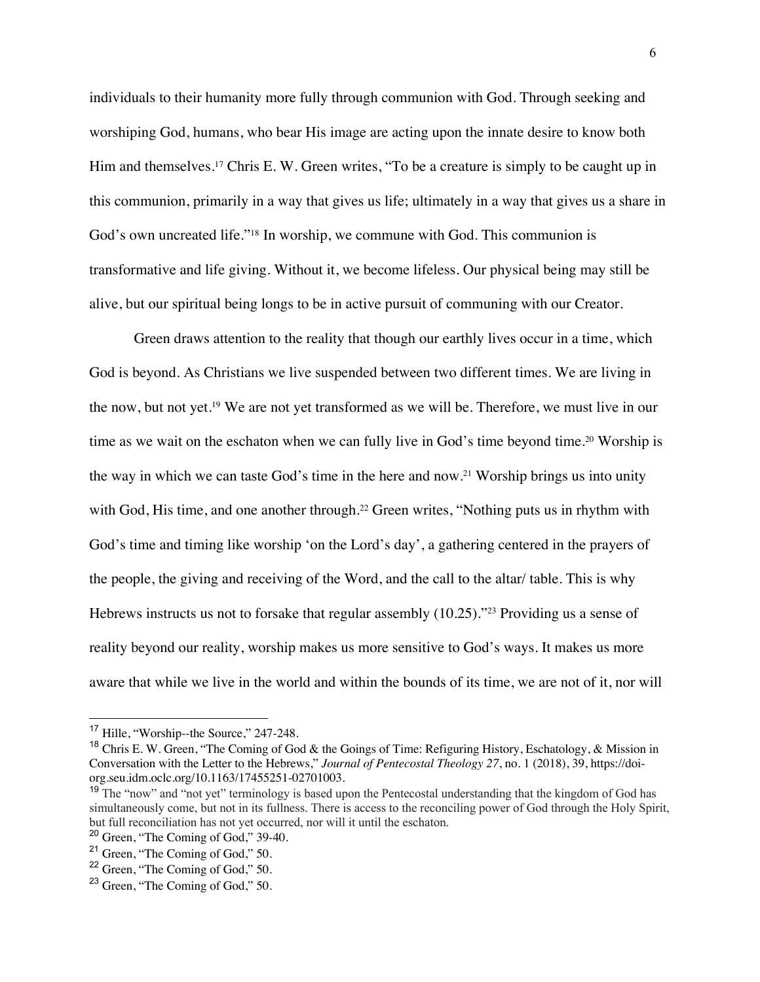individuals to their humanity more fully through communion with God. Through seeking and worshiping God, humans, who bear His image are acting upon the innate desire to know both Him and themselves.<sup>17</sup> Chris E. W. Green writes, "To be a creature is simply to be caught up in this communion, primarily in a way that gives us life; ultimately in a way that gives us a share in God's own uncreated life."<sup>18</sup> In worship, we commune with God. This communion is transformative and life giving. Without it, we become lifeless. Our physical being may still be alive, but our spiritual being longs to be in active pursuit of communing with our Creator.

Green draws attention to the reality that though our earthly lives occur in a time, which God is beyond. As Christians we live suspended between two different times. We are living in the now, but not yet.19 We are not yet transformed as we will be. Therefore, we must live in our time as we wait on the eschaton when we can fully live in God's time beyond time.<sup>20</sup> Worship is the way in which we can taste God's time in the here and now.21 Worship brings us into unity with God, His time, and one another through.<sup>22</sup> Green writes, "Nothing puts us in rhythm with God's time and timing like worship 'on the Lord's day', a gathering centered in the prayers of the people, the giving and receiving of the Word, and the call to the altar/ table. This is why Hebrews instructs us not to forsake that regular assembly (10.25)."<sup>23</sup> Providing us a sense of reality beyond our reality, worship makes us more sensitive to God's ways. It makes us more aware that while we live in the world and within the bounds of its time, we are not of it, nor will

<sup>&</sup>lt;sup>17</sup> Hille, "Worship--the Source," 247-248.

<sup>&</sup>lt;sup>18</sup> Chris E. W. Green, "The Coming of God & the Goings of Time: Refiguring History, Eschatology, & Mission in Conversation with the Letter to the Hebrews," *Journal of Pentecostal Theology 27*, no. 1 (2018), 39, https://doiorg.seu.idm.oclc.org/10.1163/17455251-02701003.

<sup>&</sup>lt;sup>19</sup> The "now" and "not yet" terminology is based upon the Pentecostal understanding that the kingdom of God has simultaneously come, but not in its fullness. There is access to the reconciling power of God through the Holy Spirit, but full reconciliation has not yet occurred, nor will it until the eschaton.

 $20$  Green, "The Coming of God," 39-40.

<sup>&</sup>lt;sup>21</sup> Green, "The Coming of God," 50.

<sup>&</sup>lt;sup>22</sup> Green, "The Coming of God," 50.

<sup>&</sup>lt;sup>23</sup> Green, "The Coming of God," 50.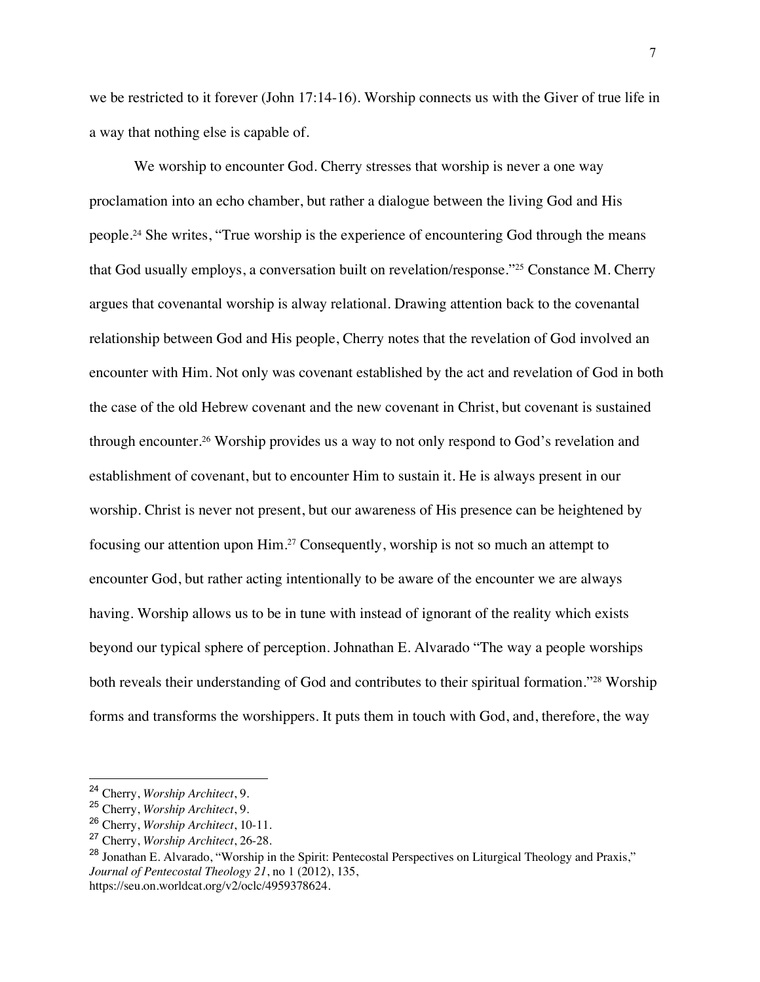we be restricted to it forever (John 17:14-16). Worship connects us with the Giver of true life in a way that nothing else is capable of.

We worship to encounter God. Cherry stresses that worship is never a one way proclamation into an echo chamber, but rather a dialogue between the living God and His people.24 She writes, "True worship is the experience of encountering God through the means that God usually employs, a conversation built on revelation/response."25 Constance M. Cherry argues that covenantal worship is alway relational. Drawing attention back to the covenantal relationship between God and His people, Cherry notes that the revelation of God involved an encounter with Him. Not only was covenant established by the act and revelation of God in both the case of the old Hebrew covenant and the new covenant in Christ, but covenant is sustained through encounter.26 Worship provides us a way to not only respond to God's revelation and establishment of covenant, but to encounter Him to sustain it. He is always present in our worship. Christ is never not present, but our awareness of His presence can be heightened by focusing our attention upon Him.27 Consequently, worship is not so much an attempt to encounter God, but rather acting intentionally to be aware of the encounter we are always having. Worship allows us to be in tune with instead of ignorant of the reality which exists beyond our typical sphere of perception. Johnathan E. Alvarado "The way a people worships both reveals their understanding of God and contributes to their spiritual formation."<sup>28</sup> Worship forms and transforms the worshippers. It puts them in touch with God, and, therefore, the way

<sup>24</sup> Cherry, *Worship Architect*, 9.

<sup>25</sup> Cherry, *Worship Architect*, 9.

<sup>26</sup> Cherry, *Worship Architect*, 10-11.

<sup>27</sup> Cherry, *Worship Architect*, 26-28.

<sup>&</sup>lt;sup>28</sup> Jonathan E. Alvarado, "Worship in the Spirit: Pentecostal Perspectives on Liturgical Theology and Praxis," *Journal of Pentecostal Theology 21*, no 1 (2012), 135, https://seu.on.worldcat.org/v2/oclc/4959378624.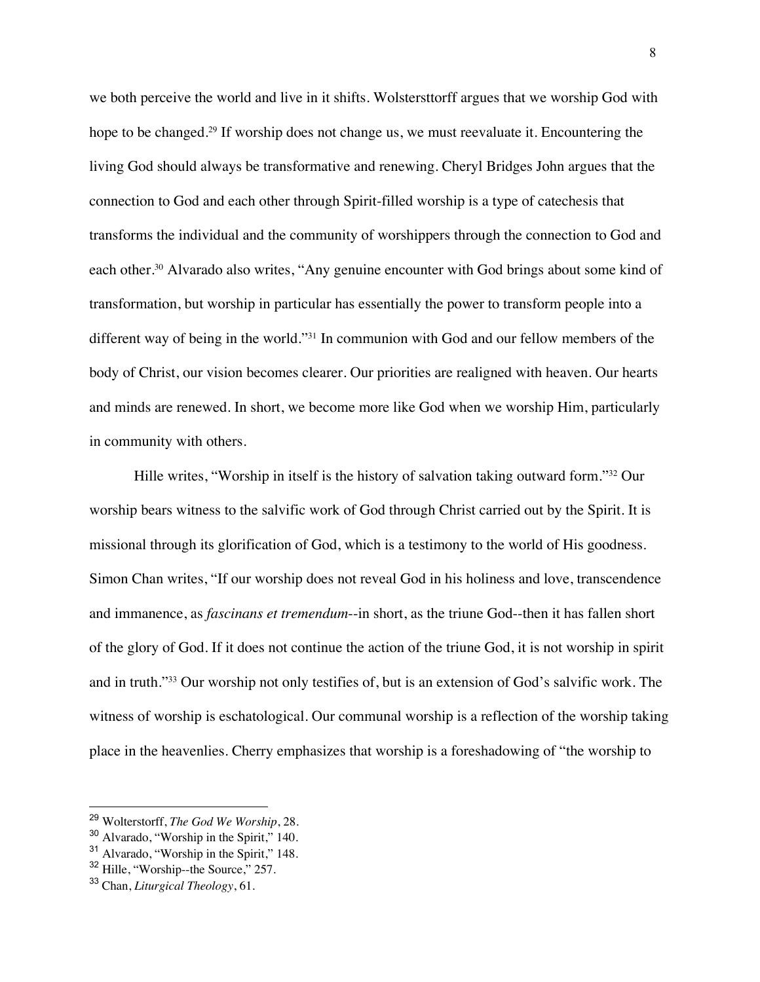we both perceive the world and live in it shifts. Wolstersttorff argues that we worship God with hope to be changed.<sup>29</sup> If worship does not change us, we must reevaluate it. Encountering the living God should always be transformative and renewing. Cheryl Bridges John argues that the connection to God and each other through Spirit-filled worship is a type of catechesis that transforms the individual and the community of worshippers through the connection to God and each other.<sup>30</sup> Alvarado also writes, "Any genuine encounter with God brings about some kind of transformation, but worship in particular has essentially the power to transform people into a different way of being in the world."31 In communion with God and our fellow members of the body of Christ, our vision becomes clearer. Our priorities are realigned with heaven. Our hearts and minds are renewed. In short, we become more like God when we worship Him, particularly in community with others.

Hille writes, "Worship in itself is the history of salvation taking outward form."<sup>32</sup> Our worship bears witness to the salvific work of God through Christ carried out by the Spirit. It is missional through its glorification of God, which is a testimony to the world of His goodness. Simon Chan writes, "If our worship does not reveal God in his holiness and love, transcendence and immanence, as *fascinans et tremendum*--in short, as the triune God--then it has fallen short of the glory of God. If it does not continue the action of the triune God, it is not worship in spirit and in truth."33 Our worship not only testifies of, but is an extension of God's salvific work. The witness of worship is eschatological. Our communal worship is a reflection of the worship taking place in the heavenlies. Cherry emphasizes that worship is a foreshadowing of "the worship to

<sup>29</sup> Wolterstorff, *The God We Worship*, 28.

<sup>30</sup> Alvarado, "Worship in the Spirit," 140.

<sup>31</sup> Alvarado, "Worship in the Spirit," 148.

<sup>&</sup>lt;sup>32</sup> Hille, "Worship--the Source," 257.

<sup>33</sup> Chan, *Liturgical Theology*, 61.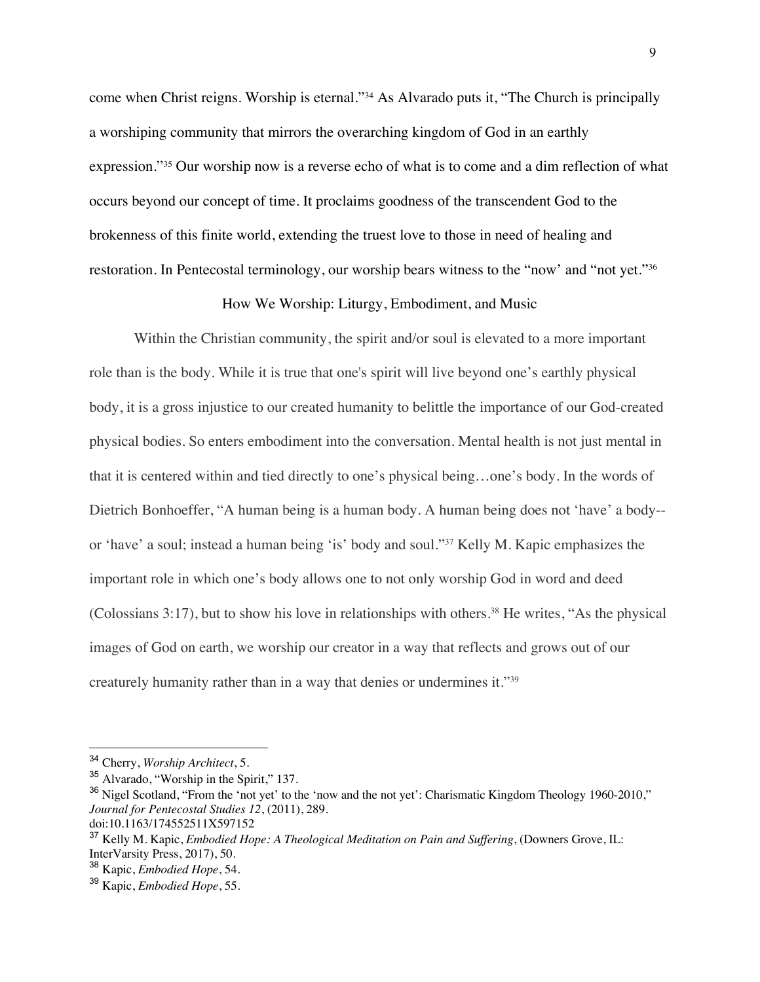come when Christ reigns. Worship is eternal."34 As Alvarado puts it, "The Church is principally a worshiping community that mirrors the overarching kingdom of God in an earthly expression."35 Our worship now is a reverse echo of what is to come and a dim reflection of what occurs beyond our concept of time. It proclaims goodness of the transcendent God to the brokenness of this finite world, extending the truest love to those in need of healing and restoration. In Pentecostal terminology, our worship bears witness to the "now' and "not yet."36

### How We Worship: Liturgy, Embodiment, and Music

Within the Christian community, the spirit and/or soul is elevated to a more important role than is the body. While it is true that one's spirit will live beyond one's earthly physical body, it is a gross injustice to our created humanity to belittle the importance of our God-created physical bodies. So enters embodiment into the conversation. Mental health is not just mental in that it is centered within and tied directly to one's physical being…one's body. In the words of Dietrich Bonhoeffer, "A human being is a human body. A human being does not 'have' a body- or 'have' a soul; instead a human being 'is' body and soul."37 Kelly M. Kapic emphasizes the important role in which one's body allows one to not only worship God in word and deed (Colossians 3:17), but to show his love in relationships with others.<sup>38</sup> He writes, "As the physical images of God on earth, we worship our creator in a way that reflects and grows out of our creaturely humanity rather than in a way that denies or undermines it."39

<sup>34</sup> Cherry, *Worship Architect*, 5.

<sup>35</sup> Alvarado, "Worship in the Spirit," 137.

<sup>&</sup>lt;sup>36</sup> Nigel Scotland, "From the 'not yet' to the 'now and the not yet': Charismatic Kingdom Theology 1960-2010," *Journal for Pentecostal Studies 12*, (2011), 289.

doi:10.1163/174552511X597152

<sup>37</sup> Kelly M. Kapic, *Embodied Hope: A Theological Meditation on Pain and Suffering*, (Downers Grove, IL: InterVarsity Press, 2017), 50.

<sup>38</sup> Kapic, *Embodied Hope*, 54.

<sup>39</sup> Kapic, *Embodied Hope*, 55.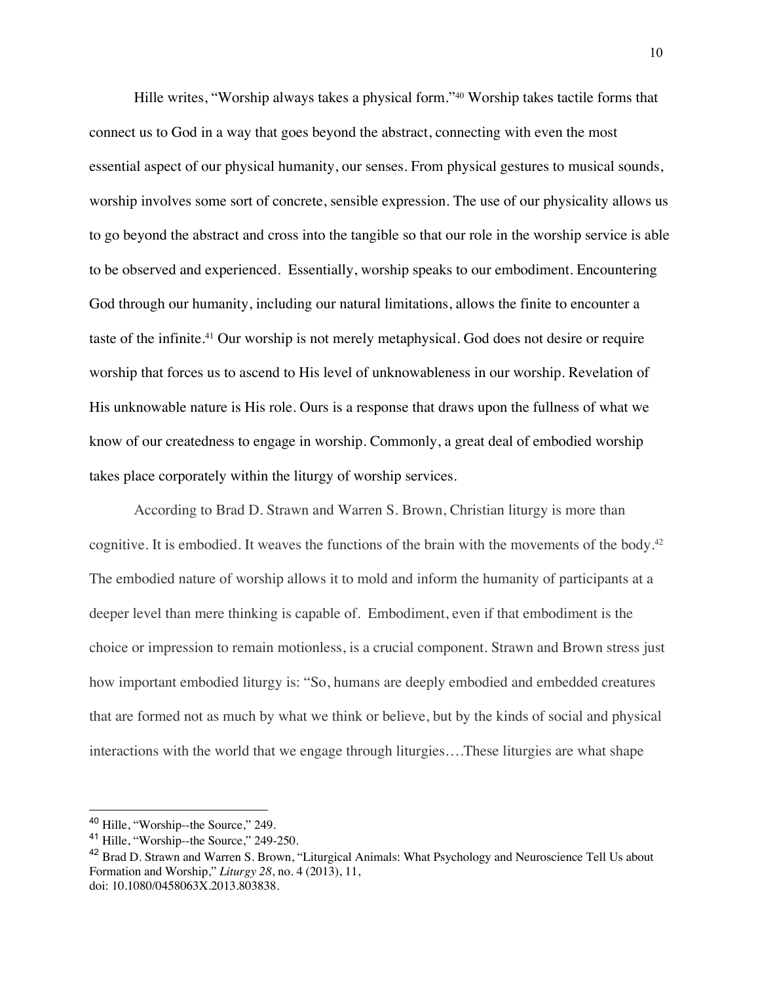Hille writes, "Worship always takes a physical form."40 Worship takes tactile forms that connect us to God in a way that goes beyond the abstract, connecting with even the most essential aspect of our physical humanity, our senses. From physical gestures to musical sounds, worship involves some sort of concrete, sensible expression. The use of our physicality allows us to go beyond the abstract and cross into the tangible so that our role in the worship service is able to be observed and experienced. Essentially, worship speaks to our embodiment. Encountering God through our humanity, including our natural limitations, allows the finite to encounter a taste of the infinite.<sup>41</sup> Our worship is not merely metaphysical. God does not desire or require worship that forces us to ascend to His level of unknowableness in our worship. Revelation of His unknowable nature is His role. Ours is a response that draws upon the fullness of what we know of our createdness to engage in worship. Commonly, a great deal of embodied worship takes place corporately within the liturgy of worship services.

According to Brad D. Strawn and Warren S. Brown, Christian liturgy is more than cognitive. It is embodied. It weaves the functions of the brain with the movements of the body.<sup>42</sup> The embodied nature of worship allows it to mold and inform the humanity of participants at a deeper level than mere thinking is capable of. Embodiment, even if that embodiment is the choice or impression to remain motionless, is a crucial component. Strawn and Brown stress just how important embodied liturgy is: "So, humans are deeply embodied and embedded creatures that are formed not as much by what we think or believe, but by the kinds of social and physical interactions with the world that we engage through liturgies….These liturgies are what shape

<sup>&</sup>lt;sup>40</sup> Hille, "Worship--the Source," 249.

<sup>&</sup>lt;sup>41</sup> Hille, "Worship--the Source," 249-250.

<sup>&</sup>lt;sup>42</sup> Brad D. Strawn and Warren S. Brown, "Liturgical Animals: What Psychology and Neuroscience Tell Us about Formation and Worship," *Liturgy 28*, no. 4 (2013), 11, doi: 10.1080/0458063X.2013.803838.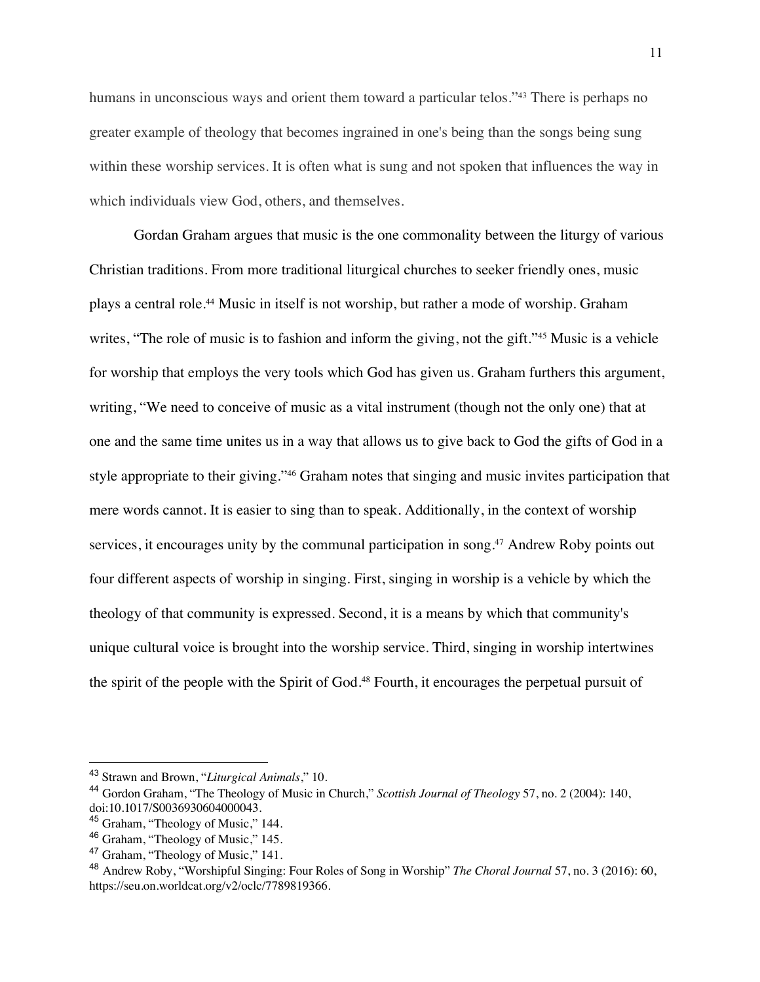humans in unconscious ways and orient them toward a particular telos."<sup>43</sup> There is perhaps no greater example of theology that becomes ingrained in one's being than the songs being sung within these worship services. It is often what is sung and not spoken that influences the way in which individuals view God, others, and themselves.

Gordan Graham argues that music is the one commonality between the liturgy of various Christian traditions. From more traditional liturgical churches to seeker friendly ones, music plays a central role.44 Music in itself is not worship, but rather a mode of worship. Graham writes, "The role of music is to fashion and inform the giving, not the gift."<sup>45</sup> Music is a vehicle for worship that employs the very tools which God has given us. Graham furthers this argument, writing, "We need to conceive of music as a vital instrument (though not the only one) that at one and the same time unites us in a way that allows us to give back to God the gifts of God in a style appropriate to their giving."46 Graham notes that singing and music invites participation that mere words cannot. It is easier to sing than to speak. Additionally, in the context of worship services, it encourages unity by the communal participation in song.<sup>47</sup> Andrew Roby points out four different aspects of worship in singing. First, singing in worship is a vehicle by which the theology of that community is expressed. Second, it is a means by which that community's unique cultural voice is brought into the worship service. Third, singing in worship intertwines the spirit of the people with the Spirit of God.<sup>48</sup> Fourth, it encourages the perpetual pursuit of

<sup>43</sup> Strawn and Brown, "*Liturgical Animals*," 10.

<sup>44</sup> Gordon Graham, "The Theology of Music in Church," *Scottish Journal of Theology* 57, no. 2 (2004): 140, doi:10.1017/S0036930604000043.

<sup>&</sup>lt;sup>45</sup> Graham, "Theology of Music," 144.

<sup>46</sup> Graham, "Theology of Music," 145.

<sup>&</sup>lt;sup>47</sup> Graham, "Theology of Music," 141.

<sup>48</sup> Andrew Roby, "Worshipful Singing: Four Roles of Song in Worship" *The Choral Journal* 57, no. 3 (2016): 60, https://seu.on.worldcat.org/v2/oclc/7789819366.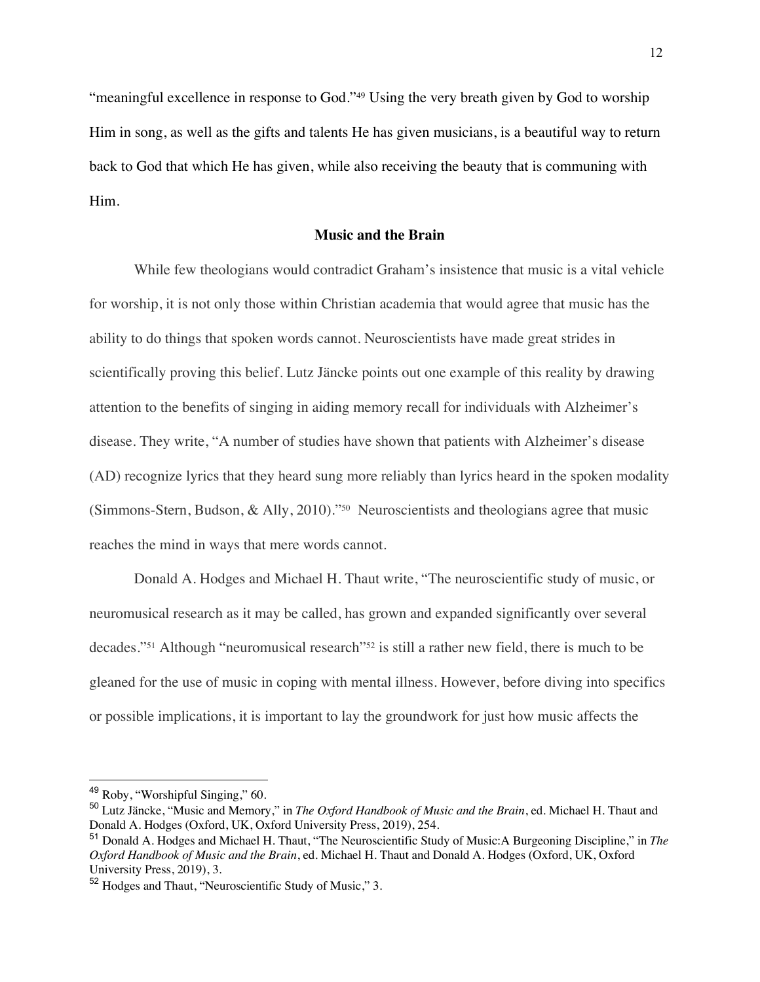"meaningful excellence in response to God."49 Using the very breath given by God to worship Him in song, as well as the gifts and talents He has given musicians, is a beautiful way to return back to God that which He has given, while also receiving the beauty that is communing with Him.

# **Music and the Brain**

While few theologians would contradict Graham's insistence that music is a vital vehicle for worship, it is not only those within Christian academia that would agree that music has the ability to do things that spoken words cannot. Neuroscientists have made great strides in scientifically proving this belief. Lutz Jäncke points out one example of this reality by drawing attention to the benefits of singing in aiding memory recall for individuals with Alzheimer's disease. They write, "A number of studies have shown that patients with Alzheimer's disease (AD) recognize lyrics that they heard sung more reliably than lyrics heard in the spoken modality (Simmons-Stern, Budson, & Ally, 2010)."50 Neuroscientists and theologians agree that music reaches the mind in ways that mere words cannot.

Donald A. Hodges and Michael H. Thaut write, "The neuroscientific study of music, or neuromusical research as it may be called, has grown and expanded significantly over several decades."51 Although "neuromusical research"52 is still a rather new field, there is much to be gleaned for the use of music in coping with mental illness. However, before diving into specifics or possible implications, it is important to lay the groundwork for just how music affects the

<sup>49</sup> Roby, "Worshipful Singing," 60.

<sup>50</sup> Lutz Jäncke, "Music and Memory," in *The Oxford Handbook of Music and the Brain*, ed. Michael H. Thaut and Donald A. Hodges (Oxford, UK, Oxford University Press, 2019), 254.

<sup>51</sup> Donald A. Hodges and Michael H. Thaut, "The Neuroscientific Study of Music:A Burgeoning Discipline," in *The Oxford Handbook of Music and the Brain*, ed. Michael H. Thaut and Donald A. Hodges (Oxford, UK, Oxford University Press, 2019), 3.

<sup>52</sup> Hodges and Thaut, "Neuroscientific Study of Music," 3.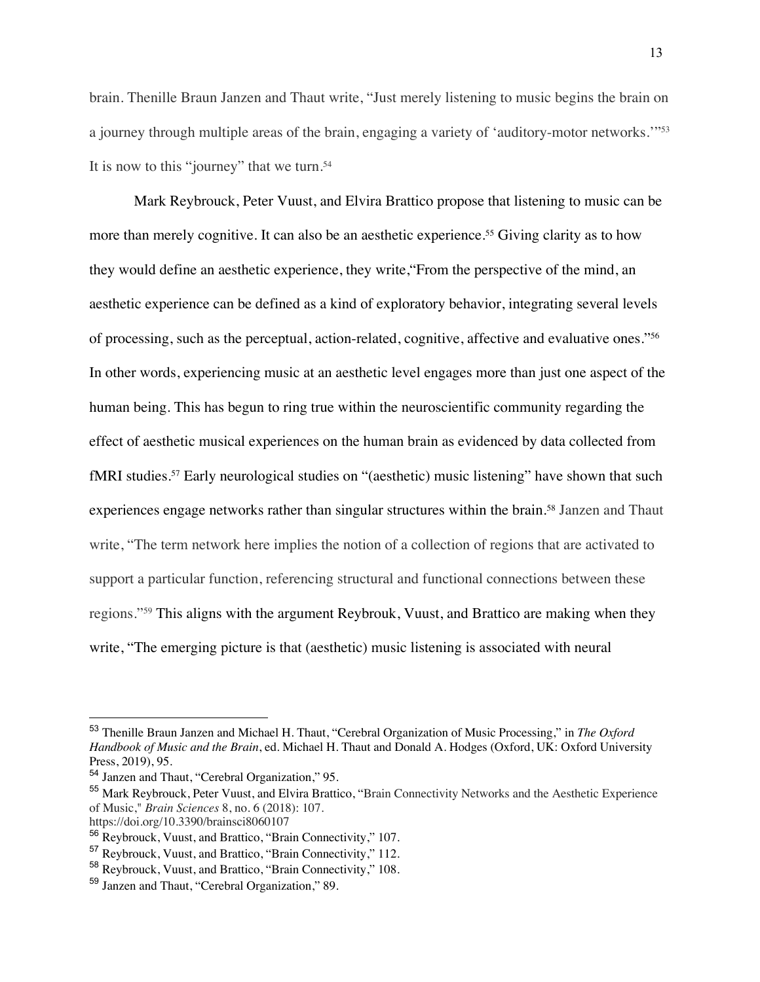brain. Thenille Braun Janzen and Thaut write, "Just merely listening to music begins the brain on a journey through multiple areas of the brain, engaging a variety of 'auditory-motor networks.'"53 It is now to this "journey" that we turn.<sup>54</sup>

Mark Reybrouck, Peter Vuust, and Elvira Brattico propose that listening to music can be more than merely cognitive. It can also be an aesthetic experience.<sup>55</sup> Giving clarity as to how they would define an aesthetic experience, they write,"From the perspective of the mind, an aesthetic experience can be defined as a kind of exploratory behavior, integrating several levels of processing, such as the perceptual, action-related, cognitive, affective and evaluative ones."56 In other words, experiencing music at an aesthetic level engages more than just one aspect of the human being. This has begun to ring true within the neuroscientific community regarding the effect of aesthetic musical experiences on the human brain as evidenced by data collected from fMRI studies.57 Early neurological studies on "(aesthetic) music listening" have shown that such experiences engage networks rather than singular structures within the brain.<sup>58</sup> Janzen and Thaut write, "The term network here implies the notion of a collection of regions that are activated to support a particular function, referencing structural and functional connections between these regions."59 This aligns with the argument Reybrouk, Vuust, and Brattico are making when they write, "The emerging picture is that (aesthetic) music listening is associated with neural

<sup>53</sup> Thenille Braun Janzen and Michael H. Thaut, "Cerebral Organization of Music Processing," in *The Oxford Handbook of Music and the Brain*, ed. Michael H. Thaut and Donald A. Hodges (Oxford, UK: Oxford University Press, 2019), 95.

<sup>54</sup> Janzen and Thaut, "Cerebral Organization," 95.

<sup>55</sup> Mark Reybrouck, Peter Vuust, and Elvira Brattico, "Brain Connectivity Networks and the Aesthetic Experience of Music," *Brain Sciences* 8, no. 6 (2018): 107.

https://doi.org/10.3390/brainsci8060107

<sup>56</sup> Reybrouck, Vuust, and Brattico, "Brain Connectivity," 107.

<sup>57</sup> Reybrouck, Vuust, and Brattico, "Brain Connectivity," 112.

<sup>58</sup> Reybrouck, Vuust, and Brattico, "Brain Connectivity," 108.

<sup>59</sup> Janzen and Thaut, "Cerebral Organization," 89.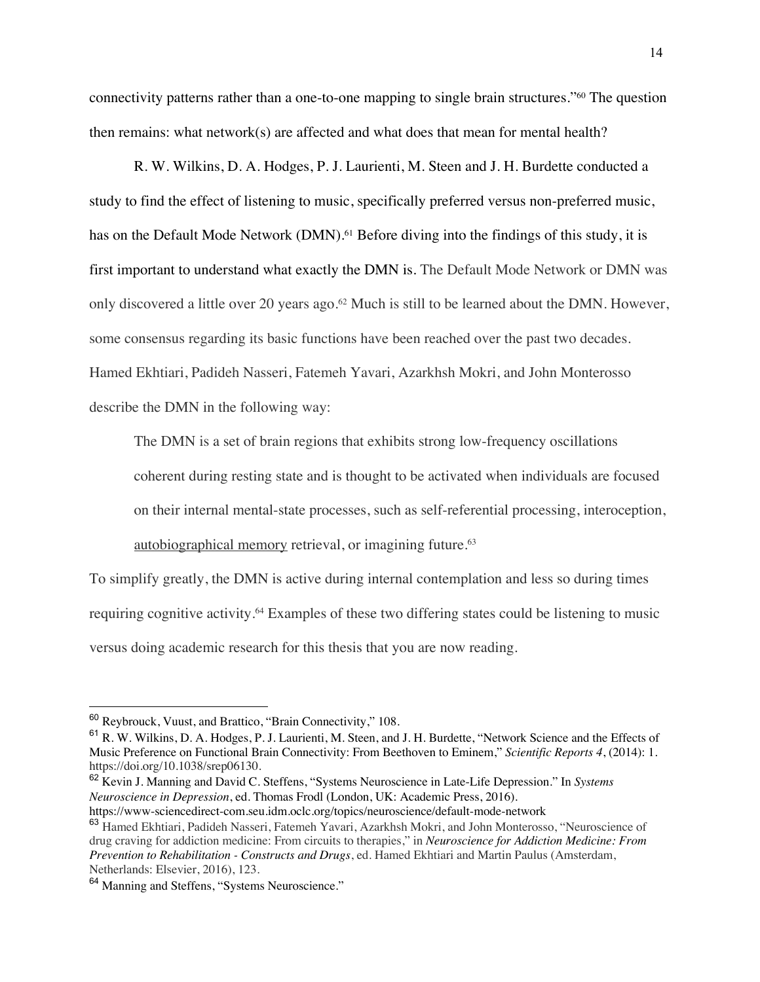connectivity patterns rather than a one-to-one mapping to single brain structures."60 The question then remains: what network $(s)$  are affected and what does that mean for mental health?

R. W. Wilkins, D. A. Hodges, P. J. Laurienti, M. Steen and J. H. Burdette conducted a study to find the effect of listening to music, specifically preferred versus non-preferred music, has on the Default Mode Network (DMN).<sup>61</sup> Before diving into the findings of this study, it is first important to understand what exactly the DMN is. The Default Mode Network or DMN was only discovered a little over 20 years ago.<sup>62</sup> Much is still to be learned about the DMN. However, some consensus regarding its basic functions have been reached over the past two decades. Hamed Ekhtiari, Padideh Nasseri, Fatemeh Yavari, Azarkhsh Mokri, and John Monterosso describe the DMN in the following way:

The DMN is a set of brain regions that exhibits strong low-frequency oscillations

coherent during resting state and is thought to be activated when individuals are focused

on their internal mental-state processes, such as self-referential processing, interoception,

autobiographical memory retrieval, or imagining future.<sup>63</sup>

To simplify greatly, the DMN is active during internal contemplation and less so during times requiring cognitive activity.<sup>64</sup> Examples of these two differing states could be listening to music versus doing academic research for this thesis that you are now reading.

<sup>62</sup> Kevin J. Manning and David C. Steffens, "Systems Neuroscience in Late-Life Depression." In *Systems Neuroscience in Depression*, ed. Thomas Frodl (London, UK: Academic Press, 2016).

<sup>60</sup> Reybrouck, Vuust, and Brattico, "Brain Connectivity," 108.

<sup>&</sup>lt;sup>61</sup> R. W. Wilkins, D. A. Hodges, P. J. Laurienti, M. Steen, and J. H. Burdette, "Network Science and the Effects of Music Preference on Functional Brain Connectivity: From Beethoven to Eminem," *Scientific Reports 4*, (2014): 1. https://doi.org/10.1038/srep06130.

https://www-sciencedirect-com.seu.idm.oclc.org/topics/neuroscience/default-mode-network

<sup>63</sup> Hamed Ekhtiari, Padideh Nasseri, Fatemeh Yavari, Azarkhsh Mokri, and John Monterosso, "Neuroscience of drug craving for addiction medicine: From circuits to therapies," in *Neuroscience for Addiction Medicine: From Prevention to Rehabilitation - Constructs and Drugs*, ed. Hamed Ekhtiari and Martin Paulus (Amsterdam, Netherlands: Elsevier, 2016), 123.

<sup>&</sup>lt;sup>64</sup> Manning and Steffens, "Systems Neuroscience."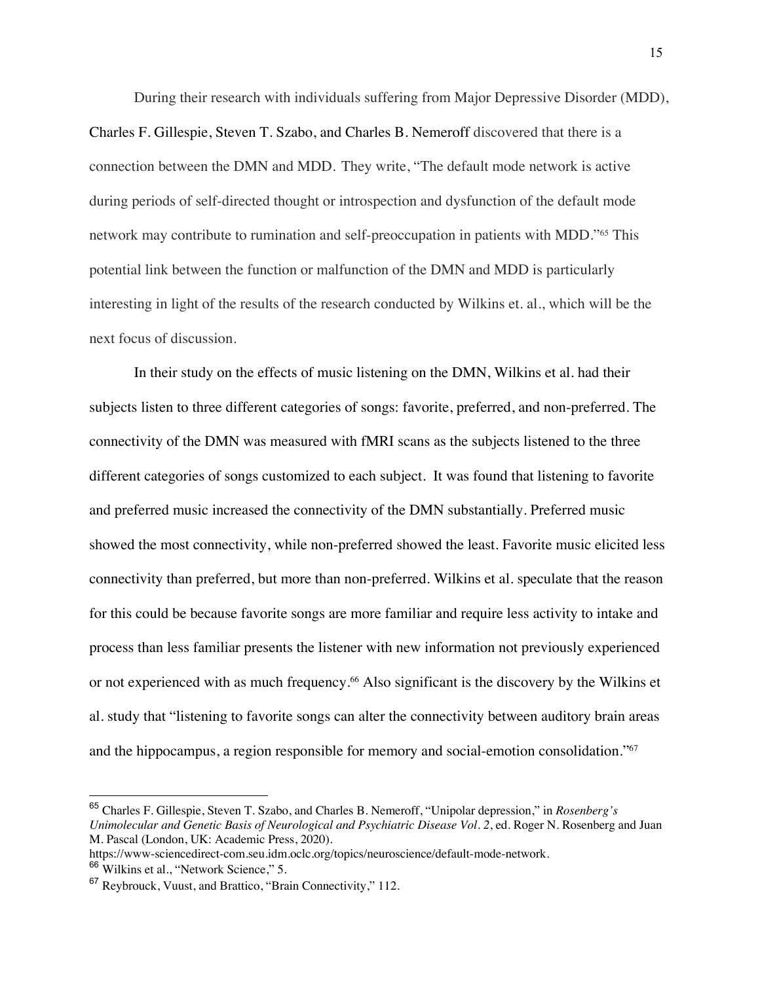During their research with individuals suffering from Major Depressive Disorder (MDD), Charles F. Gillespie, Steven T. Szabo, and Charles B. Nemeroff discovered that there is a connection between the DMN and MDD. They write, "The default mode network is active during periods of self-directed thought or introspection and dysfunction of the default mode network may contribute to rumination and self-preoccupation in patients with MDD."65 This potential link between the function or malfunction of the DMN and MDD is particularly interesting in light of the results of the research conducted by Wilkins et. al., which will be the next focus of discussion.

In their study on the effects of music listening on the DMN, Wilkins et al. had their subjects listen to three different categories of songs: favorite, preferred, and non-preferred. The connectivity of the DMN was measured with fMRI scans as the subjects listened to the three different categories of songs customized to each subject. It was found that listening to favorite and preferred music increased the connectivity of the DMN substantially. Preferred music showed the most connectivity, while non-preferred showed the least. Favorite music elicited less connectivity than preferred, but more than non-preferred. Wilkins et al. speculate that the reason for this could be because favorite songs are more familiar and require less activity to intake and process than less familiar presents the listener with new information not previously experienced or not experienced with as much frequency.<sup>66</sup> Also significant is the discovery by the Wilkins et al. study that "listening to favorite songs can alter the connectivity between auditory brain areas and the hippocampus, a region responsible for memory and social-emotion consolidation."67

<sup>65</sup> Charles F. Gillespie, Steven T. Szabo, and Charles B. Nemeroff, "Unipolar depression," in *Rosenberg's Unimolecular and Genetic Basis of Neurological and Psychiatric Disease Vol. 2*, ed. Roger N. Rosenberg and Juan M. Pascal (London, UK: Academic Press, 2020).

https://www-sciencedirect-com.seu.idm.oclc.org/topics/neuroscience/default-mode-network.

<sup>66</sup> Wilkins et al., "Network Science," 5.

<sup>67</sup> Reybrouck, Vuust, and Brattico, "Brain Connectivity," 112.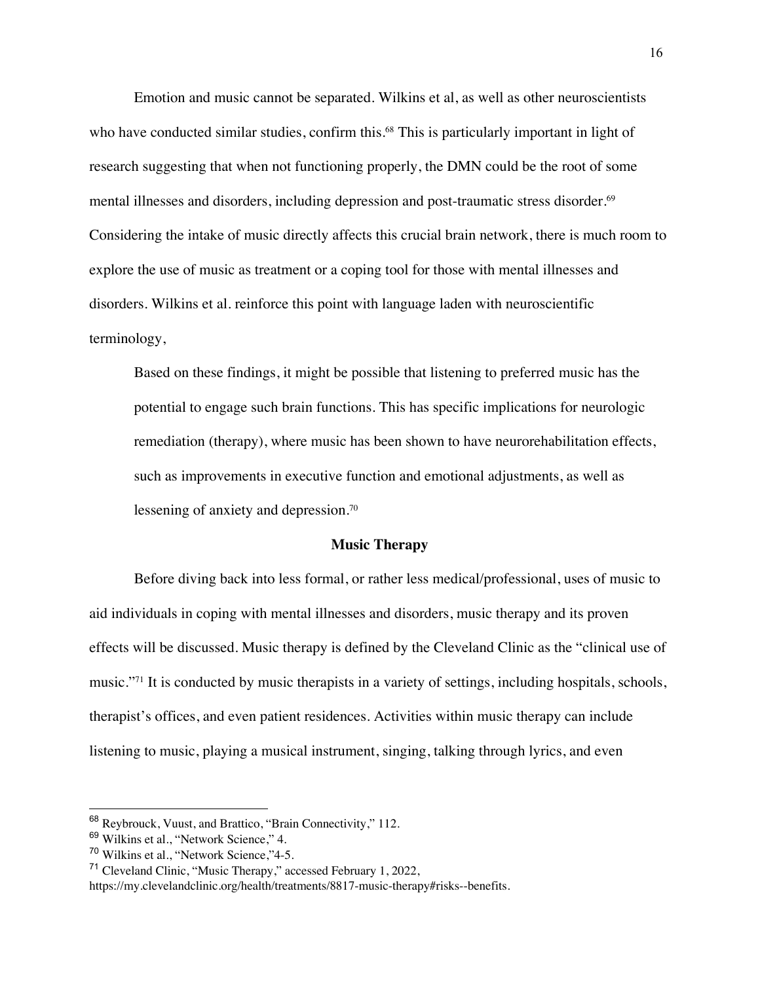Emotion and music cannot be separated. Wilkins et al, as well as other neuroscientists who have conducted similar studies, confirm this.<sup>68</sup> This is particularly important in light of research suggesting that when not functioning properly, the DMN could be the root of some mental illnesses and disorders, including depression and post-traumatic stress disorder.<sup>69</sup> Considering the intake of music directly affects this crucial brain network, there is much room to explore the use of music as treatment or a coping tool for those with mental illnesses and disorders. Wilkins et al. reinforce this point with language laden with neuroscientific terminology,

Based on these findings, it might be possible that listening to preferred music has the potential to engage such brain functions. This has specific implications for neurologic remediation (therapy), where music has been shown to have neurorehabilitation effects, such as improvements in executive function and emotional adjustments, as well as lessening of anxiety and depression.70

# **Music Therapy**

Before diving back into less formal, or rather less medical/professional, uses of music to aid individuals in coping with mental illnesses and disorders, music therapy and its proven effects will be discussed. Music therapy is defined by the Cleveland Clinic as the "clinical use of music."71 It is conducted by music therapists in a variety of settings, including hospitals, schools, therapist's offices, and even patient residences. Activities within music therapy can include listening to music, playing a musical instrument, singing, talking through lyrics, and even

<sup>68</sup> Reybrouck, Vuust, and Brattico, "Brain Connectivity," 112.

<sup>69</sup> Wilkins et al., "Network Science," 4.

<sup>70</sup> Wilkins et al., "Network Science,"4-5.

<sup>71</sup> Cleveland Clinic, "Music Therapy," accessed February 1, 2022,

https://my.clevelandclinic.org/health/treatments/8817-music-therapy#risks--benefits.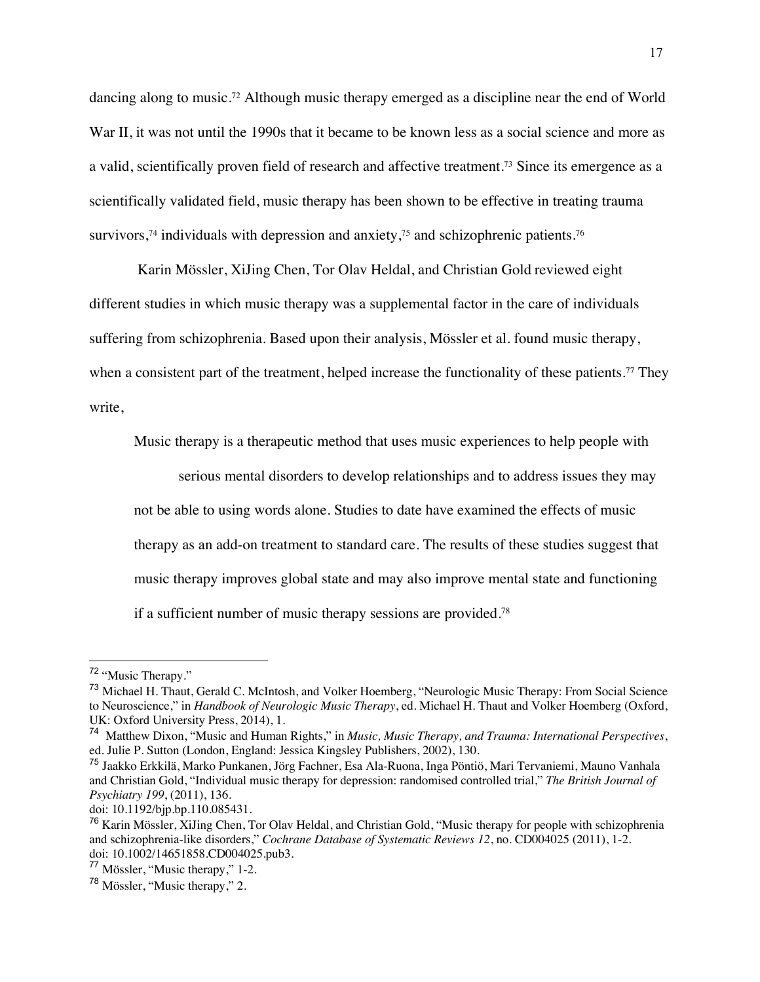dancing along to music.<sup>72</sup> Although music therapy emerged as a discipline near the end of World War II, it was not until the 1990s that it became to be known less as a social science and more as a valid, scientifically proven field of research and affective treatment.73 Since its emergence as a scientifically validated field, music therapy has been shown to be effective in treating trauma survivors,<sup>74</sup> individuals with depression and anxiety,<sup>75</sup> and schizophrenic patients.<sup>76</sup>

Karin Mössler, XiJing Chen, Tor Olav Heldal, and Christian Gold reviewed eight different studies in which music therapy was a supplemental factor in the care of individuals suffering from schizophrenia. Based upon their analysis, Mössler et al. found music therapy, when a consistent part of the treatment, helped increase the functionality of these patients.<sup>77</sup> They write,

Music therapy is a therapeutic method that uses music experiences to help people with

serious mental disorders to develop relationships and to address issues they may

not be able to using words alone. Studies to date have examined the effects of music

therapy as an add-on treatment to standard care. The results of these studies suggest that

music therapy improves global state and may also improve mental state and functioning

if a sufficient number of music therapy sessions are provided.78

<sup>72</sup> "Music Therapy."

<sup>&</sup>lt;sup>73</sup> Michael H. Thaut, Gerald C. McIntosh, and Volker Hoemberg, "Neurologic Music Therapy: From Social Science to Neuroscience," in *Handbook of Neurologic Music Therapy*, ed. Michael H. Thaut and Volker Hoemberg (Oxford, UK: Oxford University Press, 2014), 1.

<sup>74</sup> Matthew Dixon, "Music and Human Rights," in *Music, Music Therapy, and Trauma: International Perspectives*, ed. Julie P. Sutton (London, England: Jessica Kingsley Publishers, 2002), 130.

<sup>75</sup> Jaakko Erkkilä, Marko Punkanen, Jörg Fachner, Esa Ala-Ruona, Inga Pöntiö, Mari Tervaniemi, Mauno Vanhala and Christian Gold, "Individual music therapy for depression: randomised controlled trial," *The British Journal of Psychiatry 199*, (2011), 136.

doi: 10.1192/bjp.bp.110.085431.

<sup>76</sup> Karin Mössler, XiJing Chen, Tor Olav Heldal, and Christian Gold, "Music therapy for people with schizophrenia and schizophrenia-like disorders," *Cochrane Database of Systematic Reviews 12*, no. CD004025 (2011), 1-2. doi: 10.1002/14651858.CD004025.pub3.

<sup>77</sup> Mössler, "Music therapy," 1-2.

<sup>78</sup> Mössler, "Music therapy," 2.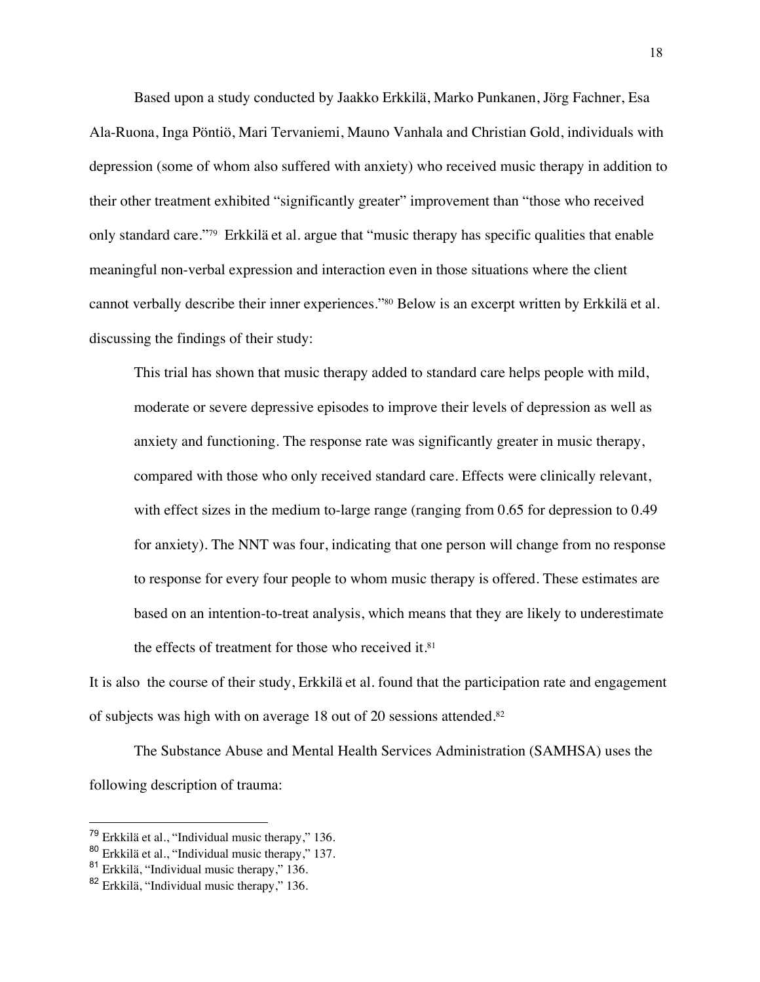Based upon a study conducted by Jaakko Erkkilä, Marko Punkanen, Jörg Fachner, Esa Ala-Ruona, Inga Pöntiö, Mari Tervaniemi, Mauno Vanhala and Christian Gold, individuals with depression (some of whom also suffered with anxiety) who received music therapy in addition to their other treatment exhibited "significantly greater" improvement than "those who received only standard care."79 Erkkilä et al. argue that "music therapy has specific qualities that enable meaningful non-verbal expression and interaction even in those situations where the client cannot verbally describe their inner experiences."80 Below is an excerpt written by Erkkilä et al. discussing the findings of their study:

This trial has shown that music therapy added to standard care helps people with mild, moderate or severe depressive episodes to improve their levels of depression as well as anxiety and functioning. The response rate was significantly greater in music therapy, compared with those who only received standard care. Effects were clinically relevant, with effect sizes in the medium to-large range (ranging from 0.65 for depression to 0.49 for anxiety). The NNT was four, indicating that one person will change from no response to response for every four people to whom music therapy is offered. These estimates are based on an intention-to-treat analysis, which means that they are likely to underestimate the effects of treatment for those who received it.<sup>81</sup>

It is also the course of their study, Erkkilä et al. found that the participation rate and engagement of subjects was high with on average 18 out of 20 sessions attended.82

The Substance Abuse and Mental Health Services Administration (SAMHSA) uses the following description of trauma:

 $79$  Erkkilä et al., "Individual music therapy," 136.

<sup>80</sup> Erkkilä et al., "Individual music therapy," 137.

<sup>81</sup> Erkkilä, "Individual music therapy," 136.

<sup>&</sup>lt;sup>82</sup> Erkkilä, "Individual music therapy," 136.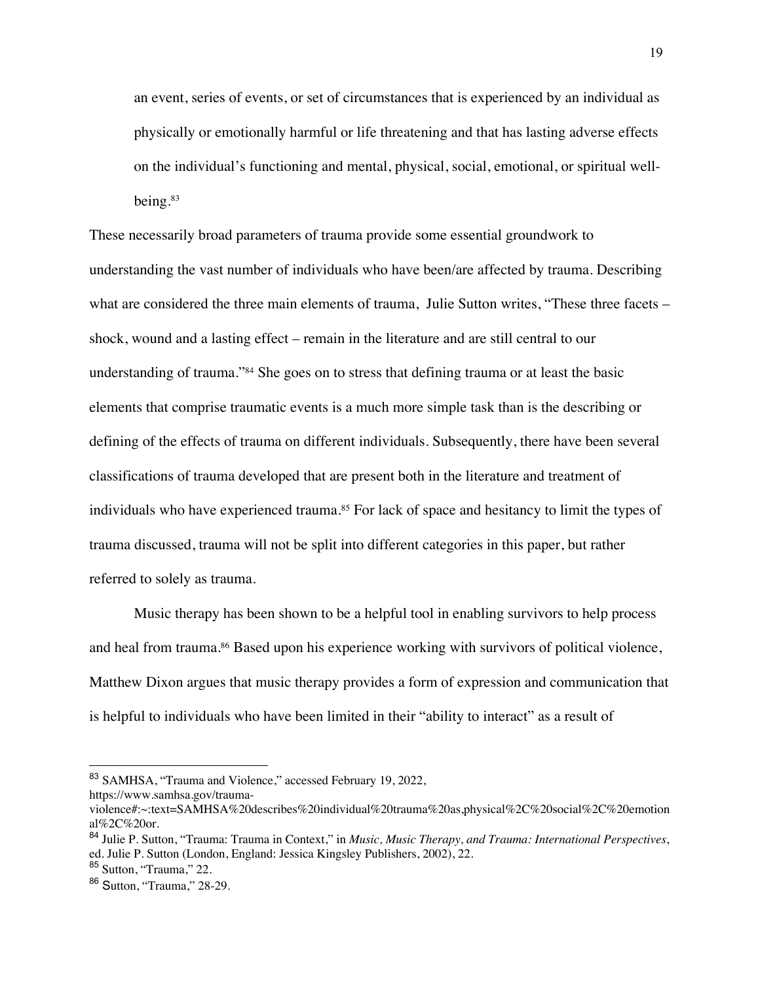an event, series of events, or set of circumstances that is experienced by an individual as physically or emotionally harmful or life threatening and that has lasting adverse effects on the individual's functioning and mental, physical, social, emotional, or spiritual wellbeing.83

These necessarily broad parameters of trauma provide some essential groundwork to understanding the vast number of individuals who have been/are affected by trauma. Describing what are considered the three main elements of trauma, Julie Sutton writes, "These three facets – shock, wound and a lasting effect – remain in the literature and are still central to our understanding of trauma."<sup>84</sup> She goes on to stress that defining trauma or at least the basic elements that comprise traumatic events is a much more simple task than is the describing or defining of the effects of trauma on different individuals. Subsequently, there have been several classifications of trauma developed that are present both in the literature and treatment of individuals who have experienced trauma.<sup>85</sup> For lack of space and hesitancy to limit the types of trauma discussed, trauma will not be split into different categories in this paper, but rather referred to solely as trauma.

Music therapy has been shown to be a helpful tool in enabling survivors to help process and heal from trauma.<sup>86</sup> Based upon his experience working with survivors of political violence, Matthew Dixon argues that music therapy provides a form of expression and communication that is helpful to individuals who have been limited in their "ability to interact" as a result of

<sup>83</sup> SAMHSA, "Trauma and Violence," accessed February 19, 2022,

https://www.samhsa.gov/trauma-

violence#:~:text=SAMHSA%20describes%20individual%20trauma%20as,physical%2C%20social%2C%20emotion al%2C%20or.

<sup>84</sup> Julie P. Sutton, "Trauma: Trauma in Context," in *Music, Music Therapy, and Trauma: International Perspectives*, ed. Julie P. Sutton (London, England: Jessica Kingsley Publishers, 2002), 22.

<sup>85</sup> Sutton, "Trauma," 22.

<sup>86</sup> Sutton, "Trauma," 28-29.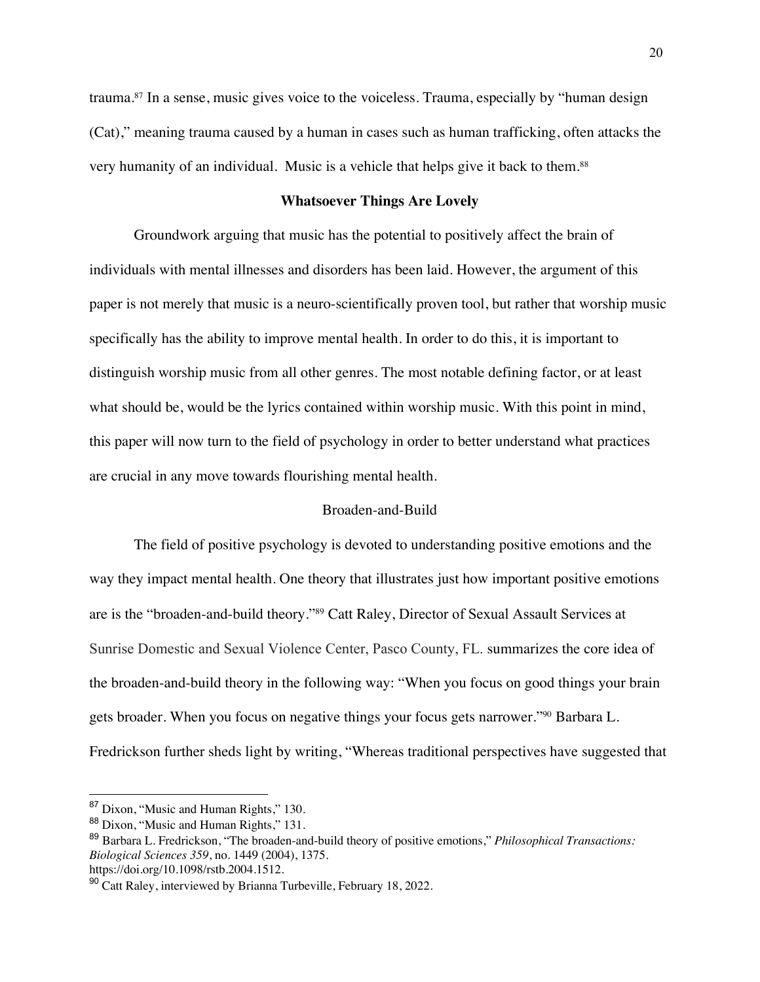trauma.87 In a sense, music gives voice to the voiceless. Trauma, especially by "human design (Cat)," meaning trauma caused by a human in cases such as human trafficking, often attacks the very humanity of an individual. Music is a vehicle that helps give it back to them.88

## **Whatsoever Things Are Lovely**

Groundwork arguing that music has the potential to positively affect the brain of individuals with mental illnesses and disorders has been laid. However, the argument of this paper is not merely that music is a neuro-scientifically proven tool, but rather that worship music specifically has the ability to improve mental health. In order to do this, it is important to distinguish worship music from all other genres. The most notable defining factor, or at least what should be, would be the lyrics contained within worship music. With this point in mind, this paper will now turn to the field of psychology in order to better understand what practices are crucial in any move towards flourishing mental health.

# Broaden-and-Build

The field of positive psychology is devoted to understanding positive emotions and the way they impact mental health. One theory that illustrates just how important positive emotions are is the "broaden-and-build theory."89 Catt Raley, Director of Sexual Assault Services at Sunrise Domestic and Sexual Violence Center, Pasco County, FL. summarizes the core idea of the broaden-and-build theory in the following way: "When you focus on good things your brain gets broader. When you focus on negative things your focus gets narrower."90 Barbara L. Fredrickson further sheds light by writing, "Whereas traditional perspectives have suggested that

<sup>87</sup> Dixon, "Music and Human Rights," 130.

<sup>88</sup> Dixon, "Music and Human Rights," 131.

<sup>89</sup> Barbara L. Fredrickson, "The broaden-and-build theory of positive emotions," *Philosophical Transactions: Biological Sciences 359*, no. 1449 (2004), 1375.

https://doi.org/10.1098/rstb.2004.1512.

 $90$  Catt Raley, interviewed by Brianna Turbeville, February 18, 2022.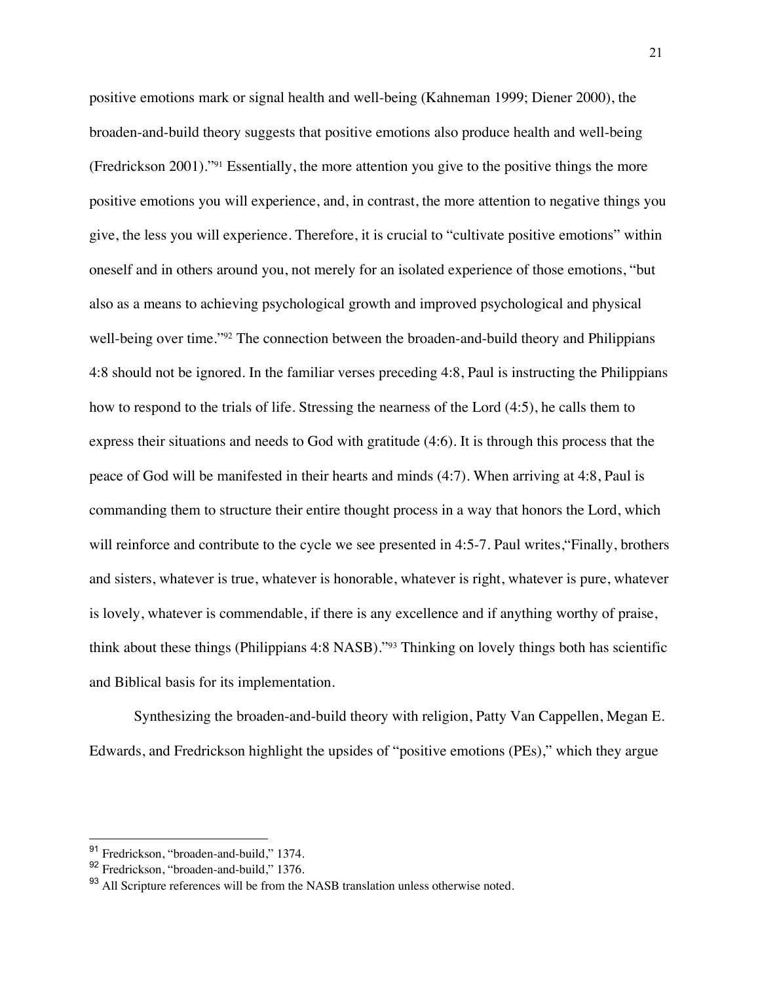positive emotions mark or signal health and well-being (Kahneman 1999; Diener 2000), the broaden-and-build theory suggests that positive emotions also produce health and well-being (Fredrickson 2001)."91 Essentially, the more attention you give to the positive things the more positive emotions you will experience, and, in contrast, the more attention to negative things you give, the less you will experience. Therefore, it is crucial to "cultivate positive emotions" within oneself and in others around you, not merely for an isolated experience of those emotions, "but also as a means to achieving psychological growth and improved psychological and physical well-being over time."<sup>92</sup> The connection between the broaden-and-build theory and Philippians 4:8 should not be ignored. In the familiar verses preceding 4:8, Paul is instructing the Philippians how to respond to the trials of life. Stressing the nearness of the Lord (4:5), he calls them to express their situations and needs to God with gratitude (4:6). It is through this process that the peace of God will be manifested in their hearts and minds (4:7). When arriving at 4:8, Paul is commanding them to structure their entire thought process in a way that honors the Lord, which will reinforce and contribute to the cycle we see presented in 4:5-7. Paul writes, "Finally, brothers and sisters, whatever is true, whatever is honorable, whatever is right, whatever is pure, whatever is lovely, whatever is commendable, if there is any excellence and if anything worthy of praise, think about these things (Philippians 4:8 NASB)."93 Thinking on lovely things both has scientific and Biblical basis for its implementation.

Synthesizing the broaden-and-build theory with religion, Patty Van Cappellen, Megan E. Edwards, and Fredrickson highlight the upsides of "positive emotions (PEs)," which they argue

<sup>91</sup> Fredrickson, "broaden-and-build," 1374.

<sup>92</sup> Fredrickson, "broaden-and-build," 1376.

<sup>&</sup>lt;sup>93</sup> All Scripture references will be from the NASB translation unless otherwise noted.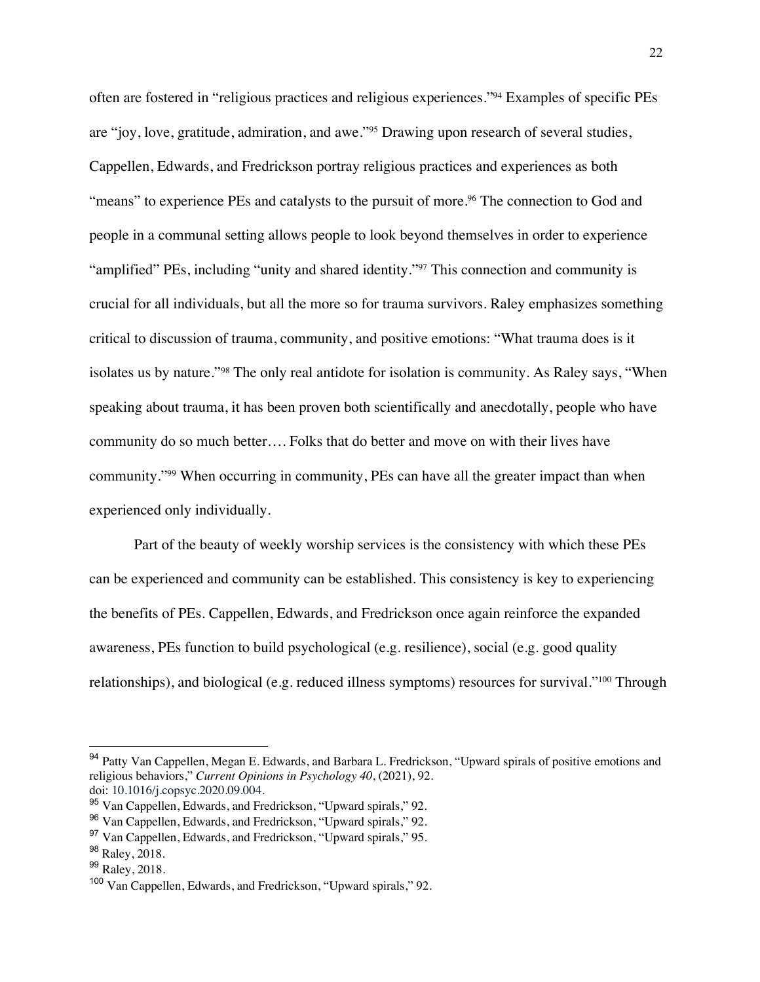often are fostered in "religious practices and religious experiences."94 Examples of specific PEs are "joy, love, gratitude, admiration, and awe."95 Drawing upon research of several studies, Cappellen, Edwards, and Fredrickson portray religious practices and experiences as both "means" to experience PEs and catalysts to the pursuit of more.<sup>96</sup> The connection to God and people in a communal setting allows people to look beyond themselves in order to experience "amplified" PEs, including "unity and shared identity."<sup>97</sup> This connection and community is crucial for all individuals, but all the more so for trauma survivors. Raley emphasizes something critical to discussion of trauma, community, and positive emotions: "What trauma does is it isolates us by nature."98 The only real antidote for isolation is community. As Raley says, "When speaking about trauma, it has been proven both scientifically and anecdotally, people who have community do so much better…. Folks that do better and move on with their lives have community."99 When occurring in community, PEs can have all the greater impact than when experienced only individually.

Part of the beauty of weekly worship services is the consistency with which these PEs can be experienced and community can be established. This consistency is key to experiencing the benefits of PEs. Cappellen, Edwards, and Fredrickson once again reinforce the expanded awareness, PEs function to build psychological (e.g. resilience), social (e.g. good quality relationships), and biological (e.g. reduced illness symptoms) resources for survival."100 Through

<sup>&</sup>lt;sup>94</sup> Patty Van Cappellen, Megan E. Edwards, and Barbara L. Fredrickson, "Upward spirals of positive emotions and religious behaviors," *Current Opinions in Psychology 40*, (2021), 92. doi: 10.1016/j.copsyc.2020.09.004.

<sup>95</sup> Van Cappellen, Edwards, and Fredrickson, "Upward spirals," 92.

<sup>96</sup> Van Cappellen, Edwards, and Fredrickson, "Upward spirals," 92.

<sup>97</sup> Van Cappellen, Edwards, and Fredrickson, "Upward spirals," 95.

<sup>98</sup> Raley, 2018.

<sup>&</sup>lt;sup>99</sup> Raley, 2018.

<sup>&</sup>lt;sup>100</sup> Van Cappellen, Edwards, and Fredrickson, "Upward spirals," 92.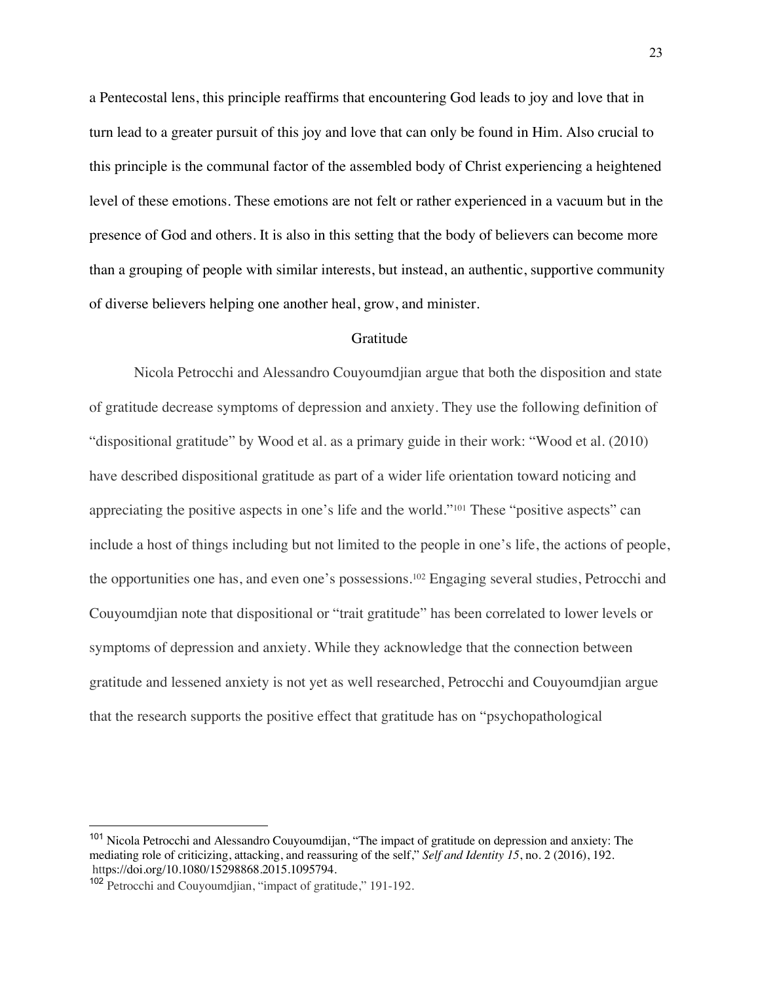a Pentecostal lens, this principle reaffirms that encountering God leads to joy and love that in turn lead to a greater pursuit of this joy and love that can only be found in Him. Also crucial to this principle is the communal factor of the assembled body of Christ experiencing a heightened level of these emotions. These emotions are not felt or rather experienced in a vacuum but in the presence of God and others. It is also in this setting that the body of believers can become more than a grouping of people with similar interests, but instead, an authentic, supportive community of diverse believers helping one another heal, grow, and minister.

#### Gratitude

Nicola Petrocchi and Alessandro Couyoumdjian argue that both the disposition and state of gratitude decrease symptoms of depression and anxiety. They use the following definition of "dispositional gratitude" by Wood et al. as a primary guide in their work: "Wood et al. (2010) have described dispositional gratitude as part of a wider life orientation toward noticing and appreciating the positive aspects in one's life and the world."101 These "positive aspects" can include a host of things including but not limited to the people in one's life, the actions of people, the opportunities one has, and even one's possessions.102 Engaging several studies, Petrocchi and Couyoumdjian note that dispositional or "trait gratitude" has been correlated to lower levels or symptoms of depression and anxiety. While they acknowledge that the connection between gratitude and lessened anxiety is not yet as well researched, Petrocchi and Couyoumdjian argue that the research supports the positive effect that gratitude has on "psychopathological

<sup>&</sup>lt;sup>101</sup> Nicola Petrocchi and Alessandro Couvoumdijan, "The impact of gratitude on depression and anxiety: The mediating role of criticizing, attacking, and reassuring of the self," *Self and Identity 15*, no. 2 (2016), 192. https://doi.org/10.1080/15298868.2015.1095794.

<sup>&</sup>lt;sup>102</sup> Petrocchi and Couyoumdjian, "impact of gratitude," 191-192.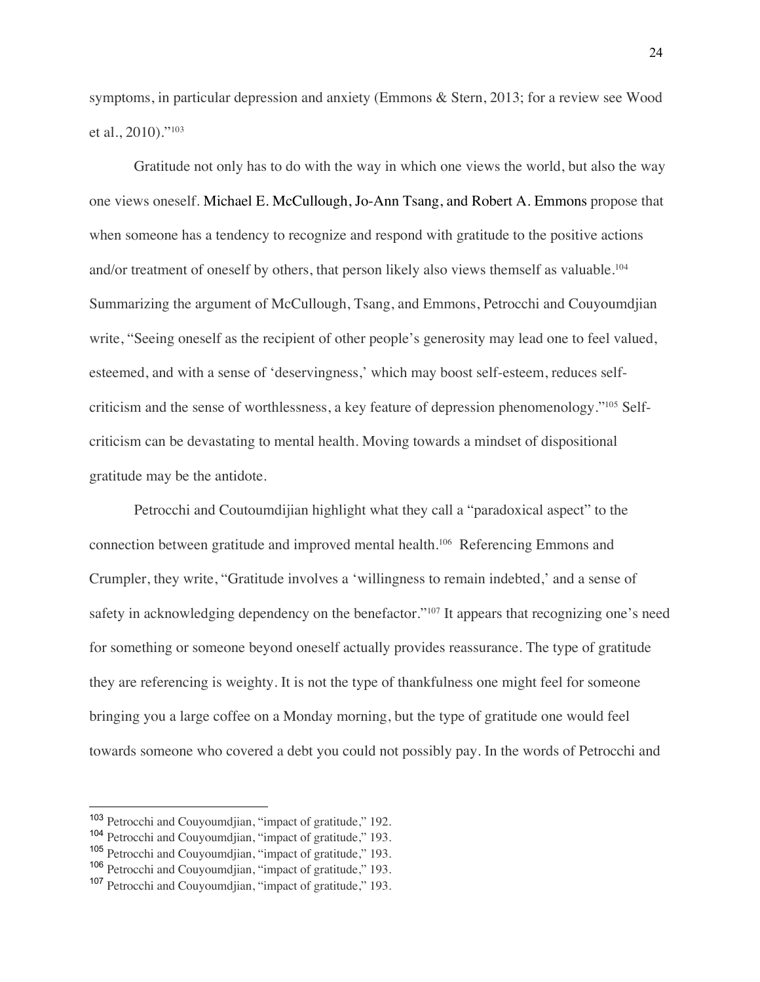symptoms, in particular depression and anxiety (Emmons & Stern, 2013; for a review see Wood et al., 2010)."103

Gratitude not only has to do with the way in which one views the world, but also the way one views oneself. Michael E. McCullough, Jo-Ann Tsang, and Robert A. Emmons propose that when someone has a tendency to recognize and respond with gratitude to the positive actions and/or treatment of oneself by others, that person likely also views themself as valuable.<sup>104</sup> Summarizing the argument of McCullough, Tsang, and Emmons, Petrocchi and Couyoumdjian write, "Seeing oneself as the recipient of other people's generosity may lead one to feel valued, esteemed, and with a sense of 'deservingness,' which may boost self-esteem, reduces selfcriticism and the sense of worthlessness, a key feature of depression phenomenology."105 Selfcriticism can be devastating to mental health. Moving towards a mindset of dispositional gratitude may be the antidote.

Petrocchi and Coutoumdijian highlight what they call a "paradoxical aspect" to the connection between gratitude and improved mental health.106 Referencing Emmons and Crumpler, they write, "Gratitude involves a 'willingness to remain indebted,' and a sense of safety in acknowledging dependency on the benefactor."<sup>107</sup> It appears that recognizing one's need for something or someone beyond oneself actually provides reassurance. The type of gratitude they are referencing is weighty. It is not the type of thankfulness one might feel for someone bringing you a large coffee on a Monday morning, but the type of gratitude one would feel towards someone who covered a debt you could not possibly pay. In the words of Petrocchi and

<sup>103</sup> Petrocchi and Couyoumdjian, "impact of gratitude," 192.

<sup>104</sup> Petrocchi and Couyoumdjian, "impact of gratitude," 193.

<sup>105</sup> Petrocchi and Couyoumdjian, "impact of gratitude," 193.

<sup>106</sup> Petrocchi and Couyoumdjian, "impact of gratitude," 193.

<sup>107</sup> Petrocchi and Couyoumdjian, "impact of gratitude," 193.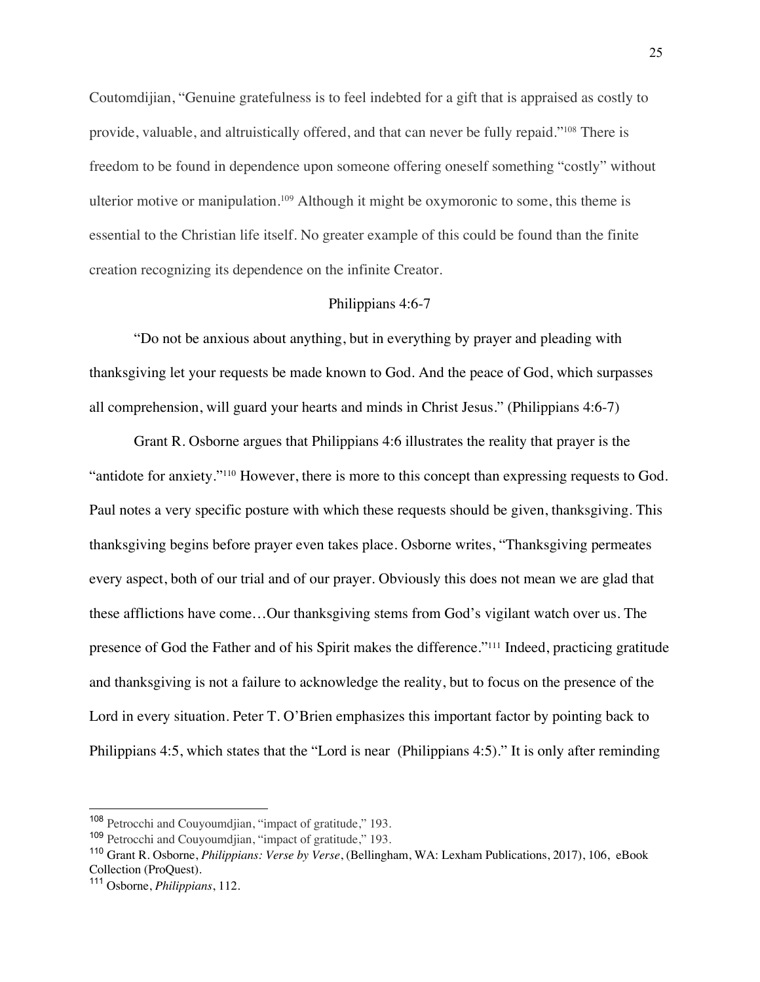Coutomdijian, "Genuine gratefulness is to feel indebted for a gift that is appraised as costly to provide, valuable, and altruistically offered, and that can never be fully repaid."108 There is freedom to be found in dependence upon someone offering oneself something "costly" without ulterior motive or manipulation.109 Although it might be oxymoronic to some, this theme is essential to the Christian life itself. No greater example of this could be found than the finite creation recognizing its dependence on the infinite Creator.

#### Philippians 4:6-7

"Do not be anxious about anything, but in everything by prayer and pleading with thanksgiving let your requests be made known to God. And the peace of God, which surpasses all comprehension, will guard your hearts and minds in Christ Jesus." (Philippians 4:6-7)

Grant R. Osborne argues that Philippians 4:6 illustrates the reality that prayer is the "antidote for anxiety."<sup>110</sup> However, there is more to this concept than expressing requests to God. Paul notes a very specific posture with which these requests should be given, thanksgiving. This thanksgiving begins before prayer even takes place. Osborne writes, "Thanksgiving permeates every aspect, both of our trial and of our prayer. Obviously this does not mean we are glad that these afflictions have come…Our thanksgiving stems from God's vigilant watch over us. The presence of God the Father and of his Spirit makes the difference."111 Indeed, practicing gratitude and thanksgiving is not a failure to acknowledge the reality, but to focus on the presence of the Lord in every situation. Peter T. O'Brien emphasizes this important factor by pointing back to Philippians 4:5, which states that the "Lord is near (Philippians 4:5)." It is only after reminding

<sup>108</sup> Petrocchi and Couyoumdjian, "impact of gratitude," 193.

<sup>109</sup> Petrocchi and Couyoumdjian, "impact of gratitude," 193.

<sup>110</sup> Grant R. Osborne, *Philippians: Verse by Verse*, (Bellingham, WA: Lexham Publications, 2017), 106, eBook Collection (ProQuest).

<sup>111</sup> Osborne, *Philippians*, 112.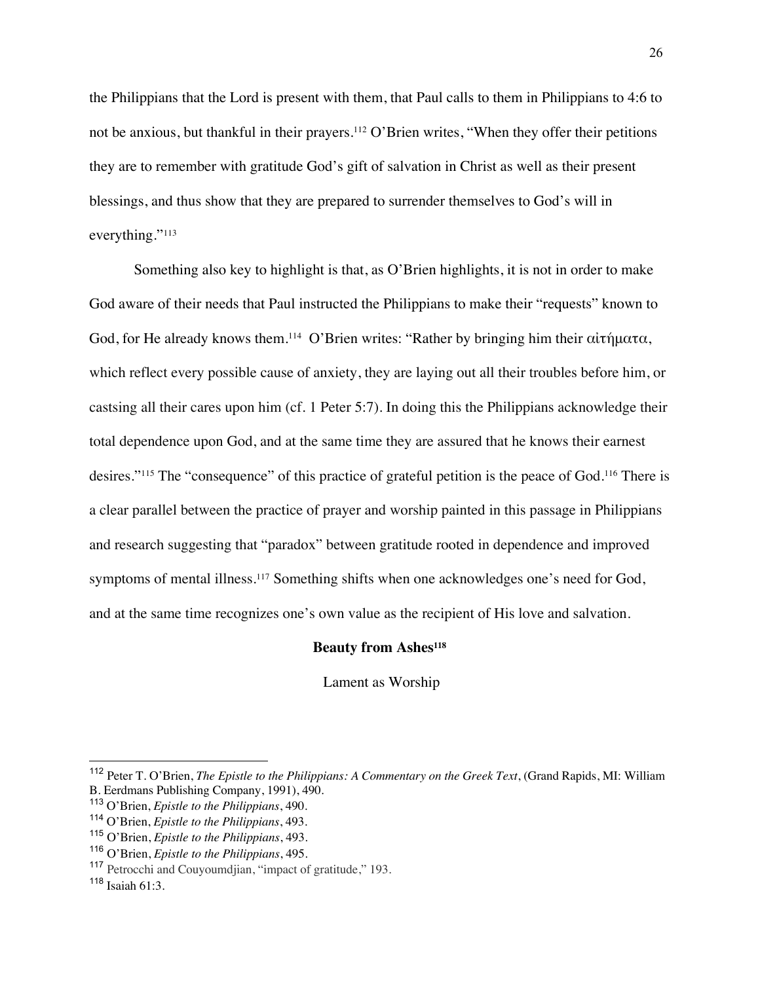the Philippians that the Lord is present with them, that Paul calls to them in Philippians to 4:6 to not be anxious, but thankful in their prayers.112 O'Brien writes, "When they offer their petitions they are to remember with gratitude God's gift of salvation in Christ as well as their present blessings, and thus show that they are prepared to surrender themselves to God's will in everything."<sup>113</sup>

Something also key to highlight is that, as O'Brien highlights, it is not in order to make God aware of their needs that Paul instructed the Philippians to make their "requests" known to God, for He already knows them.114 O'Brien writes: "Rather by bringing him their αἰτήματα, which reflect every possible cause of anxiety, they are laying out all their troubles before him, or castsing all their cares upon him (cf. 1 Peter 5:7). In doing this the Philippians acknowledge their total dependence upon God, and at the same time they are assured that he knows their earnest desires."115 The "consequence" of this practice of grateful petition is the peace of God.116 There is a clear parallel between the practice of prayer and worship painted in this passage in Philippians and research suggesting that "paradox" between gratitude rooted in dependence and improved symptoms of mental illness.<sup>117</sup> Something shifts when one acknowledges one's need for God, and at the same time recognizes one's own value as the recipient of His love and salvation.

#### **Beauty from Ashes<sup>118</sup>**

Lament as Worship

<sup>112</sup> Peter T. O'Brien, *The Epistle to the Philippians: A Commentary on the Greek Text*, (Grand Rapids, MI: William B. Eerdmans Publishing Company, 1991), 490.

<sup>113</sup> O'Brien, *Epistle to the Philippians*, 490.

<sup>114</sup> O'Brien, *Epistle to the Philippians*, 493.

<sup>115</sup> O'Brien, *Epistle to the Philippians*, 493.

<sup>116</sup> O'Brien, *Epistle to the Philippians*, 495.

<sup>117</sup> Petrocchi and Couyoumdjian, "impact of gratitude," 193.

 $118$  Isaiah 61:3.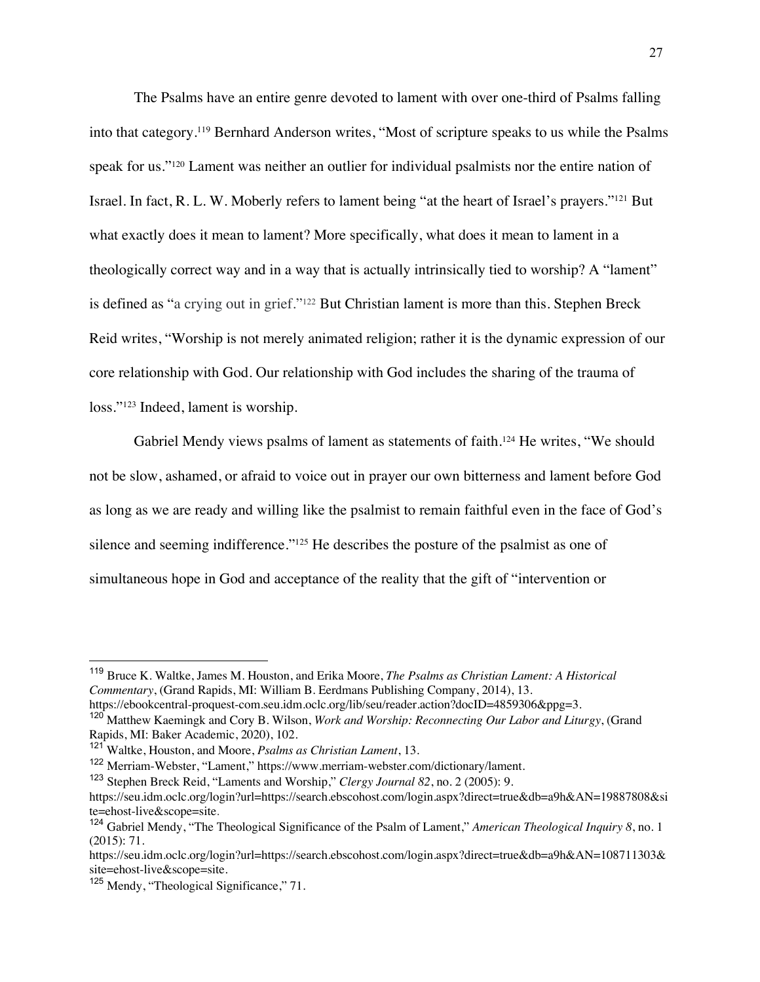The Psalms have an entire genre devoted to lament with over one-third of Psalms falling into that category.119 Bernhard Anderson writes, "Most of scripture speaks to us while the Psalms speak for us."<sup>120</sup> Lament was neither an outlier for individual psalmists nor the entire nation of Israel. In fact, R. L. W. Moberly refers to lament being "at the heart of Israel's prayers."121 But what exactly does it mean to lament? More specifically, what does it mean to lament in a theologically correct way and in a way that is actually intrinsically tied to worship? A "lament" is defined as "a crying out in grief."122 But Christian lament is more than this. Stephen Breck Reid writes, "Worship is not merely animated religion; rather it is the dynamic expression of our core relationship with God. Our relationship with God includes the sharing of the trauma of loss."123 Indeed, lament is worship.

Gabriel Mendy views psalms of lament as statements of faith.<sup>124</sup> He writes, "We should not be slow, ashamed, or afraid to voice out in prayer our own bitterness and lament before God as long as we are ready and willing like the psalmist to remain faithful even in the face of God's silence and seeming indifference."<sup>125</sup> He describes the posture of the psalmist as one of simultaneous hope in God and acceptance of the reality that the gift of "intervention or

<sup>119</sup> Bruce K. Waltke, James M. Houston, and Erika Moore, *The Psalms as Christian Lament: A Historical Commentary*, (Grand Rapids, MI: William B. Eerdmans Publishing Company, 2014), 13. https://ebookcentral-proquest-com.seu.idm.oclc.org/lib/seu/reader.action?docID=4859306&ppg=3.

<sup>120</sup> Matthew Kaemingk and Cory B. Wilson, *Work and Worship: Reconnecting Our Labor and Liturgy*, (Grand Rapids, MI: Baker Academic, 2020), 102.

<sup>121</sup> Waltke, Houston, and Moore, *Psalms as Christian Lament*, 13.

<sup>122</sup> Merriam-Webster, "Lament," https://www.merriam-webster.com/dictionary/lament.

<sup>123</sup> Stephen Breck Reid, "Laments and Worship," *Clergy Journal 82*, no. 2 (2005): 9.

https://seu.idm.oclc.org/login?url=https://search.ebscohost.com/login.aspx?direct=true&db=a9h&AN=19887808&si te=ehost-live&scope=site.

<sup>124</sup> Gabriel Mendy, "The Theological Significance of the Psalm of Lament," *American Theological Inquiry 8*, no. 1 (2015): 71.

https://seu.idm.oclc.org/login?url=https://search.ebscohost.com/login.aspx?direct=true&db=a9h&AN=108711303& site=ehost-live&scope=site.

<sup>&</sup>lt;sup>125</sup> Mendy, "Theological Significance," 71.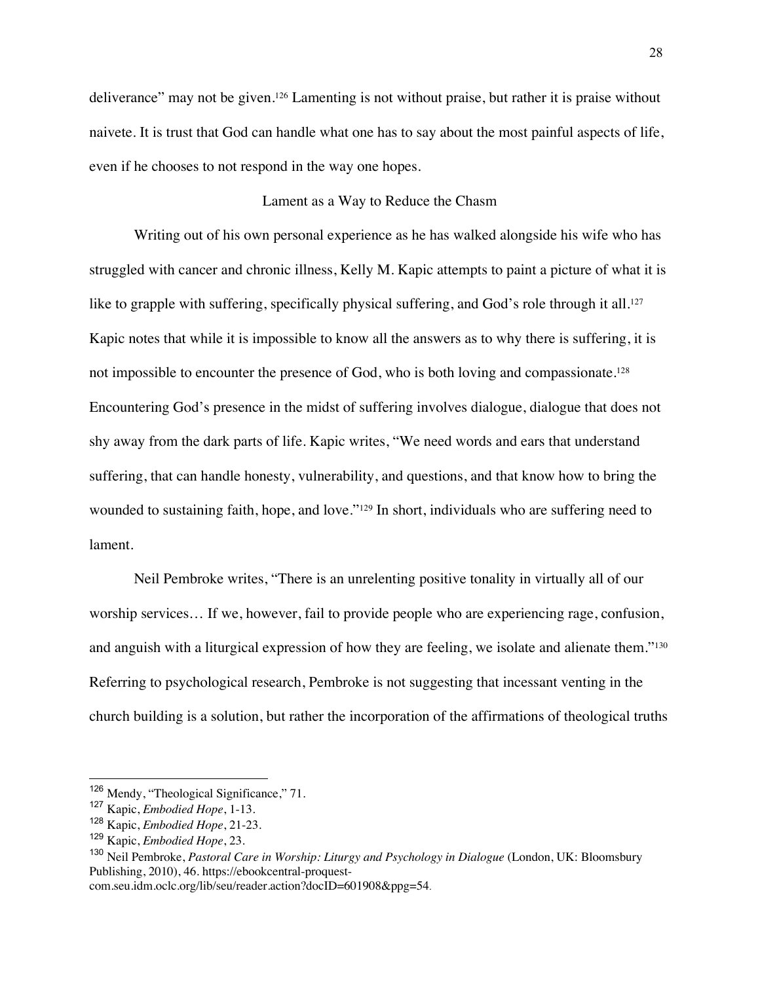deliverance" may not be given.<sup>126</sup> Lamenting is not without praise, but rather it is praise without naivete. It is trust that God can handle what one has to say about the most painful aspects of life, even if he chooses to not respond in the way one hopes.

# Lament as a Way to Reduce the Chasm

Writing out of his own personal experience as he has walked alongside his wife who has struggled with cancer and chronic illness, Kelly M. Kapic attempts to paint a picture of what it is like to grapple with suffering, specifically physical suffering, and God's role through it all.<sup>127</sup> Kapic notes that while it is impossible to know all the answers as to why there is suffering, it is not impossible to encounter the presence of God, who is both loving and compassionate.128 Encountering God's presence in the midst of suffering involves dialogue, dialogue that does not shy away from the dark parts of life. Kapic writes, "We need words and ears that understand suffering, that can handle honesty, vulnerability, and questions, and that know how to bring the wounded to sustaining faith, hope, and love."129 In short, individuals who are suffering need to lament.

Neil Pembroke writes, "There is an unrelenting positive tonality in virtually all of our worship services… If we, however, fail to provide people who are experiencing rage, confusion, and anguish with a liturgical expression of how they are feeling, we isolate and alienate them."130 Referring to psychological research, Pembroke is not suggesting that incessant venting in the church building is a solution, but rather the incorporation of the affirmations of theological truths

com.seu.idm.oclc.org/lib/seu/reader.action?docID=601908&ppg=54.

<sup>&</sup>lt;sup>126</sup> Mendy, "Theological Significance," 71.

<sup>127</sup> Kapic, *Embodied Hope*, 1-13.

<sup>128</sup> Kapic, *Embodied Hope*, 21-23.

<sup>129</sup> Kapic, *Embodied Hope*, 23.

<sup>130</sup> Neil Pembroke, *Pastoral Care in Worship: Liturgy and Psychology in Dialogue* (London, UK: Bloomsbury Publishing, 2010), 46. https://ebookcentral-proquest-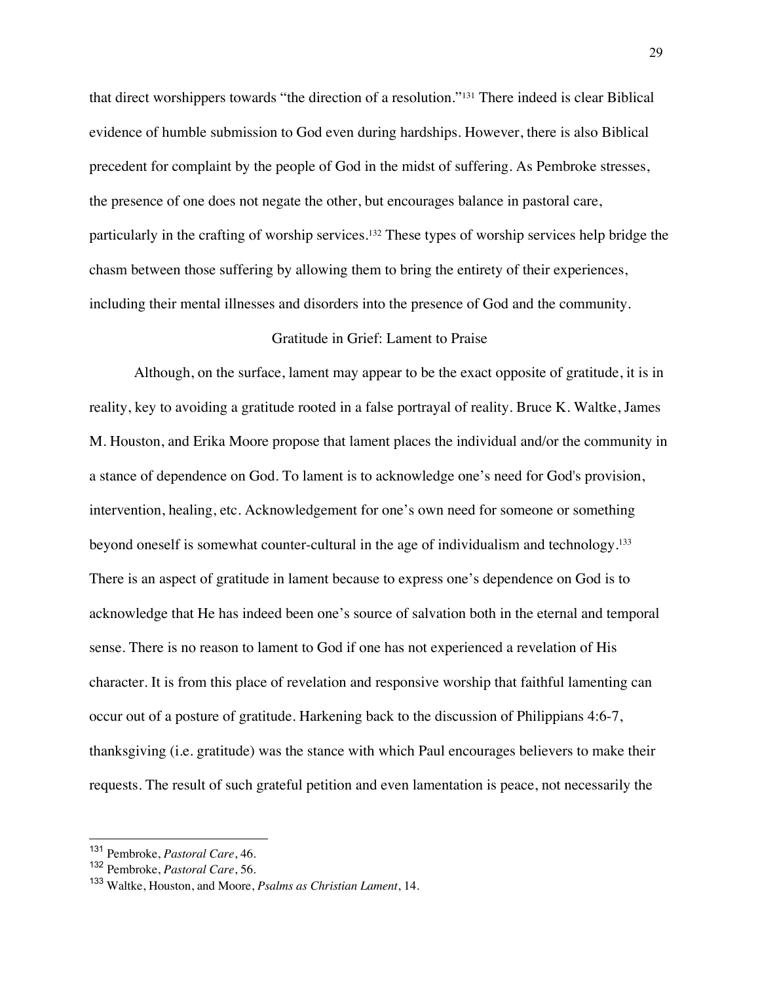that direct worshippers towards "the direction of a resolution."131 There indeed is clear Biblical evidence of humble submission to God even during hardships. However, there is also Biblical precedent for complaint by the people of God in the midst of suffering. As Pembroke stresses, the presence of one does not negate the other, but encourages balance in pastoral care, particularly in the crafting of worship services.<sup>132</sup> These types of worship services help bridge the chasm between those suffering by allowing them to bring the entirety of their experiences, including their mental illnesses and disorders into the presence of God and the community.

## Gratitude in Grief: Lament to Praise

Although, on the surface, lament may appear to be the exact opposite of gratitude, it is in reality, key to avoiding a gratitude rooted in a false portrayal of reality. Bruce K. Waltke, James M. Houston, and Erika Moore propose that lament places the individual and/or the community in a stance of dependence on God. To lament is to acknowledge one's need for God's provision, intervention, healing, etc. Acknowledgement for one's own need for someone or something beyond oneself is somewhat counter-cultural in the age of individualism and technology.133 There is an aspect of gratitude in lament because to express one's dependence on God is to acknowledge that He has indeed been one's source of salvation both in the eternal and temporal sense. There is no reason to lament to God if one has not experienced a revelation of His character. It is from this place of revelation and responsive worship that faithful lamenting can occur out of a posture of gratitude. Harkening back to the discussion of Philippians 4:6-7, thanksgiving (i.e. gratitude) was the stance with which Paul encourages believers to make their requests. The result of such grateful petition and even lamentation is peace, not necessarily the

<sup>131</sup> Pembroke, *Pastoral Care*, 46.

<sup>132</sup> Pembroke, *Pastoral Care*, 56.

<sup>133</sup> Waltke, Houston, and Moore, *Psalms as Christian Lament*, 14.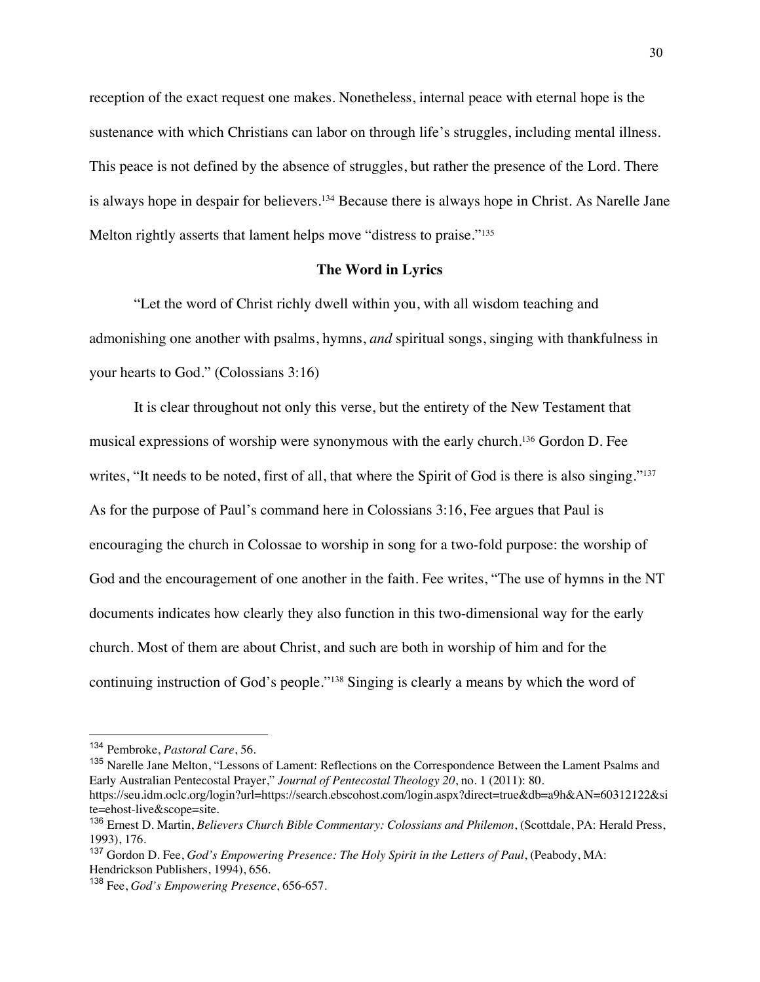reception of the exact request one makes. Nonetheless, internal peace with eternal hope is the sustenance with which Christians can labor on through life's struggles, including mental illness. This peace is not defined by the absence of struggles, but rather the presence of the Lord. There is always hope in despair for believers.134 Because there is always hope in Christ. As Narelle Jane Melton rightly asserts that lament helps move "distress to praise."<sup>135</sup>

#### **The Word in Lyrics**

"Let the word of Christ richly dwell within you, with all wisdom teaching and admonishing one another with psalms, hymns, *and* spiritual songs, singing with thankfulness in your hearts to God." (Colossians 3:16)

It is clear throughout not only this verse, but the entirety of the New Testament that musical expressions of worship were synonymous with the early church.136 Gordon D. Fee writes, "It needs to be noted, first of all, that where the Spirit of God is there is also singing."<sup>137</sup> As for the purpose of Paul's command here in Colossians 3:16, Fee argues that Paul is encouraging the church in Colossae to worship in song for a two-fold purpose: the worship of God and the encouragement of one another in the faith. Fee writes, "The use of hymns in the NT documents indicates how clearly they also function in this two-dimensional way for the early church. Most of them are about Christ, and such are both in worship of him and for the continuing instruction of God's people."138 Singing is clearly a means by which the word of

<sup>134</sup> Pembroke, *Pastoral Care*, 56.

<sup>&</sup>lt;sup>135</sup> Narelle Jane Melton, "Lessons of Lament: Reflections on the Correspondence Between the Lament Psalms and Early Australian Pentecostal Prayer," *Journal of Pentecostal Theology 20*, no. 1 (2011): 80.

https://seu.idm.oclc.org/login?url=https://search.ebscohost.com/login.aspx?direct=true&db=a9h&AN=60312122&si te=ehost-live&scope=site.

<sup>136</sup> Ernest D. Martin, *Believers Church Bible Commentary: Colossians and Philemon*, (Scottdale, PA: Herald Press, 1993), 176.

<sup>137</sup> Gordon D. Fee, *God's Empowering Presence: The Holy Spirit in the Letters of Paul*, (Peabody, MA: Hendrickson Publishers, 1994), 656.

<sup>138</sup> Fee, *God's Empowering Presence*, 656-657.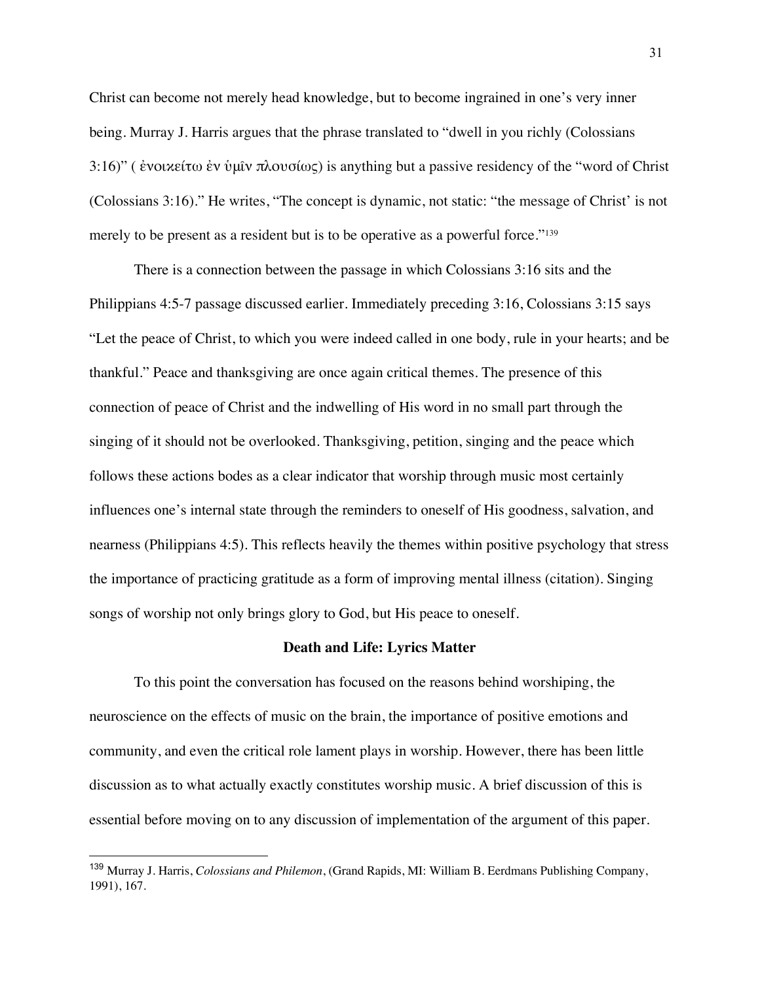Christ can become not merely head knowledge, but to become ingrained in one's very inner being. Murray J. Harris argues that the phrase translated to "dwell in you richly (Colossians 3:16)" (ενοικείτω έν ύμῖν πλουσίως) is anything but a passive residency of the "word of Christ" (Colossians 3:16)." He writes, "The concept is dynamic, not static: "the message of Christ' is not merely to be present as a resident but is to be operative as a powerful force."139

There is a connection between the passage in which Colossians 3:16 sits and the Philippians 4:5-7 passage discussed earlier. Immediately preceding 3:16, Colossians 3:15 says "Let the peace of Christ, to which you were indeed called in one body, rule in your hearts; and be thankful." Peace and thanksgiving are once again critical themes. The presence of this connection of peace of Christ and the indwelling of His word in no small part through the singing of it should not be overlooked. Thanksgiving, petition, singing and the peace which follows these actions bodes as a clear indicator that worship through music most certainly influences one's internal state through the reminders to oneself of His goodness, salvation, and nearness (Philippians 4:5). This reflects heavily the themes within positive psychology that stress the importance of practicing gratitude as a form of improving mental illness (citation). Singing songs of worship not only brings glory to God, but His peace to oneself.

#### **Death and Life: Lyrics Matter**

To this point the conversation has focused on the reasons behind worshiping, the neuroscience on the effects of music on the brain, the importance of positive emotions and community, and even the critical role lament plays in worship. However, there has been little discussion as to what actually exactly constitutes worship music. A brief discussion of this is essential before moving on to any discussion of implementation of the argument of this paper.

<sup>139</sup> Murray J. Harris, *Colossians and Philemon*, (Grand Rapids, MI: William B. Eerdmans Publishing Company, 1991), 167.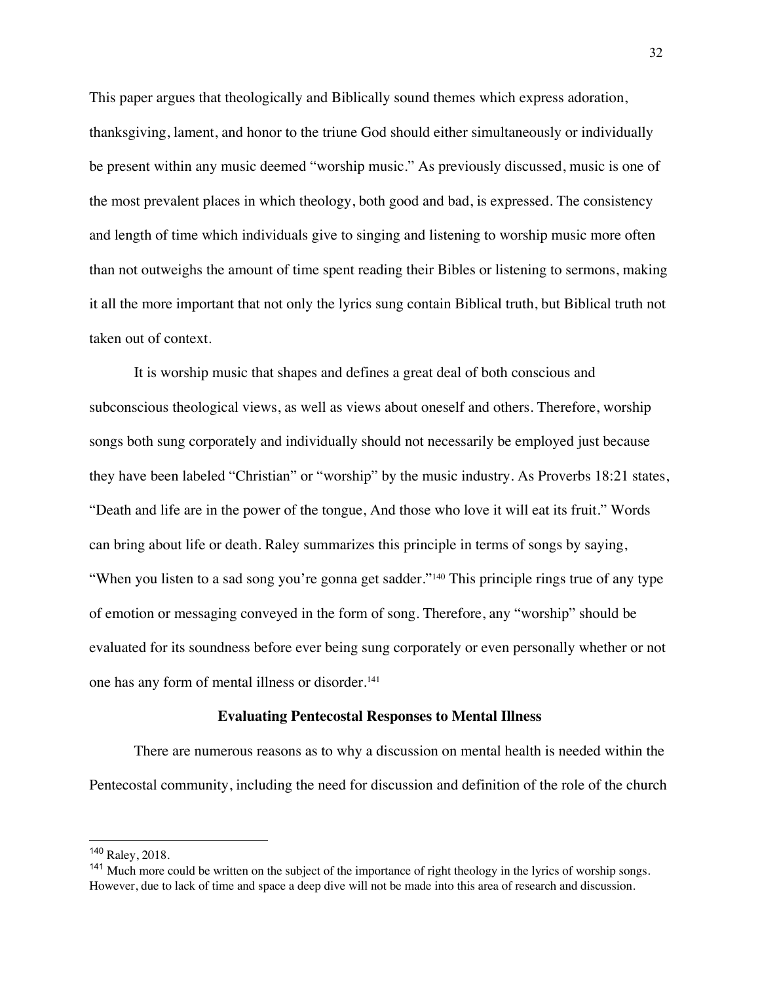This paper argues that theologically and Biblically sound themes which express adoration, thanksgiving, lament, and honor to the triune God should either simultaneously or individually be present within any music deemed "worship music." As previously discussed, music is one of the most prevalent places in which theology, both good and bad, is expressed. The consistency and length of time which individuals give to singing and listening to worship music more often than not outweighs the amount of time spent reading their Bibles or listening to sermons, making it all the more important that not only the lyrics sung contain Biblical truth, but Biblical truth not taken out of context.

It is worship music that shapes and defines a great deal of both conscious and subconscious theological views, as well as views about oneself and others. Therefore, worship songs both sung corporately and individually should not necessarily be employed just because they have been labeled "Christian" or "worship" by the music industry. As Proverbs 18:21 states, "Death and life are in the power of the tongue, And those who love it will eat its fruit." Words can bring about life or death. Raley summarizes this principle in terms of songs by saying, "When you listen to a sad song you're gonna get sadder."<sup>140</sup> This principle rings true of any type of emotion or messaging conveyed in the form of song. Therefore, any "worship" should be evaluated for its soundness before ever being sung corporately or even personally whether or not one has any form of mental illness or disorder.141

## **Evaluating Pentecostal Responses to Mental Illness**

There are numerous reasons as to why a discussion on mental health is needed within the Pentecostal community, including the need for discussion and definition of the role of the church

<sup>140</sup> Raley, 2018.

<sup>&</sup>lt;sup>141</sup> Much more could be written on the subject of the importance of right theology in the lyrics of worship songs. However, due to lack of time and space a deep dive will not be made into this area of research and discussion.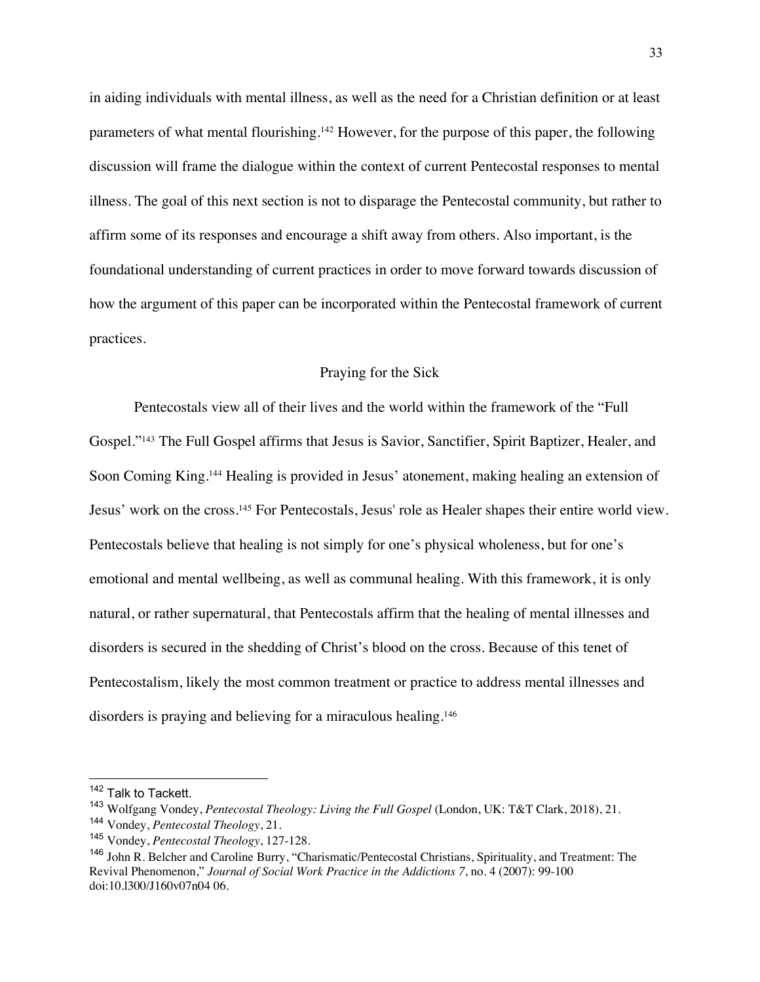in aiding individuals with mental illness, as well as the need for a Christian definition or at least parameters of what mental flourishing.142 However, for the purpose of this paper, the following discussion will frame the dialogue within the context of current Pentecostal responses to mental illness. The goal of this next section is not to disparage the Pentecostal community, but rather to affirm some of its responses and encourage a shift away from others. Also important, is the foundational understanding of current practices in order to move forward towards discussion of how the argument of this paper can be incorporated within the Pentecostal framework of current practices.

#### Praying for the Sick

Pentecostals view all of their lives and the world within the framework of the "Full Gospel."143 The Full Gospel affirms that Jesus is Savior, Sanctifier, Spirit Baptizer, Healer, and Soon Coming King.144 Healing is provided in Jesus' atonement, making healing an extension of Jesus' work on the cross.145 For Pentecostals, Jesus' role as Healer shapes their entire world view. Pentecostals believe that healing is not simply for one's physical wholeness, but for one's emotional and mental wellbeing, as well as communal healing. With this framework, it is only natural, or rather supernatural, that Pentecostals affirm that the healing of mental illnesses and disorders is secured in the shedding of Christ's blood on the cross. Because of this tenet of Pentecostalism, likely the most common treatment or practice to address mental illnesses and disorders is praying and believing for a miraculous healing.<sup>146</sup>

<sup>&</sup>lt;sup>142</sup> Talk to Tackett.

<sup>143</sup> Wolfgang Vondey, *Pentecostal Theology: Living the Full Gospel* (London, UK: T&T Clark, 2018), 21. <sup>144</sup> Vondey, *Pentecostal Theology*, 21.

<sup>145</sup> Vondey, *Pentecostal Theology*, 127-128.

<sup>146</sup> John R. Belcher and Caroline Burry, "Charismatic/Pentecostal Christians, Spirituality, and Treatment: The Revival Phenomenon," *Journal of Social Work Practice in the Addictions 7*, no. 4 (2007): 99-100 doi:10.l300/J160v07n04 06.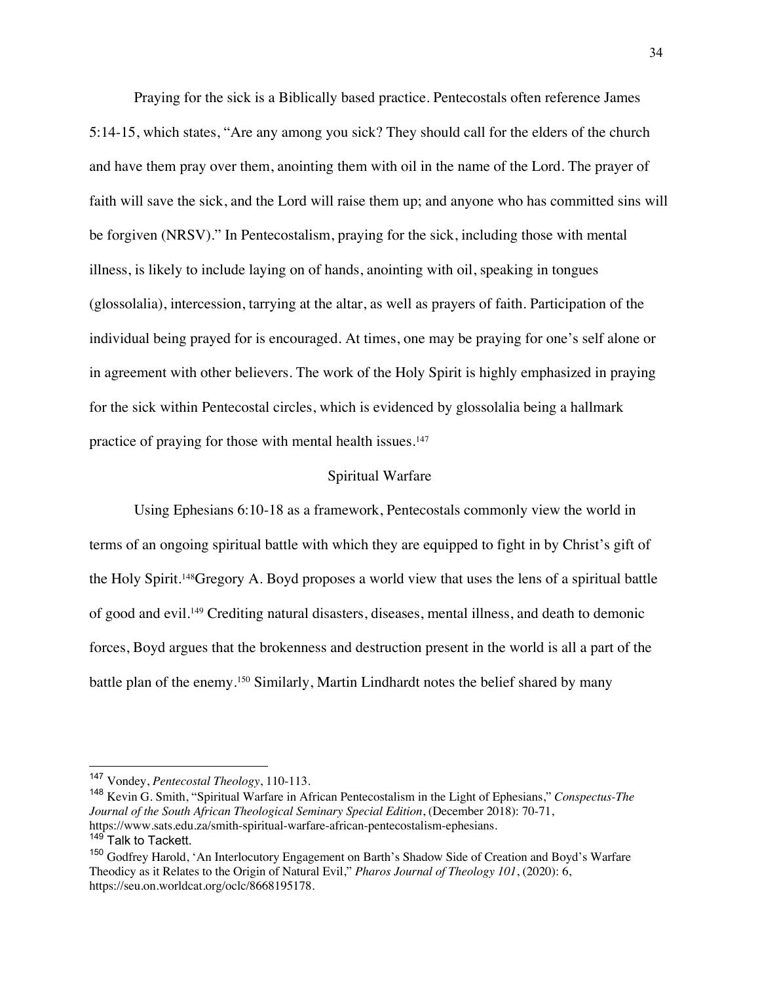Praying for the sick is a Biblically based practice. Pentecostals often reference James 5:14-15, which states, "Are any among you sick? They should call for the elders of the church and have them pray over them, anointing them with oil in the name of the Lord. The prayer of faith will save the sick, and the Lord will raise them up; and anyone who has committed sins will be forgiven (NRSV)." In Pentecostalism, praying for the sick, including those with mental illness, is likely to include laying on of hands, anointing with oil, speaking in tongues (glossolalia), intercession, tarrying at the altar, as well as prayers of faith. Participation of the individual being prayed for is encouraged. At times, one may be praying for one's self alone or in agreement with other believers. The work of the Holy Spirit is highly emphasized in praying for the sick within Pentecostal circles, which is evidenced by glossolalia being a hallmark practice of praying for those with mental health issues.147

#### Spiritual Warfare

Using Ephesians 6:10-18 as a framework, Pentecostals commonly view the world in terms of an ongoing spiritual battle with which they are equipped to fight in by Christ's gift of the Holy Spirit.148Gregory A. Boyd proposes a world view that uses the lens of a spiritual battle of good and evil.149 Crediting natural disasters, diseases, mental illness, and death to demonic forces, Boyd argues that the brokenness and destruction present in the world is all a part of the battle plan of the enemy.150 Similarly, Martin Lindhardt notes the belief shared by many

<sup>147</sup> Vondey, *Pentecostal Theology*, 110-113.

<sup>148</sup> Kevin G. Smith, "Spiritual Warfare in African Pentecostalism in the Light of Ephesians," *Conspectus-The Journal of the South African Theological Seminary Special Edition*, (December 2018): 70-71, https://www.sats.edu.za/smith-spiritual-warfare-african-pentecostalism-ephesians.

<sup>&</sup>lt;sup>149</sup> Talk to Tackett.

<sup>&</sup>lt;sup>150</sup> Godfrey Harold, 'An Interlocutory Engagement on Barth's Shadow Side of Creation and Boyd's Warfare Theodicy as it Relates to the Origin of Natural Evil," *Pharos Journal of Theology 101*, (2020): 6, https://seu.on.worldcat.org/oclc/8668195178.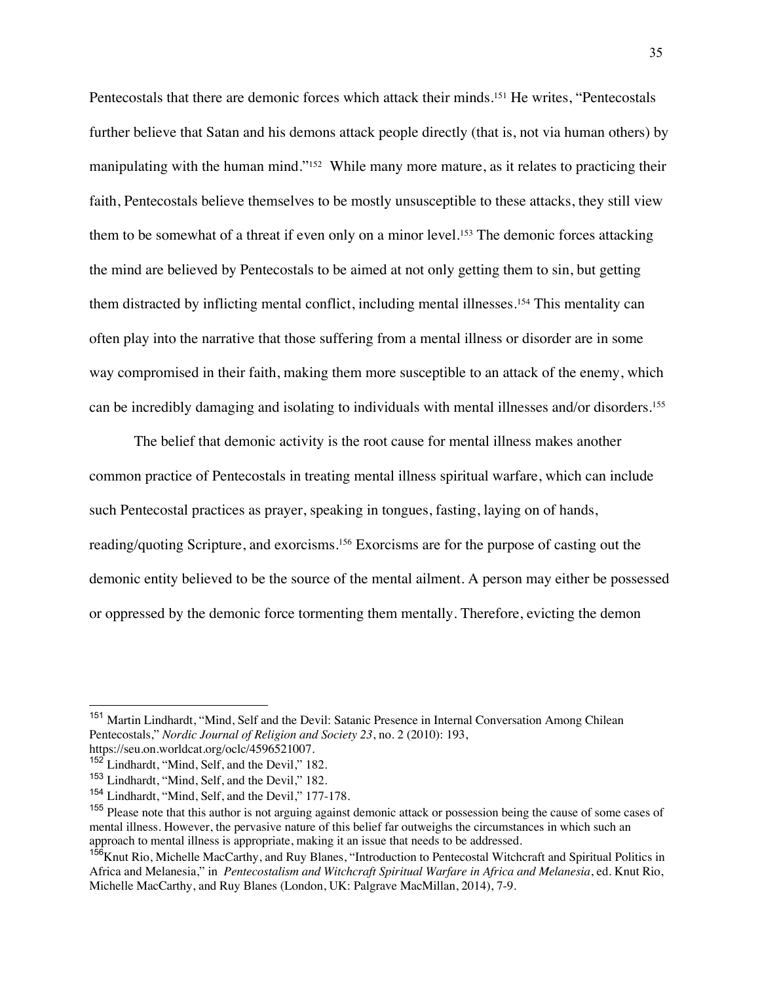Pentecostals that there are demonic forces which attack their minds.151 He writes, "Pentecostals further believe that Satan and his demons attack people directly (that is, not via human others) by manipulating with the human mind."<sup>152</sup> While many more mature, as it relates to practicing their faith, Pentecostals believe themselves to be mostly unsusceptible to these attacks, they still view them to be somewhat of a threat if even only on a minor level.153 The demonic forces attacking the mind are believed by Pentecostals to be aimed at not only getting them to sin, but getting them distracted by inflicting mental conflict, including mental illnesses.154 This mentality can often play into the narrative that those suffering from a mental illness or disorder are in some way compromised in their faith, making them more susceptible to an attack of the enemy, which can be incredibly damaging and isolating to individuals with mental illnesses and/or disorders.155

The belief that demonic activity is the root cause for mental illness makes another common practice of Pentecostals in treating mental illness spiritual warfare, which can include such Pentecostal practices as prayer, speaking in tongues, fasting, laying on of hands, reading/quoting Scripture, and exorcisms.156 Exorcisms are for the purpose of casting out the demonic entity believed to be the source of the mental ailment. A person may either be possessed or oppressed by the demonic force tormenting them mentally. Therefore, evicting the demon

<sup>&</sup>lt;sup>151</sup> Martin Lindhardt, "Mind, Self and the Devil: Satanic Presence in Internal Conversation Among Chilean Pentecostals," *Nordic Journal of Religion and Society 23*, no. 2 (2010): 193, https://seu.on.worldcat.org/oclc/4596521007.

<sup>&</sup>lt;sup>152</sup> Lindhardt, "Mind, Self, and the Devil," 182.

<sup>153</sup> Lindhardt, "Mind, Self, and the Devil," 182.

<sup>&</sup>lt;sup>154</sup> Lindhardt, "Mind, Self, and the Devil," 177-178.

<sup>&</sup>lt;sup>155</sup> Please note that this author is not arguing against demonic attack or possession being the cause of some cases of mental illness. However, the pervasive nature of this belief far outweighs the circumstances in which such an approach to mental illness is appropriate, making it an issue that needs to be addressed.

<sup>&</sup>lt;sup>156</sup>Knut Rio, Michelle MacCarthy, and Ruy Blanes, "Introduction to Pentecostal Witchcraft and Spiritual Politics in Africa and Melanesia," in *Pentecostalism and Witchcraft Spiritual Warfare in Africa and Melanesia*, ed. Knut Rio, Michelle MacCarthy, and Ruy Blanes (London, UK: Palgrave MacMillan, 2014), 7-9.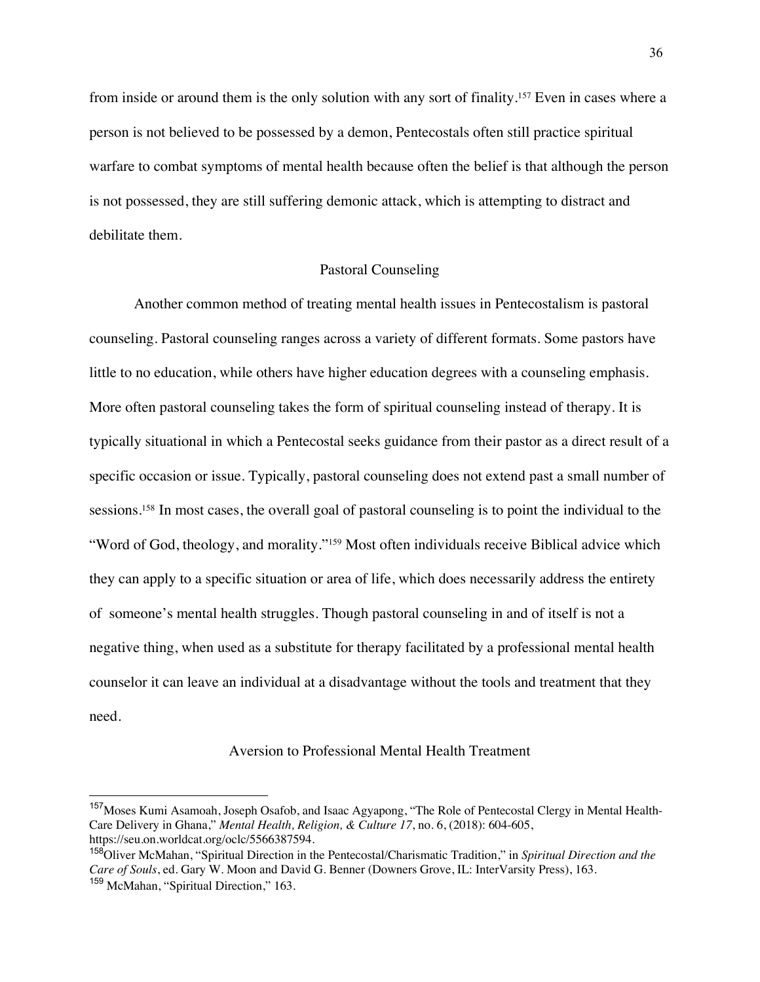from inside or around them is the only solution with any sort of finality.<sup>157</sup> Even in cases where a person is not believed to be possessed by a demon, Pentecostals often still practice spiritual warfare to combat symptoms of mental health because often the belief is that although the person is not possessed, they are still suffering demonic attack, which is attempting to distract and debilitate them.

# Pastoral Counseling

Another common method of treating mental health issues in Pentecostalism is pastoral counseling. Pastoral counseling ranges across a variety of different formats. Some pastors have little to no education, while others have higher education degrees with a counseling emphasis. More often pastoral counseling takes the form of spiritual counseling instead of therapy. It is typically situational in which a Pentecostal seeks guidance from their pastor as a direct result of a specific occasion or issue. Typically, pastoral counseling does not extend past a small number of sessions.<sup>158</sup> In most cases, the overall goal of pastoral counseling is to point the individual to the "Word of God, theology, and morality."<sup>159</sup> Most often individuals receive Biblical advice which they can apply to a specific situation or area of life, which does necessarily address the entirety of someone's mental health struggles. Though pastoral counseling in and of itself is not a negative thing, when used as a substitute for therapy facilitated by a professional mental health counselor it can leave an individual at a disadvantage without the tools and treatment that they need.

# Aversion to Professional Mental Health Treatment

<sup>&</sup>lt;sup>157</sup> Moses Kumi Asamoah, Joseph Osafob, and Isaac Agyapong, "The Role of Pentecostal Clergy in Mental Health-Care Delivery in Ghana," *Mental Health, Religion, & Culture 17*, no. 6, (2018): 604-605, https://seu.on.worldcat.org/oclc/5566387594.

<sup>158</sup>Oliver McMahan, "Spiritual Direction in the Pentecostal/Charismatic Tradition," in *Spiritual Direction and the Care of Souls*, ed. Gary W. Moon and David G. Benner (Downers Grove, IL: InterVarsity Press), 163. <sup>159</sup> McMahan, "Spiritual Direction," 163.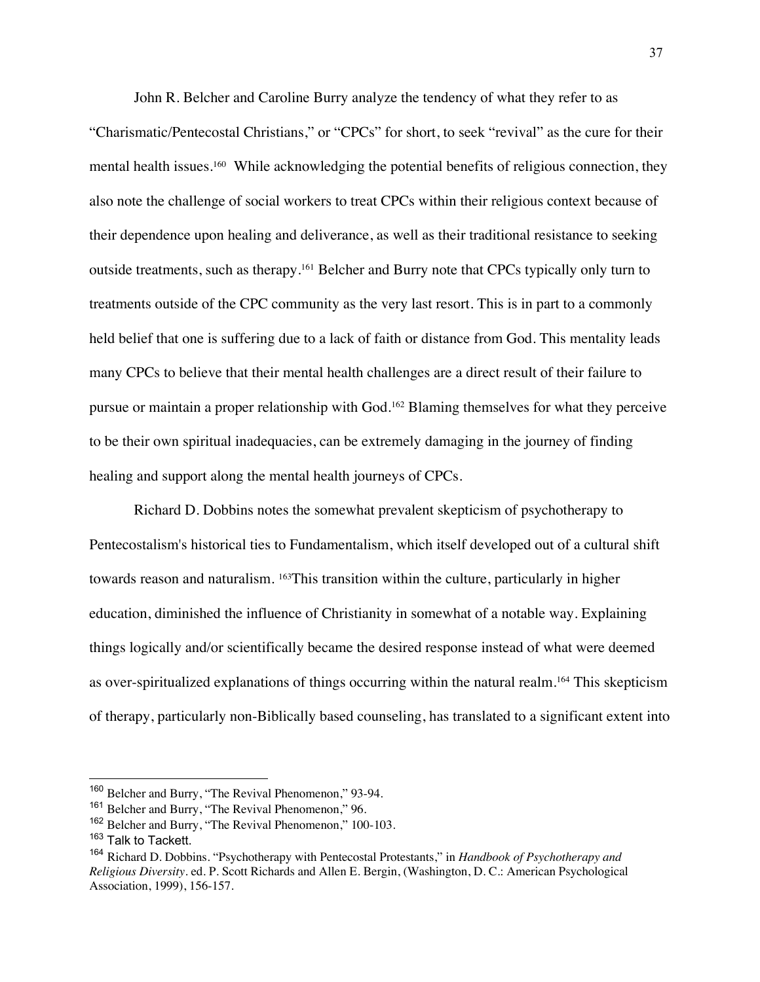John R. Belcher and Caroline Burry analyze the tendency of what they refer to as "Charismatic/Pentecostal Christians," or "CPCs" for short, to seek "revival" as the cure for their mental health issues.<sup>160</sup> While acknowledging the potential benefits of religious connection, they also note the challenge of social workers to treat CPCs within their religious context because of their dependence upon healing and deliverance, as well as their traditional resistance to seeking outside treatments, such as therapy.161 Belcher and Burry note that CPCs typically only turn to treatments outside of the CPC community as the very last resort. This is in part to a commonly held belief that one is suffering due to a lack of faith or distance from God. This mentality leads many CPCs to believe that their mental health challenges are a direct result of their failure to pursue or maintain a proper relationship with God.162 Blaming themselves for what they perceive to be their own spiritual inadequacies, can be extremely damaging in the journey of finding healing and support along the mental health journeys of CPCs.

Richard D. Dobbins notes the somewhat prevalent skepticism of psychotherapy to Pentecostalism's historical ties to Fundamentalism, which itself developed out of a cultural shift towards reason and naturalism. 163This transition within the culture, particularly in higher education, diminished the influence of Christianity in somewhat of a notable way. Explaining things logically and/or scientifically became the desired response instead of what were deemed as over-spiritualized explanations of things occurring within the natural realm.164 This skepticism of therapy, particularly non-Biblically based counseling, has translated to a significant extent into

<sup>160</sup> Belcher and Burry, "The Revival Phenomenon," 93-94.

<sup>&</sup>lt;sup>161</sup> Belcher and Burry, "The Revival Phenomenon," 96.

<sup>162</sup> Belcher and Burry, "The Revival Phenomenon," 100-103.

<sup>&</sup>lt;sup>163</sup> Talk to Tackett.

<sup>164</sup> Richard D. Dobbins. "Psychotherapy with Pentecostal Protestants," in *Handbook of Psychotherapy and Religious Diversity*. ed. P. Scott Richards and Allen E. Bergin, (Washington, D. C.: American Psychological Association, 1999), 156-157.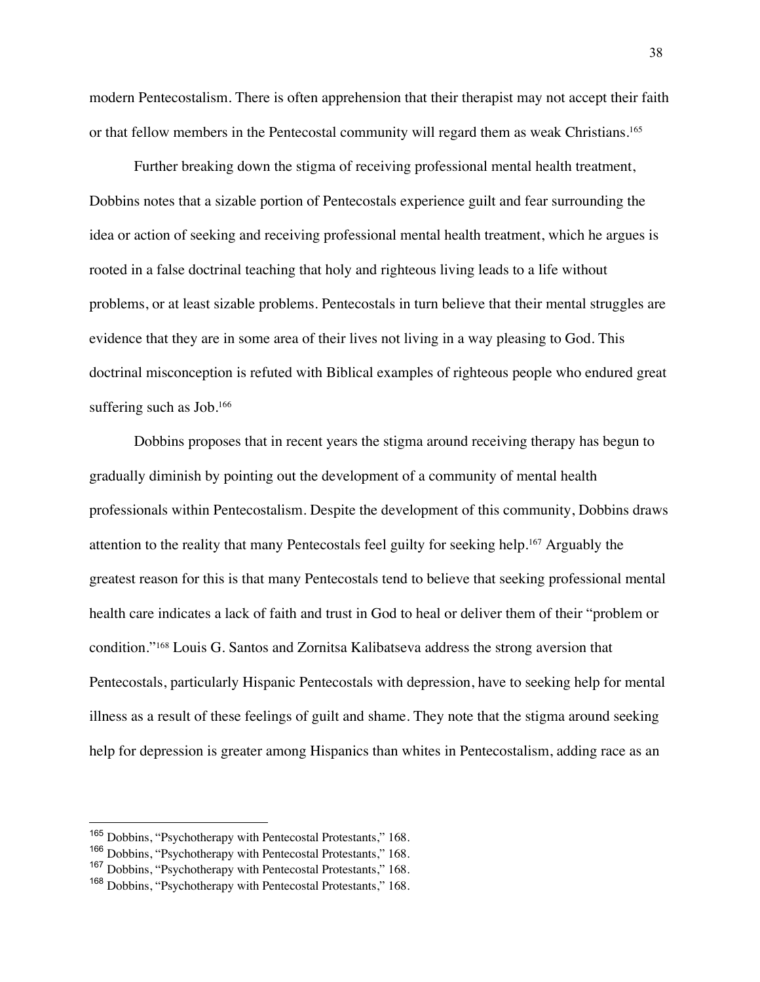modern Pentecostalism. There is often apprehension that their therapist may not accept their faith or that fellow members in the Pentecostal community will regard them as weak Christians.165

Further breaking down the stigma of receiving professional mental health treatment, Dobbins notes that a sizable portion of Pentecostals experience guilt and fear surrounding the idea or action of seeking and receiving professional mental health treatment, which he argues is rooted in a false doctrinal teaching that holy and righteous living leads to a life without problems, or at least sizable problems. Pentecostals in turn believe that their mental struggles are evidence that they are in some area of their lives not living in a way pleasing to God. This doctrinal misconception is refuted with Biblical examples of righteous people who endured great suffering such as Job.<sup>166</sup>

Dobbins proposes that in recent years the stigma around receiving therapy has begun to gradually diminish by pointing out the development of a community of mental health professionals within Pentecostalism. Despite the development of this community, Dobbins draws attention to the reality that many Pentecostals feel guilty for seeking help.167 Arguably the greatest reason for this is that many Pentecostals tend to believe that seeking professional mental health care indicates a lack of faith and trust in God to heal or deliver them of their "problem or condition."168 Louis G. Santos and Zornitsa Kalibatseva address the strong aversion that Pentecostals, particularly Hispanic Pentecostals with depression, have to seeking help for mental illness as a result of these feelings of guilt and shame. They note that the stigma around seeking help for depression is greater among Hispanics than whites in Pentecostalism, adding race as an

<sup>165</sup> Dobbins, "Psychotherapy with Pentecostal Protestants," 168.

<sup>166</sup> Dobbins, "Psychotherapy with Pentecostal Protestants," 168.

<sup>&</sup>lt;sup>167</sup> Dobbins, "Psychotherapy with Pentecostal Protestants," 168.

<sup>&</sup>lt;sup>168</sup> Dobbins, "Psychotherapy with Pentecostal Protestants," 168.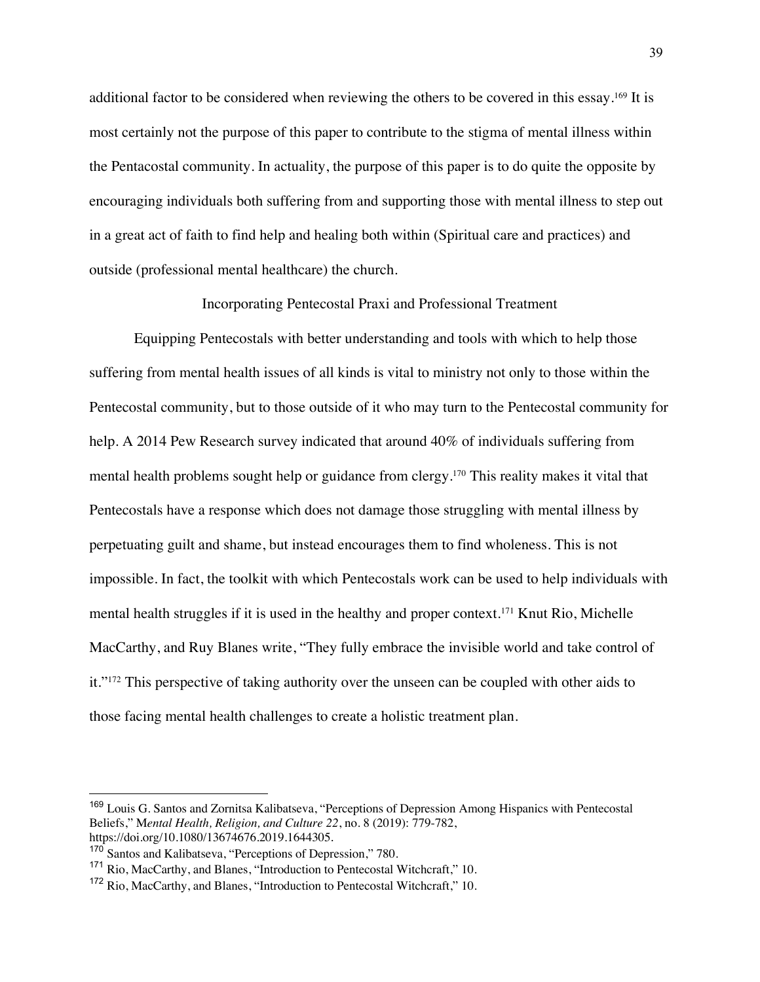additional factor to be considered when reviewing the others to be covered in this essay.169 It is most certainly not the purpose of this paper to contribute to the stigma of mental illness within the Pentacostal community. In actuality, the purpose of this paper is to do quite the opposite by encouraging individuals both suffering from and supporting those with mental illness to step out in a great act of faith to find help and healing both within (Spiritual care and practices) and outside (professional mental healthcare) the church.

Incorporating Pentecostal Praxi and Professional Treatment

Equipping Pentecostals with better understanding and tools with which to help those suffering from mental health issues of all kinds is vital to ministry not only to those within the Pentecostal community, but to those outside of it who may turn to the Pentecostal community for help. A 2014 Pew Research survey indicated that around 40% of individuals suffering from mental health problems sought help or guidance from clergy.170 This reality makes it vital that Pentecostals have a response which does not damage those struggling with mental illness by perpetuating guilt and shame, but instead encourages them to find wholeness. This is not impossible. In fact, the toolkit with which Pentecostals work can be used to help individuals with mental health struggles if it is used in the healthy and proper context.171 Knut Rio, Michelle MacCarthy, and Ruy Blanes write, "They fully embrace the invisible world and take control of it."172 This perspective of taking authority over the unseen can be coupled with other aids to those facing mental health challenges to create a holistic treatment plan.

<sup>&</sup>lt;sup>169</sup> Louis G. Santos and Zornitsa Kalibatseva, "Perceptions of Depression Among Hispanics with Pentecostal Beliefs," M*ental Health, Religion, and Culture 22*, no. 8 (2019): 779-782, https://doi.org/10.1080/13674676.2019.1644305.

<sup>&</sup>lt;sup>170</sup> Santos and Kalibatseva, "Perceptions of Depression," 780.

<sup>171</sup> Rio, MacCarthy, and Blanes, "Introduction to Pentecostal Witchcraft," 10.

<sup>&</sup>lt;sup>172</sup> Rio, MacCarthy, and Blanes, "Introduction to Pentecostal Witchcraft," 10.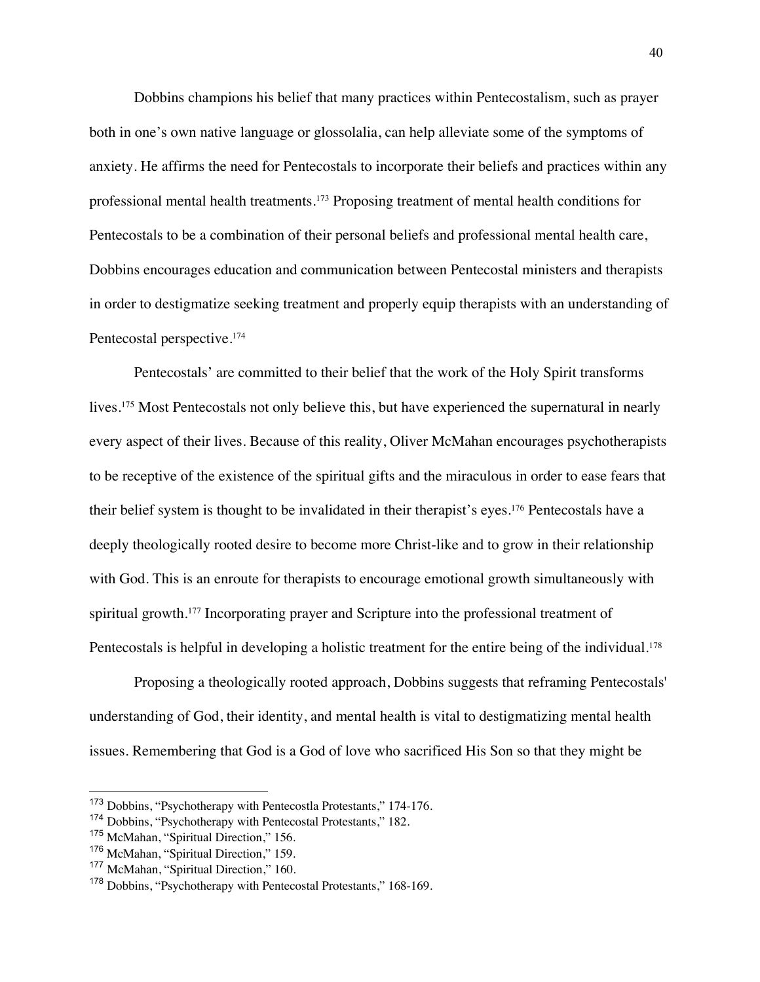Dobbins champions his belief that many practices within Pentecostalism, such as prayer both in one's own native language or glossolalia, can help alleviate some of the symptoms of anxiety. He affirms the need for Pentecostals to incorporate their beliefs and practices within any professional mental health treatments.173 Proposing treatment of mental health conditions for Pentecostals to be a combination of their personal beliefs and professional mental health care, Dobbins encourages education and communication between Pentecostal ministers and therapists in order to destigmatize seeking treatment and properly equip therapists with an understanding of Pentecostal perspective.<sup>174</sup>

Pentecostals' are committed to their belief that the work of the Holy Spirit transforms lives.<sup>175</sup> Most Pentecostals not only believe this, but have experienced the supernatural in nearly every aspect of their lives. Because of this reality, Oliver McMahan encourages psychotherapists to be receptive of the existence of the spiritual gifts and the miraculous in order to ease fears that their belief system is thought to be invalidated in their therapist's eyes.176 Pentecostals have a deeply theologically rooted desire to become more Christ-like and to grow in their relationship with God. This is an enroute for therapists to encourage emotional growth simultaneously with spiritual growth.<sup>177</sup> Incorporating prayer and Scripture into the professional treatment of Pentecostals is helpful in developing a holistic treatment for the entire being of the individual.<sup>178</sup>

Proposing a theologically rooted approach, Dobbins suggests that reframing Pentecostals' understanding of God, their identity, and mental health is vital to destigmatizing mental health issues. Remembering that God is a God of love who sacrificed His Son so that they might be

<sup>173</sup> Dobbins, "Psychotherapy with Pentecostla Protestants," 174-176.

<sup>174</sup> Dobbins, "Psychotherapy with Pentecostal Protestants," 182.

<sup>175</sup> McMahan, "Spiritual Direction," 156.

<sup>176</sup> McMahan, "Spiritual Direction," 159.

<sup>&</sup>lt;sup>177</sup> McMahan, "Spiritual Direction," 160.

<sup>&</sup>lt;sup>178</sup> Dobbins, "Psychotherapy with Pentecostal Protestants," 168-169.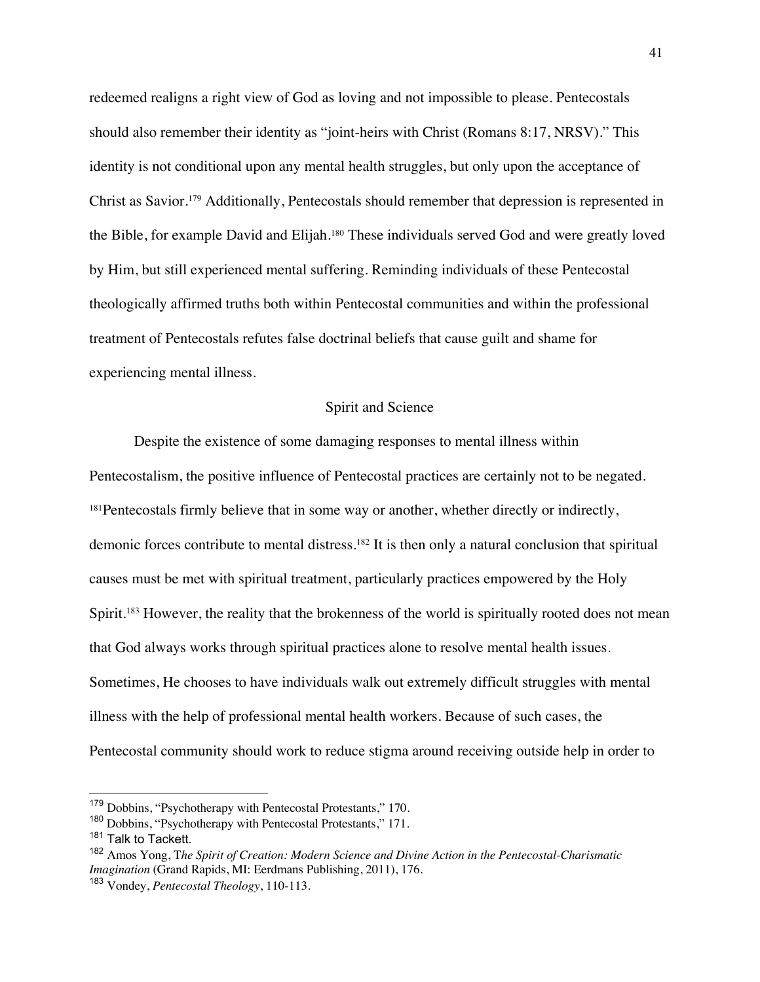redeemed realigns a right view of God as loving and not impossible to please. Pentecostals should also remember their identity as "joint-heirs with Christ (Romans 8:17, NRSV)." This identity is not conditional upon any mental health struggles, but only upon the acceptance of Christ as Savior.179 Additionally, Pentecostals should remember that depression is represented in the Bible, for example David and Elijah.180 These individuals served God and were greatly loved by Him, but still experienced mental suffering. Reminding individuals of these Pentecostal theologically affirmed truths both within Pentecostal communities and within the professional treatment of Pentecostals refutes false doctrinal beliefs that cause guilt and shame for experiencing mental illness.

#### Spirit and Science

Despite the existence of some damaging responses to mental illness within Pentecostalism, the positive influence of Pentecostal practices are certainly not to be negated. <sup>181</sup>Pentecostals firmly believe that in some way or another, whether directly or indirectly, demonic forces contribute to mental distress.<sup>182</sup> It is then only a natural conclusion that spiritual causes must be met with spiritual treatment, particularly practices empowered by the Holy Spirit.<sup>183</sup> However, the reality that the brokenness of the world is spiritually rooted does not mean that God always works through spiritual practices alone to resolve mental health issues. Sometimes, He chooses to have individuals walk out extremely difficult struggles with mental illness with the help of professional mental health workers. Because of such cases, the Pentecostal community should work to reduce stigma around receiving outside help in order to

<sup>179</sup> Dobbins, "Psychotherapy with Pentecostal Protestants," 170.

<sup>180</sup> Dobbins, "Psychotherapy with Pentecostal Protestants," 171.

<sup>&</sup>lt;sup>181</sup> Talk to Tackett.

<sup>182</sup> Amos Yong, T*he Spirit of Creation: Modern Science and Divine Action in the Pentecostal-Charismatic Imagination* (Grand Rapids, MI: Eerdmans Publishing, 2011), 176.

<sup>183</sup> Vondey, *Pentecostal Theology*, 110-113.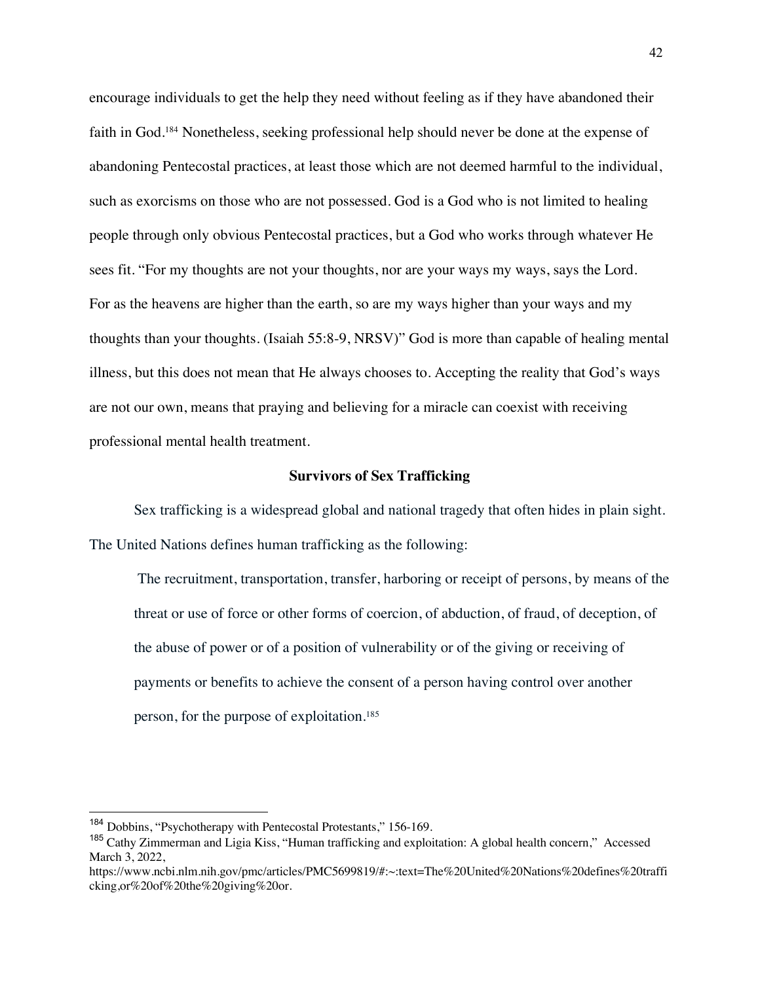encourage individuals to get the help they need without feeling as if they have abandoned their faith in God.184 Nonetheless, seeking professional help should never be done at the expense of abandoning Pentecostal practices, at least those which are not deemed harmful to the individual, such as exorcisms on those who are not possessed. God is a God who is not limited to healing people through only obvious Pentecostal practices, but a God who works through whatever He sees fit. "For my thoughts are not your thoughts, nor are your ways my ways, says the Lord. For as the heavens are higher than the earth, so are my ways higher than your ways and my thoughts than your thoughts. (Isaiah 55:8-9, NRSV)" God is more than capable of healing mental illness, but this does not mean that He always chooses to. Accepting the reality that God's ways are not our own, means that praying and believing for a miracle can coexist with receiving professional mental health treatment.

#### **Survivors of Sex Trafficking**

Sex trafficking is a widespread global and national tragedy that often hides in plain sight. The United Nations defines human trafficking as the following:

The recruitment, transportation, transfer, harboring or receipt of persons, by means of the threat or use of force or other forms of coercion, of abduction, of fraud, of deception, of the abuse of power or of a position of vulnerability or of the giving or receiving of payments or benefits to achieve the consent of a person having control over another person, for the purpose of exploitation.185

<sup>184</sup> Dobbins, "Psychotherapy with Pentecostal Protestants," 156-169.

<sup>&</sup>lt;sup>185</sup> Cathy Zimmerman and Ligia Kiss, "Human trafficking and exploitation: A global health concern," Accessed March 3, 2022,

https://www.ncbi.nlm.nih.gov/pmc/articles/PMC5699819/#:~:text=The%20United%20Nations%20defines%20traffi cking,or%20of%20the%20giving%20or.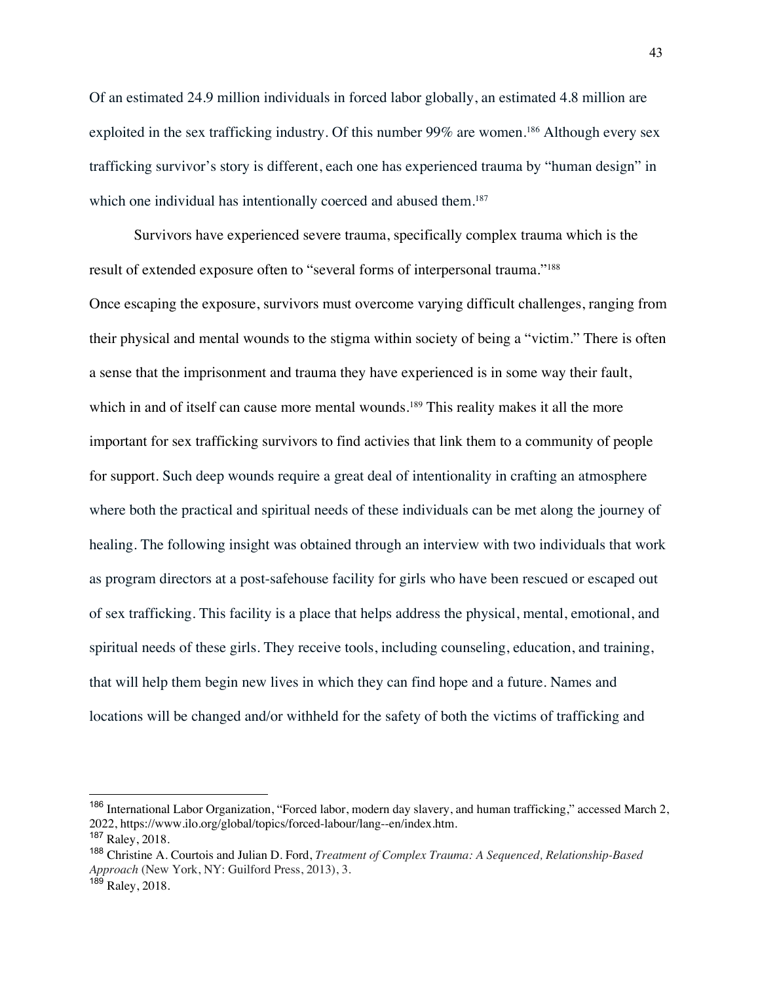Of an estimated 24.9 million individuals in forced labor globally, an estimated 4.8 million are exploited in the sex trafficking industry. Of this number 99% are women.<sup>186</sup> Although every sex trafficking survivor's story is different, each one has experienced trauma by "human design" in which one individual has intentionally coerced and abused them.<sup>187</sup>

Survivors have experienced severe trauma, specifically complex trauma which is the result of extended exposure often to "several forms of interpersonal trauma."188 Once escaping the exposure, survivors must overcome varying difficult challenges, ranging from their physical and mental wounds to the stigma within society of being a "victim." There is often a sense that the imprisonment and trauma they have experienced is in some way their fault, which in and of itself can cause more mental wounds.<sup>189</sup> This reality makes it all the more important for sex trafficking survivors to find activies that link them to a community of people for support. Such deep wounds require a great deal of intentionality in crafting an atmosphere where both the practical and spiritual needs of these individuals can be met along the journey of healing. The following insight was obtained through an interview with two individuals that work as program directors at a post-safehouse facility for girls who have been rescued or escaped out of sex trafficking. This facility is a place that helps address the physical, mental, emotional, and spiritual needs of these girls. They receive tools, including counseling, education, and training, that will help them begin new lives in which they can find hope and a future. Names and locations will be changed and/or withheld for the safety of both the victims of trafficking and

<sup>186</sup> International Labor Organization, "Forced labor, modern day slavery, and human trafficking," accessed March 2, 2022, https://www.ilo.org/global/topics/forced-labour/lang--en/index.htm.

<sup>187</sup> Raley, 2018.

<sup>188</sup> Christine A. Courtois and Julian D. Ford, *Treatment of Complex Trauma: A Sequenced, Relationship-Based Approach* (New York, NY: Guilford Press, 2013), 3.

<sup>189</sup> Raley, 2018.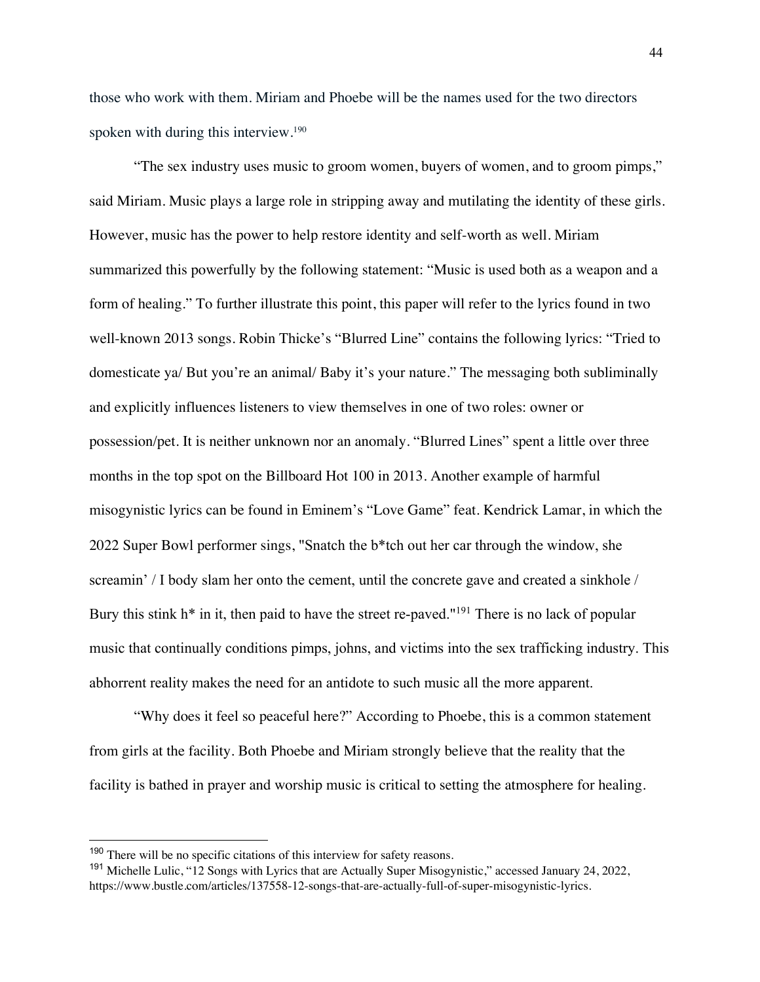those who work with them. Miriam and Phoebe will be the names used for the two directors spoken with during this interview.<sup>190</sup>

"The sex industry uses music to groom women, buyers of women, and to groom pimps," said Miriam. Music plays a large role in stripping away and mutilating the identity of these girls. However, music has the power to help restore identity and self-worth as well. Miriam summarized this powerfully by the following statement: "Music is used both as a weapon and a form of healing." To further illustrate this point, this paper will refer to the lyrics found in two well-known 2013 songs. Robin Thicke's "Blurred Line" contains the following lyrics: "Tried to domesticate ya/ But you're an animal/ Baby it's your nature." The messaging both subliminally and explicitly influences listeners to view themselves in one of two roles: owner or possession/pet. It is neither unknown nor an anomaly. "Blurred Lines" spent a little over three months in the top spot on the Billboard Hot 100 in 2013. Another example of harmful misogynistic lyrics can be found in Eminem's "Love Game" feat. Kendrick Lamar, in which the 2022 Super Bowl performer sings, "Snatch the b\*tch out her car through the window, she screamin' / I body slam her onto the cement, until the concrete gave and created a sinkhole / Bury this stink  $h^*$  in it, then paid to have the street re-paved."<sup>191</sup> There is no lack of popular music that continually conditions pimps, johns, and victims into the sex trafficking industry. This abhorrent reality makes the need for an antidote to such music all the more apparent.

"Why does it feel so peaceful here?" According to Phoebe, this is a common statement from girls at the facility. Both Phoebe and Miriam strongly believe that the reality that the facility is bathed in prayer and worship music is critical to setting the atmosphere for healing.

<sup>&</sup>lt;sup>190</sup> There will be no specific citations of this interview for safety reasons.

<sup>191</sup> Michelle Lulic, "12 Songs with Lyrics that are Actually Super Misogynistic," accessed January 24, 2022, https://www.bustle.com/articles/137558-12-songs-that-are-actually-full-of-super-misogynistic-lyrics.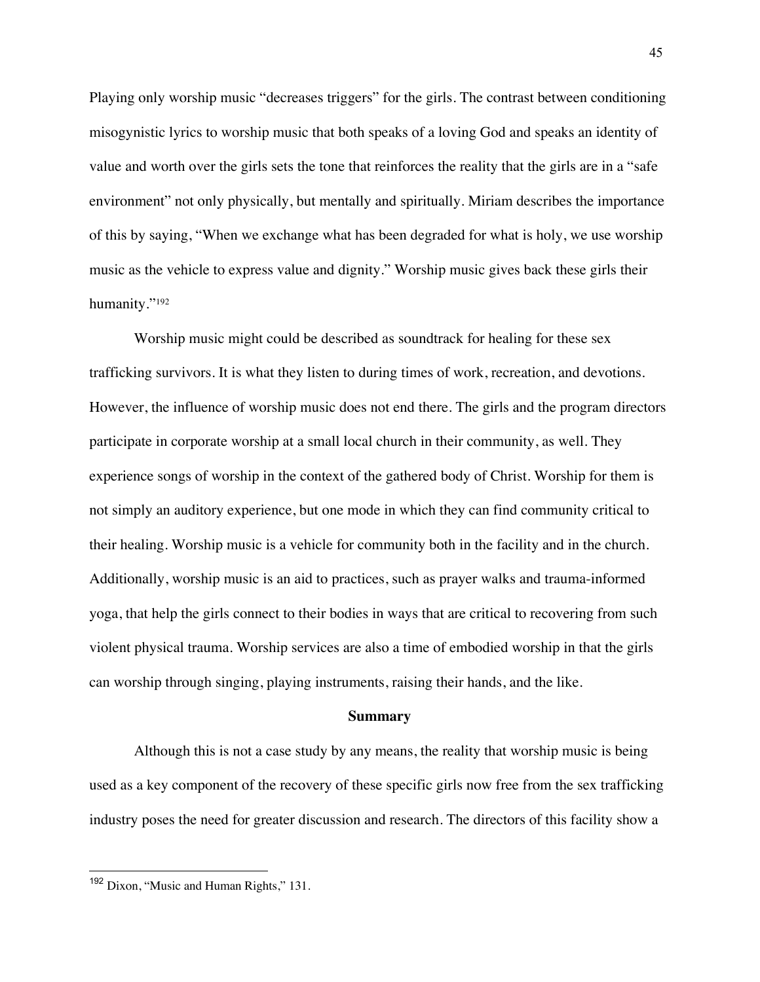Playing only worship music "decreases triggers" for the girls. The contrast between conditioning misogynistic lyrics to worship music that both speaks of a loving God and speaks an identity of value and worth over the girls sets the tone that reinforces the reality that the girls are in a "safe environment" not only physically, but mentally and spiritually. Miriam describes the importance of this by saying, "When we exchange what has been degraded for what is holy, we use worship music as the vehicle to express value and dignity." Worship music gives back these girls their humanity."192

Worship music might could be described as soundtrack for healing for these sex trafficking survivors. It is what they listen to during times of work, recreation, and devotions. However, the influence of worship music does not end there. The girls and the program directors participate in corporate worship at a small local church in their community, as well. They experience songs of worship in the context of the gathered body of Christ. Worship for them is not simply an auditory experience, but one mode in which they can find community critical to their healing. Worship music is a vehicle for community both in the facility and in the church. Additionally, worship music is an aid to practices, such as prayer walks and trauma-informed yoga, that help the girls connect to their bodies in ways that are critical to recovering from such violent physical trauma. Worship services are also a time of embodied worship in that the girls can worship through singing, playing instruments, raising their hands, and the like.

#### **Summary**

Although this is not a case study by any means, the reality that worship music is being used as a key component of the recovery of these specific girls now free from the sex trafficking industry poses the need for greater discussion and research. The directors of this facility show a

<sup>&</sup>lt;sup>192</sup> Dixon, "Music and Human Rights," 131.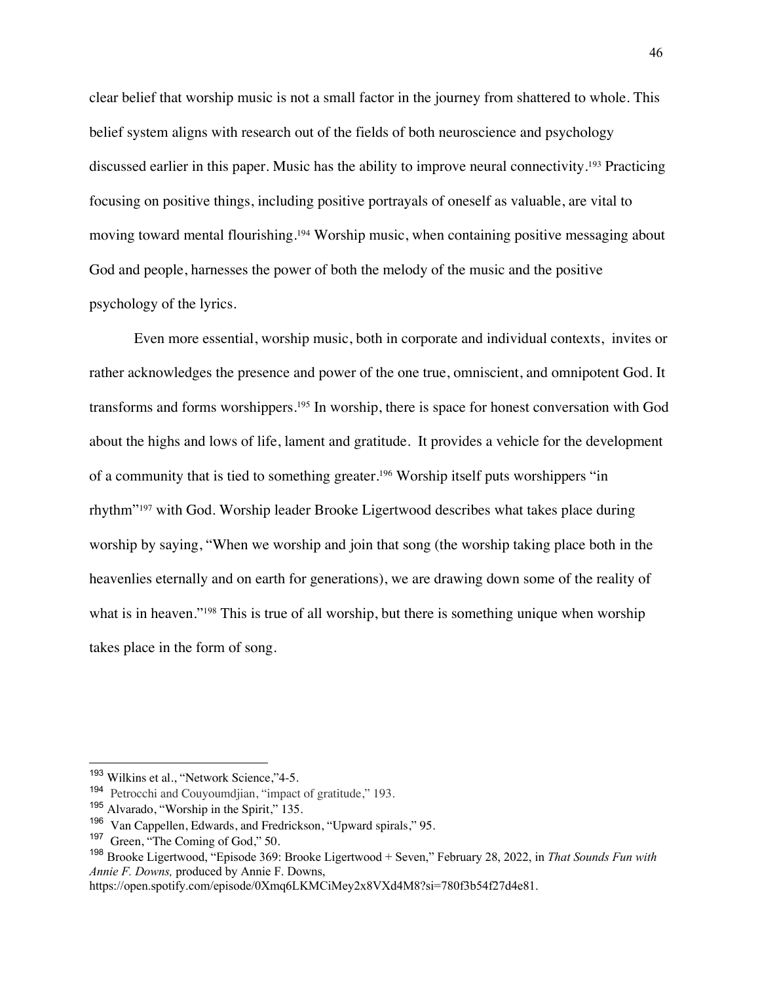clear belief that worship music is not a small factor in the journey from shattered to whole. This belief system aligns with research out of the fields of both neuroscience and psychology discussed earlier in this paper. Music has the ability to improve neural connectivity.193 Practicing focusing on positive things, including positive portrayals of oneself as valuable, are vital to moving toward mental flourishing.194 Worship music, when containing positive messaging about God and people, harnesses the power of both the melody of the music and the positive psychology of the lyrics.

Even more essential, worship music, both in corporate and individual contexts, invites or rather acknowledges the presence and power of the one true, omniscient, and omnipotent God. It transforms and forms worshippers.195 In worship, there is space for honest conversation with God about the highs and lows of life, lament and gratitude. It provides a vehicle for the development of a community that is tied to something greater.196 Worship itself puts worshippers "in rhythm"197 with God. Worship leader Brooke Ligertwood describes what takes place during worship by saying, "When we worship and join that song (the worship taking place both in the heavenlies eternally and on earth for generations), we are drawing down some of the reality of what is in heaven."<sup>198</sup> This is true of all worship, but there is something unique when worship takes place in the form of song.

<sup>&</sup>lt;sup>193</sup> Wilkins et al., "Network Science,"4-5.

<sup>194</sup> Petrocchi and Couyoumdjian, "impact of gratitude," 193.

<sup>195</sup> Alvarado, "Worship in the Spirit," 135.

<sup>&</sup>lt;sup>196</sup> Van Cappellen, Edwards, and Fredrickson, "Upward spirals," 95.<br><sup>197</sup> Green, "The Coming of God." 50

Green, "The Coming of God," 50.

<sup>198</sup> Brooke Ligertwood, "Episode 369: Brooke Ligertwood + Seven," February 28, 2022, in *That Sounds Fun with Annie F. Downs,* produced by Annie F. Downs,

https://open.spotify.com/episode/0Xmq6LKMCiMey2x8VXd4M8?si=780f3b54f27d4e81.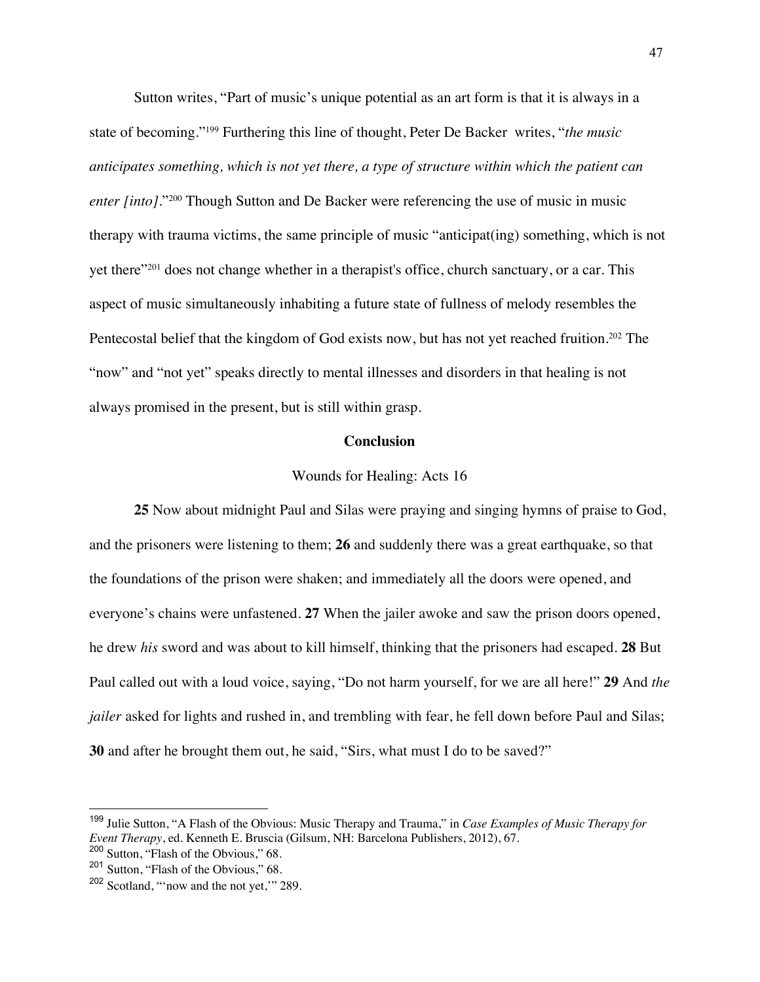Sutton writes, "Part of music's unique potential as an art form is that it is always in a state of becoming."199 Furthering this line of thought, Peter De Backer writes, "*the music anticipates something, which is not yet there, a type of structure within which the patient can enter [into]*."200 Though Sutton and De Backer were referencing the use of music in music therapy with trauma victims, the same principle of music "anticipat(ing) something, which is not yet there"201 does not change whether in a therapist's office, church sanctuary, or a car. This aspect of music simultaneously inhabiting a future state of fullness of melody resembles the Pentecostal belief that the kingdom of God exists now, but has not yet reached fruition.<sup>202</sup> The "now" and "not yet" speaks directly to mental illnesses and disorders in that healing is not always promised in the present, but is still within grasp.

### **Conclusion**

#### Wounds for Healing: Acts 16

**25** Now about midnight Paul and Silas were praying and singing hymns of praise to God, and the prisoners were listening to them; **26** and suddenly there was a great earthquake, so that the foundations of the prison were shaken; and immediately all the doors were opened, and everyone's chains were unfastened. **27** When the jailer awoke and saw the prison doors opened, he drew *his* sword and was about to kill himself, thinking that the prisoners had escaped. **28** But Paul called out with a loud voice, saying, "Do not harm yourself, for we are all here!" **29** And *the jailer* asked for lights and rushed in, and trembling with fear, he fell down before Paul and Silas; **30** and after he brought them out, he said, "Sirs, what must I do to be saved?"

<sup>199</sup> Julie Sutton, "A Flash of the Obvious: Music Therapy and Trauma," in *Case Examples of Music Therapy for Event Therapy*, ed. Kenneth E. Bruscia (Gilsum, NH: Barcelona Publishers, 2012), 67.

<sup>200</sup> Sutton, "Flash of the Obvious," 68.

<sup>201</sup> Sutton, "Flash of the Obvious," 68.

<sup>202</sup> Scotland, "'now and the not yet,'" 289.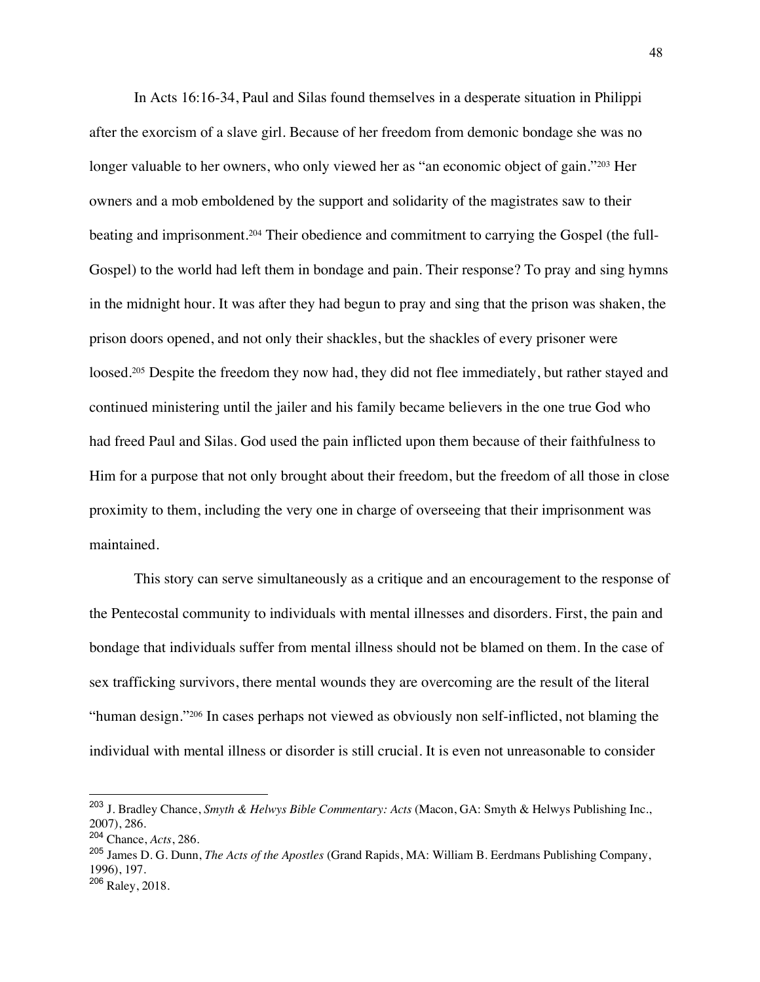In Acts 16:16-34, Paul and Silas found themselves in a desperate situation in Philippi after the exorcism of a slave girl. Because of her freedom from demonic bondage she was no longer valuable to her owners, who only viewed her as "an economic object of gain."203 Her owners and a mob emboldened by the support and solidarity of the magistrates saw to their beating and imprisonment.<sup>204</sup> Their obedience and commitment to carrying the Gospel (the full-Gospel) to the world had left them in bondage and pain. Their response? To pray and sing hymns in the midnight hour. It was after they had begun to pray and sing that the prison was shaken, the prison doors opened, and not only their shackles, but the shackles of every prisoner were loosed.<sup>205</sup> Despite the freedom they now had, they did not flee immediately, but rather stayed and continued ministering until the jailer and his family became believers in the one true God who had freed Paul and Silas. God used the pain inflicted upon them because of their faithfulness to Him for a purpose that not only brought about their freedom, but the freedom of all those in close proximity to them, including the very one in charge of overseeing that their imprisonment was maintained.

This story can serve simultaneously as a critique and an encouragement to the response of the Pentecostal community to individuals with mental illnesses and disorders. First, the pain and bondage that individuals suffer from mental illness should not be blamed on them. In the case of sex trafficking survivors, there mental wounds they are overcoming are the result of the literal "human design."206 In cases perhaps not viewed as obviously non self-inflicted, not blaming the individual with mental illness or disorder is still crucial. It is even not unreasonable to consider

<sup>205</sup> James D. G. Dunn, *The Acts of the Apostles* (Grand Rapids, MA: William B. Eerdmans Publishing Company, 1996), 197.

<sup>203</sup> J. Bradley Chance, *Smyth & Helwys Bible Commentary: Acts* (Macon, GA: Smyth & Helwys Publishing Inc., 2007), 286.

<sup>204</sup> Chance, *Acts*, 286.

<sup>206</sup> Raley, 2018.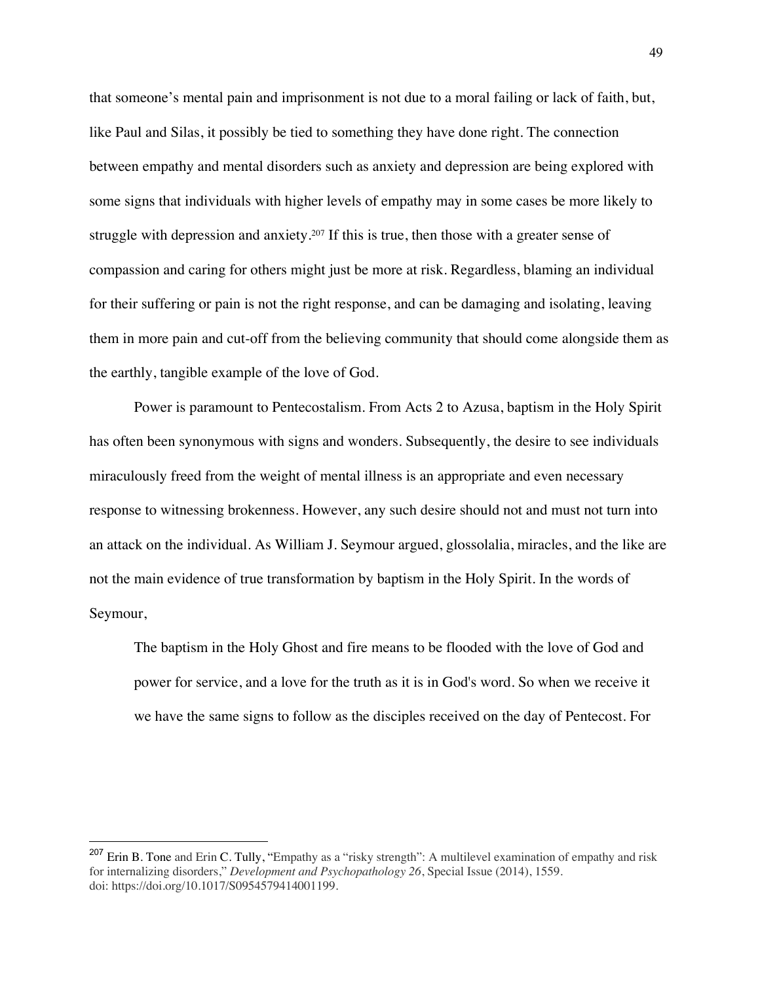that someone's mental pain and imprisonment is not due to a moral failing or lack of faith, but, like Paul and Silas, it possibly be tied to something they have done right. The connection between empathy and mental disorders such as anxiety and depression are being explored with some signs that individuals with higher levels of empathy may in some cases be more likely to struggle with depression and anxiety.<sup>207</sup> If this is true, then those with a greater sense of compassion and caring for others might just be more at risk. Regardless, blaming an individual for their suffering or pain is not the right response, and can be damaging and isolating, leaving them in more pain and cut-off from the believing community that should come alongside them as the earthly, tangible example of the love of God.

Power is paramount to Pentecostalism. From Acts 2 to Azusa, baptism in the Holy Spirit has often been synonymous with signs and wonders. Subsequently, the desire to see individuals miraculously freed from the weight of mental illness is an appropriate and even necessary response to witnessing brokenness. However, any such desire should not and must not turn into an attack on the individual. As William J. Seymour argued, glossolalia, miracles, and the like are not the main evidence of true transformation by baptism in the Holy Spirit. In the words of Seymour,

The baptism in the Holy Ghost and fire means to be flooded with the love of God and power for service, and a love for the truth as it is in God's word. So when we receive it we have the same signs to follow as the disciples received on the day of Pentecost. For

<sup>&</sup>lt;sup>207</sup> Erin B. Tone and Erin C. Tully, "Empathy as a "risky strength": A multilevel examination of empathy and risk for internalizing disorders," *Development and Psychopathology 26*, Special Issue (2014), 1559. doi: https://doi.org/10.1017/S0954579414001199.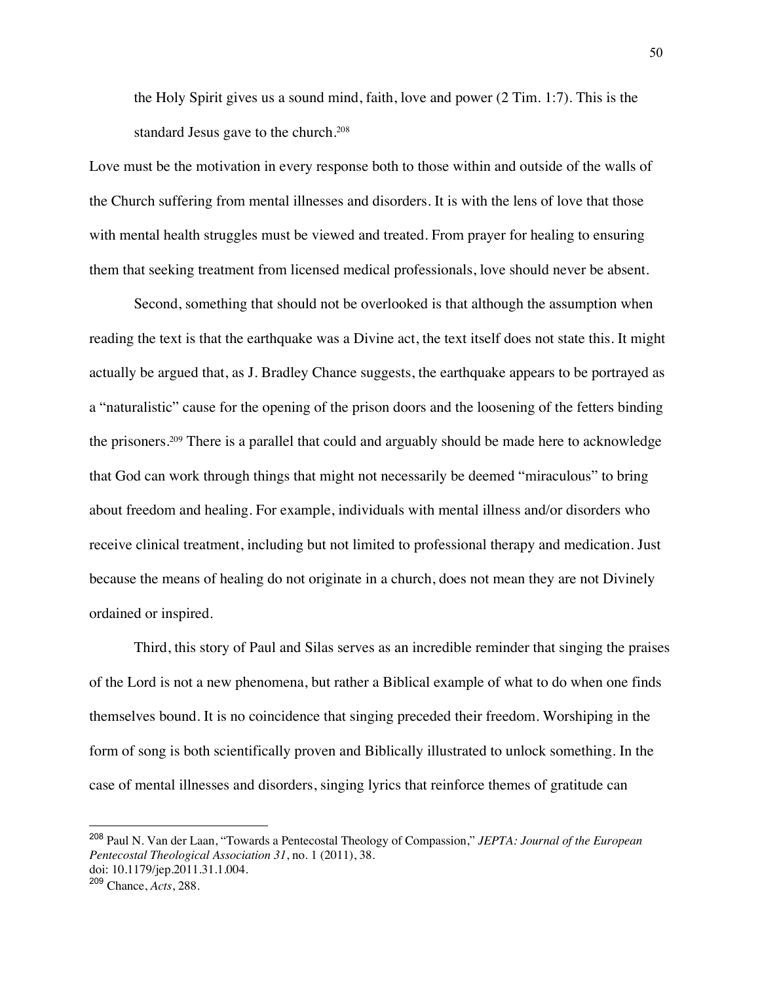the Holy Spirit gives us a sound mind, faith, love and power (2 Tim. 1:7). This is the standard Jesus gave to the church.208

Love must be the motivation in every response both to those within and outside of the walls of the Church suffering from mental illnesses and disorders. It is with the lens of love that those with mental health struggles must be viewed and treated. From prayer for healing to ensuring them that seeking treatment from licensed medical professionals, love should never be absent.

Second, something that should not be overlooked is that although the assumption when reading the text is that the earthquake was a Divine act, the text itself does not state this. It might actually be argued that, as J. Bradley Chance suggests, the earthquake appears to be portrayed as a "naturalistic" cause for the opening of the prison doors and the loosening of the fetters binding the prisoners.209 There is a parallel that could and arguably should be made here to acknowledge that God can work through things that might not necessarily be deemed "miraculous" to bring about freedom and healing. For example, individuals with mental illness and/or disorders who receive clinical treatment, including but not limited to professional therapy and medication. Just because the means of healing do not originate in a church, does not mean they are not Divinely ordained or inspired.

Third, this story of Paul and Silas serves as an incredible reminder that singing the praises of the Lord is not a new phenomena, but rather a Biblical example of what to do when one finds themselves bound. It is no coincidence that singing preceded their freedom. Worshiping in the form of song is both scientifically proven and Biblically illustrated to unlock something. In the case of mental illnesses and disorders, singing lyrics that reinforce themes of gratitude can

<sup>208</sup> Paul N. Van der Laan, "Towards a Pentecostal Theology of Compassion," *JEPTA: Journal of the European Pentecostal Theological Association 31*, no. 1 (2011), 38. doi: 10.1179/jep.2011.31.1.004.

<sup>209</sup> Chance, *Acts*, 288.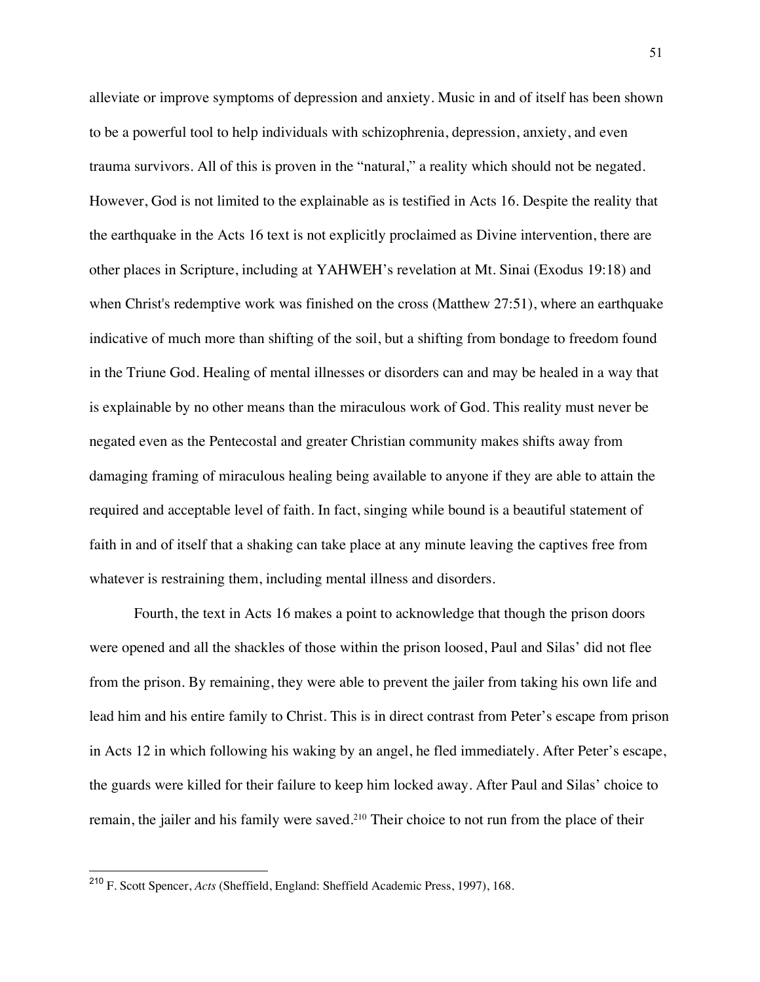alleviate or improve symptoms of depression and anxiety. Music in and of itself has been shown to be a powerful tool to help individuals with schizophrenia, depression, anxiety, and even trauma survivors. All of this is proven in the "natural," a reality which should not be negated. However, God is not limited to the explainable as is testified in Acts 16. Despite the reality that the earthquake in the Acts 16 text is not explicitly proclaimed as Divine intervention, there are other places in Scripture, including at YAHWEH's revelation at Mt. Sinai (Exodus 19:18) and when Christ's redemptive work was finished on the cross (Matthew 27:51), where an earthquake indicative of much more than shifting of the soil, but a shifting from bondage to freedom found in the Triune God. Healing of mental illnesses or disorders can and may be healed in a way that is explainable by no other means than the miraculous work of God. This reality must never be negated even as the Pentecostal and greater Christian community makes shifts away from damaging framing of miraculous healing being available to anyone if they are able to attain the required and acceptable level of faith. In fact, singing while bound is a beautiful statement of faith in and of itself that a shaking can take place at any minute leaving the captives free from whatever is restraining them, including mental illness and disorders.

Fourth, the text in Acts 16 makes a point to acknowledge that though the prison doors were opened and all the shackles of those within the prison loosed, Paul and Silas' did not flee from the prison. By remaining, they were able to prevent the jailer from taking his own life and lead him and his entire family to Christ. This is in direct contrast from Peter's escape from prison in Acts 12 in which following his waking by an angel, he fled immediately. After Peter's escape, the guards were killed for their failure to keep him locked away. After Paul and Silas' choice to remain, the jailer and his family were saved.<sup>210</sup> Their choice to not run from the place of their

<sup>210</sup> F. Scott Spencer, *Acts* (Sheffield, England: Sheffield Academic Press, 1997), 168.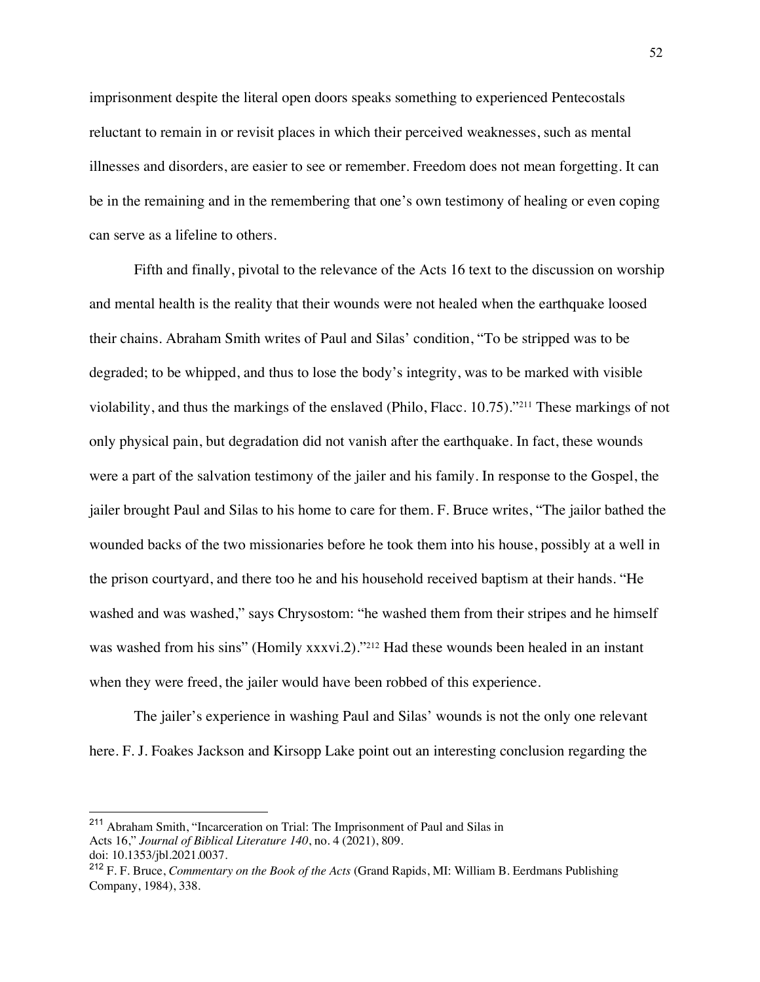imprisonment despite the literal open doors speaks something to experienced Pentecostals reluctant to remain in or revisit places in which their perceived weaknesses, such as mental illnesses and disorders, are easier to see or remember. Freedom does not mean forgetting. It can be in the remaining and in the remembering that one's own testimony of healing or even coping can serve as a lifeline to others.

Fifth and finally, pivotal to the relevance of the Acts 16 text to the discussion on worship and mental health is the reality that their wounds were not healed when the earthquake loosed their chains. Abraham Smith writes of Paul and Silas' condition, "To be stripped was to be degraded; to be whipped, and thus to lose the body's integrity, was to be marked with visible violability, and thus the markings of the enslaved (Philo, Flacc. 10.75)."211 These markings of not only physical pain, but degradation did not vanish after the earthquake. In fact, these wounds were a part of the salvation testimony of the jailer and his family. In response to the Gospel, the jailer brought Paul and Silas to his home to care for them. F. Bruce writes, "The jailor bathed the wounded backs of the two missionaries before he took them into his house, possibly at a well in the prison courtyard, and there too he and his household received baptism at their hands. "He washed and was washed," says Chrysostom: "he washed them from their stripes and he himself was washed from his sins" (Homily xxxvi.2)."<sup>212</sup> Had these wounds been healed in an instant when they were freed, the jailer would have been robbed of this experience.

The jailer's experience in washing Paul and Silas' wounds is not the only one relevant here. F. J. Foakes Jackson and Kirsopp Lake point out an interesting conclusion regarding the

<sup>211</sup> Abraham Smith, "Incarceration on Trial: The Imprisonment of Paul and Silas in Acts 16," *Journal of Biblical Literature 140*, no. 4 (2021), 809. doi: 10.1353/jbl.2021.0037.

<sup>212</sup> F. F. Bruce, *Commentary on the Book of the Acts* (Grand Rapids, MI: William B. Eerdmans Publishing Company, 1984), 338.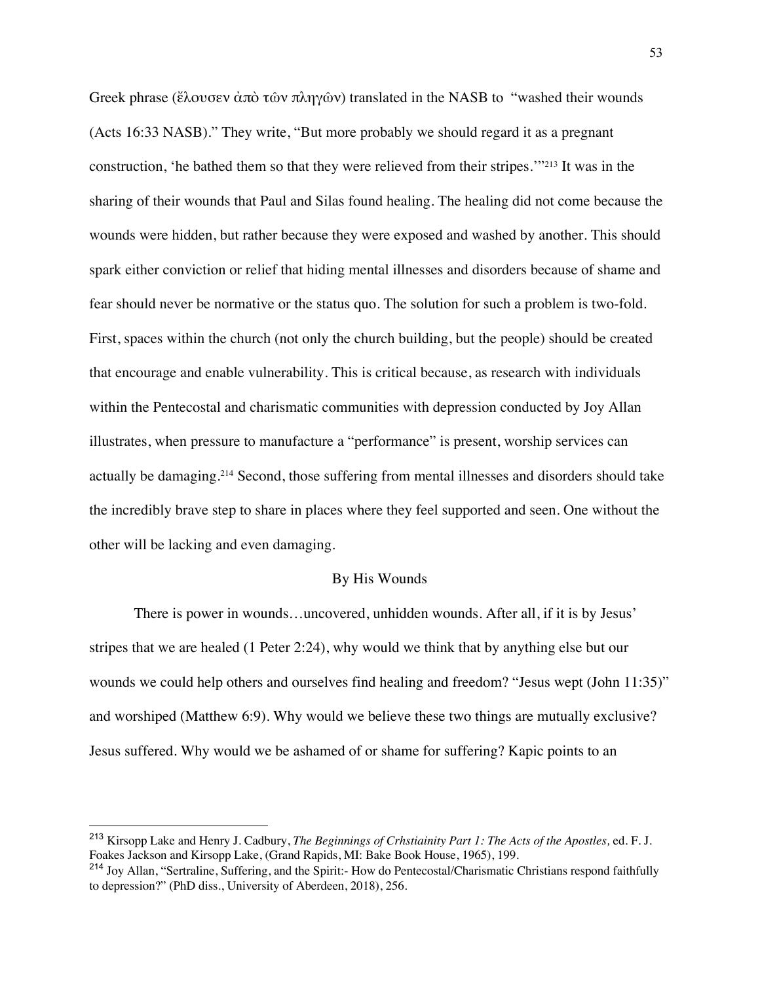Greek phrase (ἔλουσεν ἀπὸ τῶν πληγῶν) translated in the NASB to "washed their wounds (Acts 16:33 NASB)." They write, "But more probably we should regard it as a pregnant construction, 'he bathed them so that they were relieved from their stripes.'"213 It was in the sharing of their wounds that Paul and Silas found healing. The healing did not come because the wounds were hidden, but rather because they were exposed and washed by another. This should spark either conviction or relief that hiding mental illnesses and disorders because of shame and fear should never be normative or the status quo. The solution for such a problem is two-fold. First, spaces within the church (not only the church building, but the people) should be created that encourage and enable vulnerability. This is critical because, as research with individuals within the Pentecostal and charismatic communities with depression conducted by Joy Allan illustrates, when pressure to manufacture a "performance" is present, worship services can actually be damaging.214 Second, those suffering from mental illnesses and disorders should take the incredibly brave step to share in places where they feel supported and seen. One without the other will be lacking and even damaging.

#### By His Wounds

There is power in wounds…uncovered, unhidden wounds. After all, if it is by Jesus' stripes that we are healed (1 Peter 2:24), why would we think that by anything else but our wounds we could help others and ourselves find healing and freedom? "Jesus wept (John 11:35)" and worshiped (Matthew 6:9). Why would we believe these two things are mutually exclusive? Jesus suffered. Why would we be ashamed of or shame for suffering? Kapic points to an

<sup>213</sup> Kirsopp Lake and Henry J. Cadbury, *The Beginnings of Crhstiainity Part 1: The Acts of the Apostles,* ed. F. J. Foakes Jackson and Kirsopp Lake, (Grand Rapids, MI: Bake Book House, 1965), 199.

<sup>214</sup> Joy Allan, "Sertraline, Suffering, and the Spirit:- How do Pentecostal/Charismatic Christians respond faithfully to depression?" (PhD diss., University of Aberdeen, 2018), 256.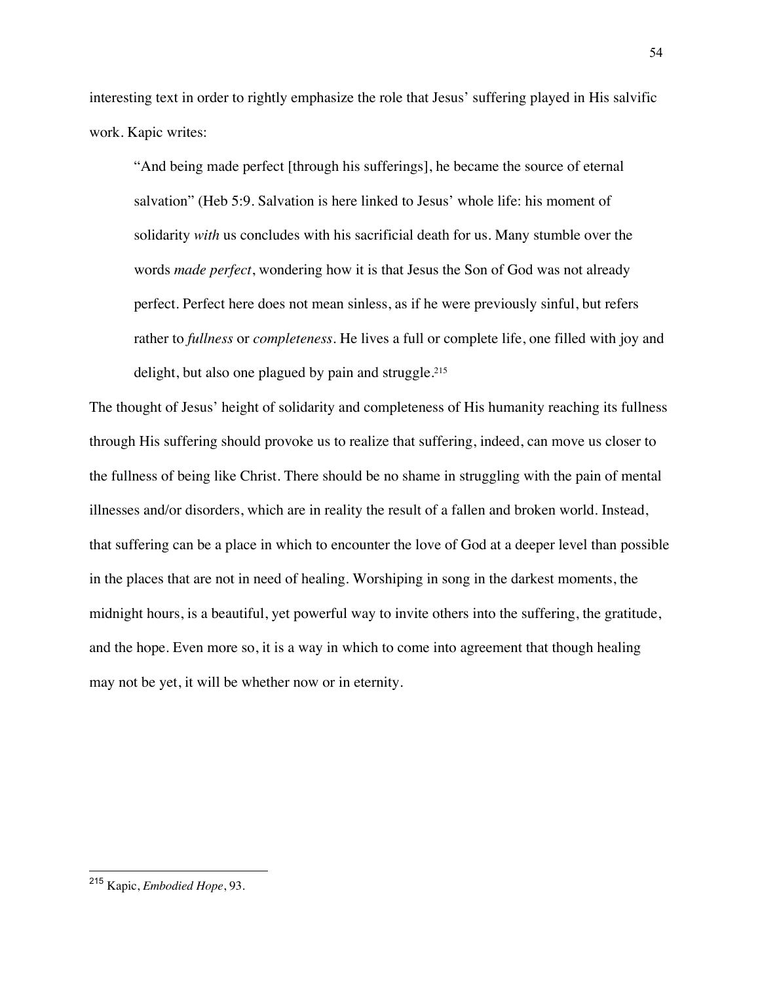interesting text in order to rightly emphasize the role that Jesus' suffering played in His salvific work. Kapic writes:

"And being made perfect [through his sufferings], he became the source of eternal salvation" (Heb 5:9. Salvation is here linked to Jesus' whole life: his moment of solidarity *with* us concludes with his sacrificial death for us. Many stumble over the words *made perfect*, wondering how it is that Jesus the Son of God was not already perfect. Perfect here does not mean sinless, as if he were previously sinful, but refers rather to *fullness* or *completeness*. He lives a full or complete life, one filled with joy and delight, but also one plagued by pain and struggle.<sup>215</sup>

The thought of Jesus' height of solidarity and completeness of His humanity reaching its fullness through His suffering should provoke us to realize that suffering, indeed, can move us closer to the fullness of being like Christ. There should be no shame in struggling with the pain of mental illnesses and/or disorders, which are in reality the result of a fallen and broken world. Instead, that suffering can be a place in which to encounter the love of God at a deeper level than possible in the places that are not in need of healing. Worshiping in song in the darkest moments, the midnight hours, is a beautiful, yet powerful way to invite others into the suffering, the gratitude, and the hope. Even more so, it is a way in which to come into agreement that though healing may not be yet, it will be whether now or in eternity.

<sup>215</sup> Kapic, *Embodied Hope*, 93.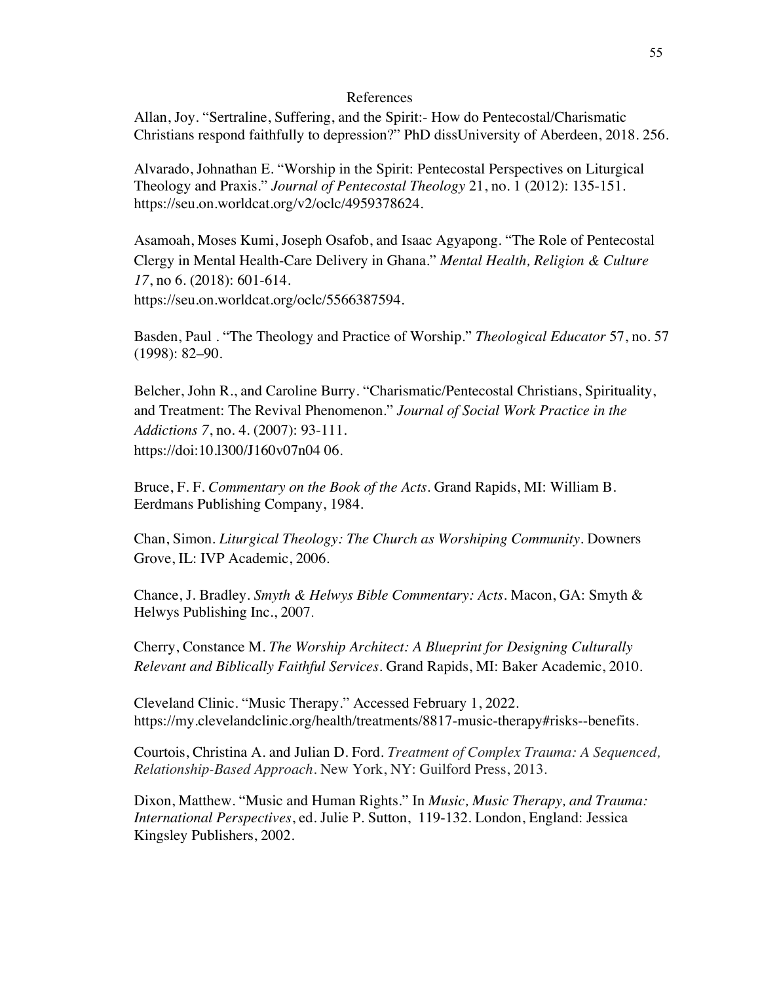## References

Allan, Joy. "Sertraline, Suffering, and the Spirit:- How do Pentecostal/Charismatic Christians respond faithfully to depression?" PhD dissUniversity of Aberdeen, 2018. 256.

Alvarado, Johnathan E. "Worship in the Spirit: Pentecostal Perspectives on Liturgical Theology and Praxis." *Journal of Pentecostal Theology* 21, no. 1 (2012): 135-151. https://seu.on.worldcat.org/v2/oclc/4959378624.

Asamoah, Moses Kumi, Joseph Osafob, and Isaac Agyapong. "The Role of Pentecostal Clergy in Mental Health-Care Delivery in Ghana." *Mental Health, Religion & Culture 17*, no 6. (2018): 601-614.

https://seu.on.worldcat.org/oclc/5566387594.

Basden, Paul . "The Theology and Practice of Worship." *Theological Educator* 57, no. 57 (1998): 82–90.

Belcher, John R., and Caroline Burry. "Charismatic/Pentecostal Christians, Spirituality, and Treatment: The Revival Phenomenon." *Journal of Social Work Practice in the Addictions 7*, no. 4. (2007): 93-111. https://doi:10.l300/J160v07n04 06.

Bruce, F. F. *Commentary on the Book of the Acts*. Grand Rapids, MI: William B. Eerdmans Publishing Company, 1984.

Chan, Simon. *Liturgical Theology: The Church as Worshiping Community*. Downers Grove, IL: IVP Academic, 2006.

Chance, J. Bradley. *Smyth & Helwys Bible Commentary: Acts*. Macon, GA: Smyth & Helwys Publishing Inc., 2007.

Cherry, Constance M. *The Worship Architect: A Blueprint for Designing Culturally Relevant and Biblically Faithful Services*. Grand Rapids, MI: Baker Academic, 2010.

Cleveland Clinic. "Music Therapy." Accessed February 1, 2022. https://my.clevelandclinic.org/health/treatments/8817-music-therapy#risks--benefits.

Courtois, Christina A. and Julian D. Ford. *Treatment of Complex Trauma: A Sequenced, Relationship-Based Approach*. New York, NY: Guilford Press, 2013.

Dixon, Matthew. "Music and Human Rights." In *Music, Music Therapy, and Trauma: International Perspectives*, ed. Julie P. Sutton, 119-132. London, England: Jessica Kingsley Publishers, 2002.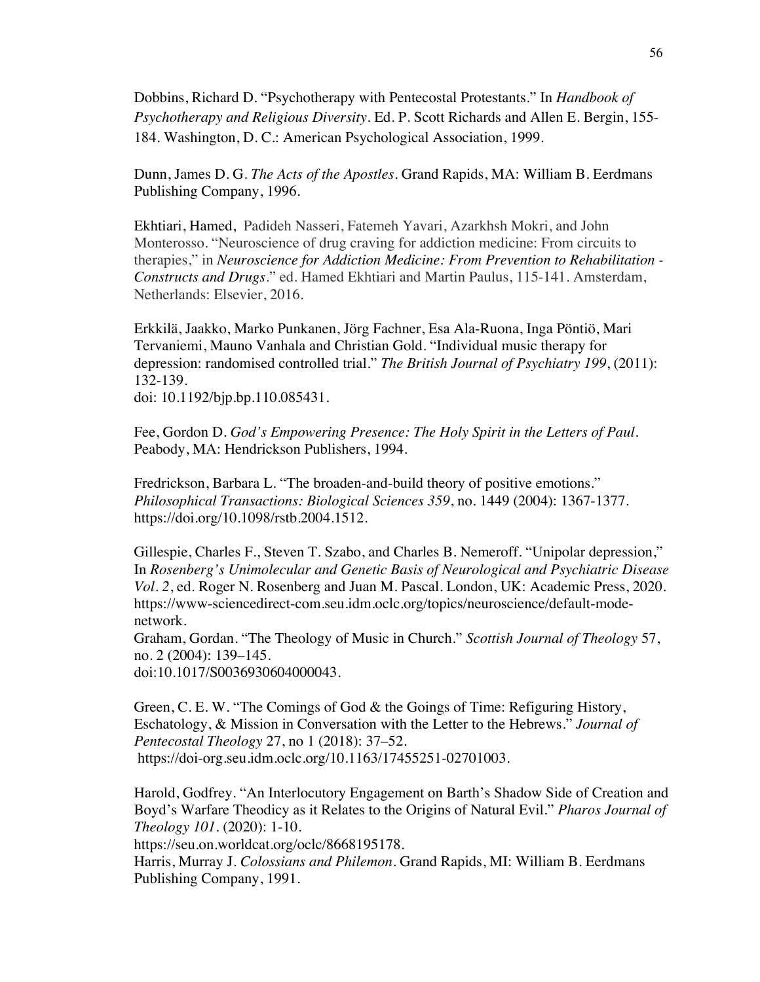Dobbins, Richard D. "Psychotherapy with Pentecostal Protestants." In *Handbook of Psychotherapy and Religious Diversity*. Ed. P. Scott Richards and Allen E. Bergin, 155- 184. Washington, D. C.: American Psychological Association, 1999.

Dunn, James D. G. *The Acts of the Apostles*. Grand Rapids, MA: William B. Eerdmans Publishing Company, 1996.

Ekhtiari, Hamed, Padideh Nasseri, Fatemeh Yavari, Azarkhsh Mokri, and John Monterosso. "Neuroscience of drug craving for addiction medicine: From circuits to therapies," in *Neuroscience for Addiction Medicine: From Prevention to Rehabilitation - Constructs and Drugs*." ed. Hamed Ekhtiari and Martin Paulus, 115-141. Amsterdam, Netherlands: Elsevier, 2016.

Erkkilä, Jaakko, Marko Punkanen, Jörg Fachner, Esa Ala-Ruona, Inga Pöntiö, Mari Tervaniemi, Mauno Vanhala and Christian Gold. "Individual music therapy for depression: randomised controlled trial." *The British Journal of Psychiatry 199*, (2011): 132-139.

doi: 10.1192/bjp.bp.110.085431.

Fee, Gordon D. *God's Empowering Presence: The Holy Spirit in the Letters of Paul*. Peabody, MA: Hendrickson Publishers, 1994.

Fredrickson, Barbara L. "The broaden-and-build theory of positive emotions." *Philosophical Transactions: Biological Sciences 359*, no. 1449 (2004): 1367-1377. https://doi.org/10.1098/rstb.2004.1512.

Gillespie, Charles F., Steven T. Szabo, and Charles B. Nemeroff. "Unipolar depression," In *Rosenberg's Unimolecular and Genetic Basis of Neurological and Psychiatric Disease Vol. 2*, ed. Roger N. Rosenberg and Juan M. Pascal. London, UK: Academic Press, 2020. https://www-sciencedirect-com.seu.idm.oclc.org/topics/neuroscience/default-modenetwork.

Graham, Gordan. "The Theology of Music in Church." *Scottish Journal of Theology* 57, no. 2 (2004): 139–145.

doi:10.1017/S0036930604000043.

Green, C. E. W. "The Comings of God & the Goings of Time: Refiguring History, Eschatology, & Mission in Conversation with the Letter to the Hebrews." *Journal of Pentecostal Theology* 27, no 1 (2018): 37–52. https://doi-org.seu.idm.oclc.org/10.1163/17455251-02701003.

Harold, Godfrey. "An Interlocutory Engagement on Barth's Shadow Side of Creation and Boyd's Warfare Theodicy as it Relates to the Origins of Natural Evil." *Pharos Journal of Theology 101*. (2020): 1-10.

https://seu.on.worldcat.org/oclc/8668195178.

Harris, Murray J. *Colossians and Philemon*. Grand Rapids, MI: William B. Eerdmans Publishing Company, 1991.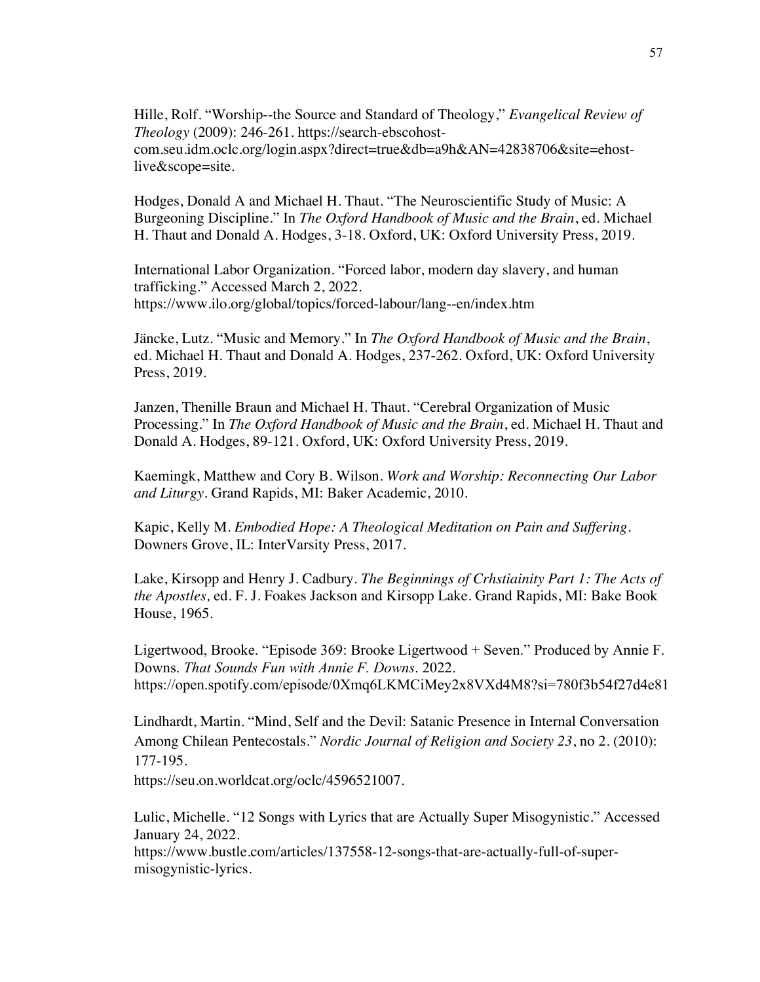Hille, Rolf. "Worship--the Source and Standard of Theology," *Evangelical Review of Theology* (2009): 246-261. https://search-ebscohostcom.seu.idm.oclc.org/login.aspx?direct=true&db=a9h&AN=42838706&site=ehostlive&scope=site.

Hodges, Donald A and Michael H. Thaut. "The Neuroscientific Study of Music: A Burgeoning Discipline." In *The Oxford Handbook of Music and the Brain*, ed. Michael H. Thaut and Donald A. Hodges, 3-18. Oxford, UK: Oxford University Press, 2019.

International Labor Organization. "Forced labor, modern day slavery, and human trafficking." Accessed March 2, 2022. https://www.ilo.org/global/topics/forced-labour/lang--en/index.htm

Jäncke, Lutz. "Music and Memory." In *The Oxford Handbook of Music and the Brain*, ed. Michael H. Thaut and Donald A. Hodges, 237-262. Oxford, UK: Oxford University Press, 2019.

Janzen, Thenille Braun and Michael H. Thaut. "Cerebral Organization of Music Processing." In *The Oxford Handbook of Music and the Brain*, ed. Michael H. Thaut and Donald A. Hodges, 89-121. Oxford, UK: Oxford University Press, 2019.

Kaemingk, Matthew and Cory B. Wilson. *Work and Worship: Reconnecting Our Labor and Liturgy*. Grand Rapids, MI: Baker Academic, 2010.

Kapic, Kelly M. *Embodied Hope: A Theological Meditation on Pain and Suffering*. Downers Grove, IL: InterVarsity Press, 2017.

Lake, Kirsopp and Henry J. Cadbury. *The Beginnings of Crhstiainity Part 1: The Acts of the Apostles,* ed. F. J. Foakes Jackson and Kirsopp Lake. Grand Rapids, MI: Bake Book House, 1965.

Ligertwood, Brooke. "Episode 369: Brooke Ligertwood + Seven." Produced by Annie F. Downs. *That Sounds Fun with Annie F. Downs*. 2022. https://open.spotify.com/episode/0Xmq6LKMCiMey2x8VXd4M8?si=780f3b54f27d4e81

Lindhardt, Martin. "Mind, Self and the Devil: Satanic Presence in Internal Conversation Among Chilean Pentecostals." *Nordic Journal of Religion and Society 23*, no 2. (2010): 177-195.

https://seu.on.worldcat.org/oclc/4596521007.

Lulic, Michelle. "12 Songs with Lyrics that are Actually Super Misogynistic." Accessed January 24, 2022. https://www.bustle.com/articles/137558-12-songs-that-are-actually-full-of-supermisogynistic-lyrics.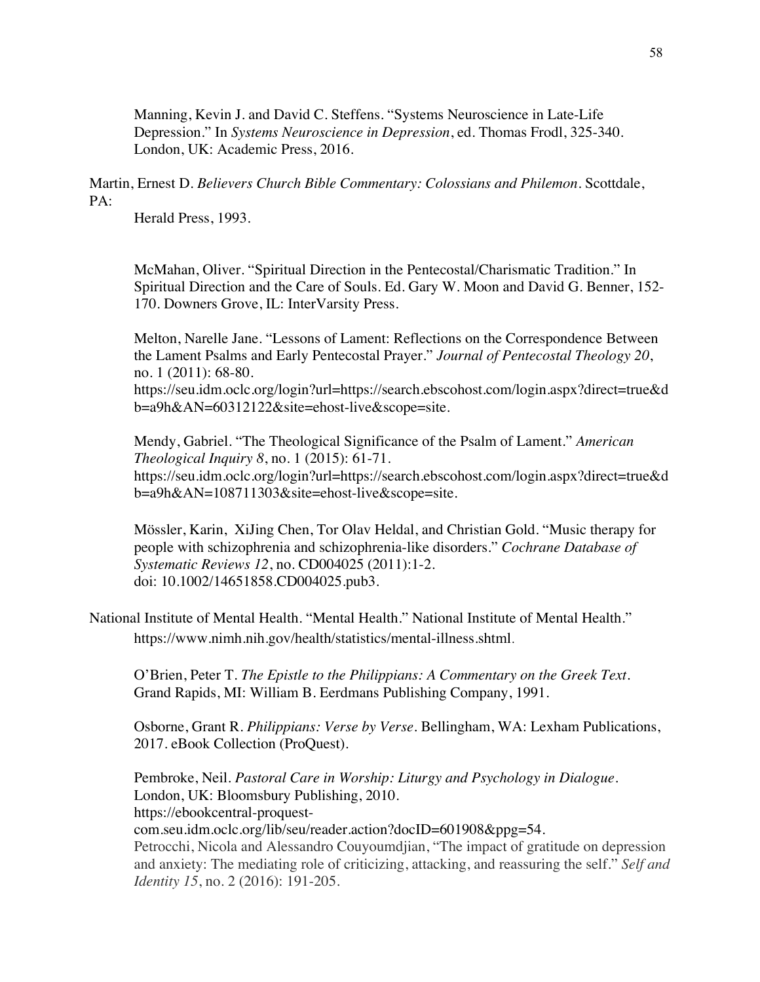Manning, Kevin J. and David C. Steffens. "Systems Neuroscience in Late-Life Depression." In *Systems Neuroscience in Depression*, ed. Thomas Frodl, 325-340. London, UK: Academic Press, 2016.

Martin, Ernest D. *Believers Church Bible Commentary: Colossians and Philemon*. Scottdale, PA:

Herald Press, 1993.

McMahan, Oliver. "Spiritual Direction in the Pentecostal/Charismatic Tradition." In Spiritual Direction and the Care of Souls. Ed. Gary W. Moon and David G. Benner, 152- 170. Downers Grove, IL: InterVarsity Press.

Melton, Narelle Jane. "Lessons of Lament: Reflections on the Correspondence Between the Lament Psalms and Early Pentecostal Prayer." *Journal of Pentecostal Theology 20*, no. 1 (2011): 68-80.

https://seu.idm.oclc.org/login?url=https://search.ebscohost.com/login.aspx?direct=true&d b=a9h&AN=60312122&site=ehost-live&scope=site.

Mendy, Gabriel. "The Theological Significance of the Psalm of Lament." *American Theological Inquiry 8*, no. 1 (2015): 61-71. https://seu.idm.oclc.org/login?url=https://search.ebscohost.com/login.aspx?direct=true&d b=a9h&AN=108711303&site=ehost-live&scope=site.

Mössler, Karin, XiJing Chen, Tor Olav Heldal, and Christian Gold. "Music therapy for people with schizophrenia and schizophrenia-like disorders." *Cochrane Database of Systematic Reviews 12*, no. CD004025 (2011):1-2. doi: 10.1002/14651858.CD004025.pub3.

National Institute of Mental Health. "Mental Health." National Institute of Mental Health." https://www.nimh.nih.gov/health/statistics/mental-illness.shtml.

O'Brien, Peter T. *The Epistle to the Philippians: A Commentary on the Greek Text*. Grand Rapids, MI: William B. Eerdmans Publishing Company, 1991.

Osborne, Grant R. *Philippians: Verse by Verse*. Bellingham, WA: Lexham Publications, 2017. eBook Collection (ProQuest).

Pembroke, Neil. *Pastoral Care in Worship: Liturgy and Psychology in Dialogue*. London, UK: Bloomsbury Publishing, 2010. https://ebookcentral-proquestcom.seu.idm.oclc.org/lib/seu/reader.action?docID=601908&ppg=54. Petrocchi, Nicola and Alessandro Couyoumdjian, "The impact of gratitude on depression and anxiety: The mediating role of criticizing, attacking, and reassuring the self." *Self and* 

*Identity 15*, no. 2 (2016): 191-205.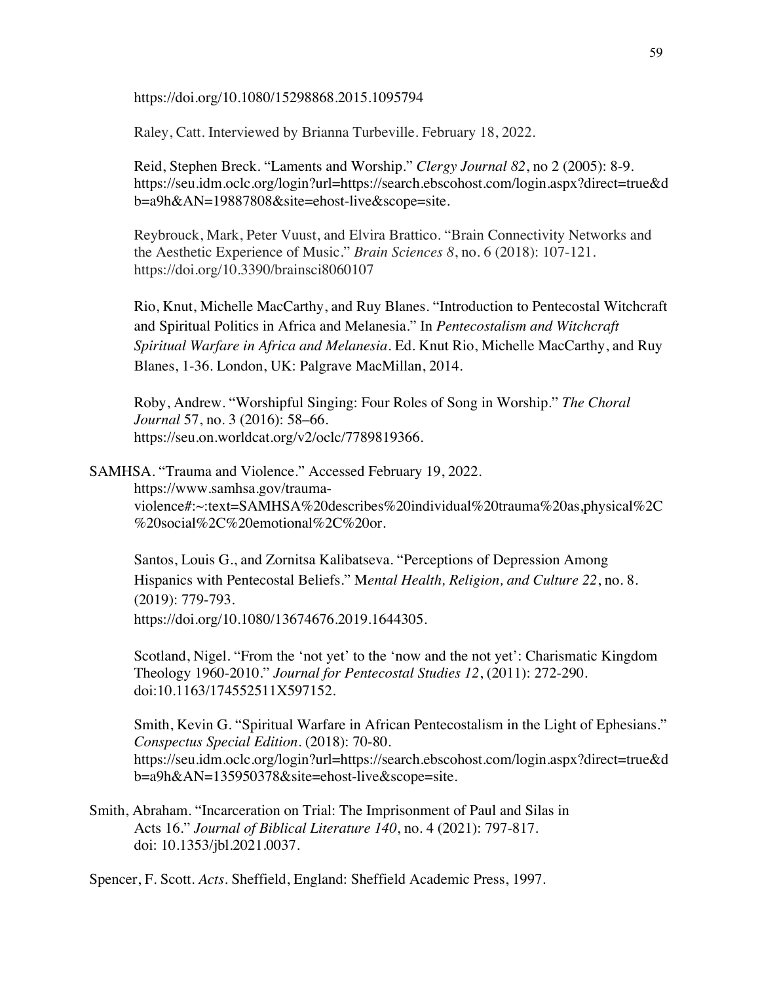https://doi.org/10.1080/15298868.2015.1095794

Raley, Catt. Interviewed by Brianna Turbeville. February 18, 2022.

Reid, Stephen Breck. "Laments and Worship." *Clergy Journal 82*, no 2 (2005): 8-9. https://seu.idm.oclc.org/login?url=https://search.ebscohost.com/login.aspx?direct=true&d b=a9h&AN=19887808&site=ehost-live&scope=site.

Reybrouck, Mark, Peter Vuust, and Elvira Brattico. "Brain Connectivity Networks and the Aesthetic Experience of Music." *Brain Sciences 8*, no. 6 (2018): 107-121. https://doi.org/10.3390/brainsci8060107

Rio, Knut, Michelle MacCarthy, and Ruy Blanes. "Introduction to Pentecostal Witchcraft and Spiritual Politics in Africa and Melanesia." In *Pentecostalism and Witchcraft Spiritual Warfare in Africa and Melanesia*. Ed. Knut Rio, Michelle MacCarthy, and Ruy Blanes, 1-36. London, UK: Palgrave MacMillan, 2014.

Roby, Andrew. "Worshipful Singing: Four Roles of Song in Worship." *The Choral Journal* 57, no. 3 (2016): 58–66. https://seu.on.worldcat.org/v2/oclc/7789819366.

SAMHSA. "Trauma and Violence." Accessed February 19, 2022. https://www.samhsa.gov/traumaviolence#:~:text=SAMHSA%20describes%20individual%20trauma%20as,physical%2C %20social%2C%20emotional%2C%20or.

Santos, Louis G., and Zornitsa Kalibatseva. "Perceptions of Depression Among Hispanics with Pentecostal Beliefs." M*ental Health, Religion, and Culture 22*, no. 8. (2019): 779-793. https://doi.org/10.1080/13674676.2019.1644305.

Scotland, Nigel. "From the 'not yet' to the 'now and the not yet': Charismatic Kingdom Theology 1960-2010." *Journal for Pentecostal Studies 12*, (2011): 272-290. doi:10.1163/174552511X597152.

Smith, Kevin G. "Spiritual Warfare in African Pentecostalism in the Light of Ephesians." *Conspectus Special Edition*. (2018): 70-80. https://seu.idm.oclc.org/login?url=https://search.ebscohost.com/login.aspx?direct=true&d b=a9h&AN=135950378&site=ehost-live&scope=site.

Smith, Abraham. "Incarceration on Trial: The Imprisonment of Paul and Silas in Acts 16." *Journal of Biblical Literature 140*, no. 4 (2021): 797-817. doi: 10.1353/jbl.2021.0037.

Spencer, F. Scott. *Acts*. Sheffield, England: Sheffield Academic Press, 1997.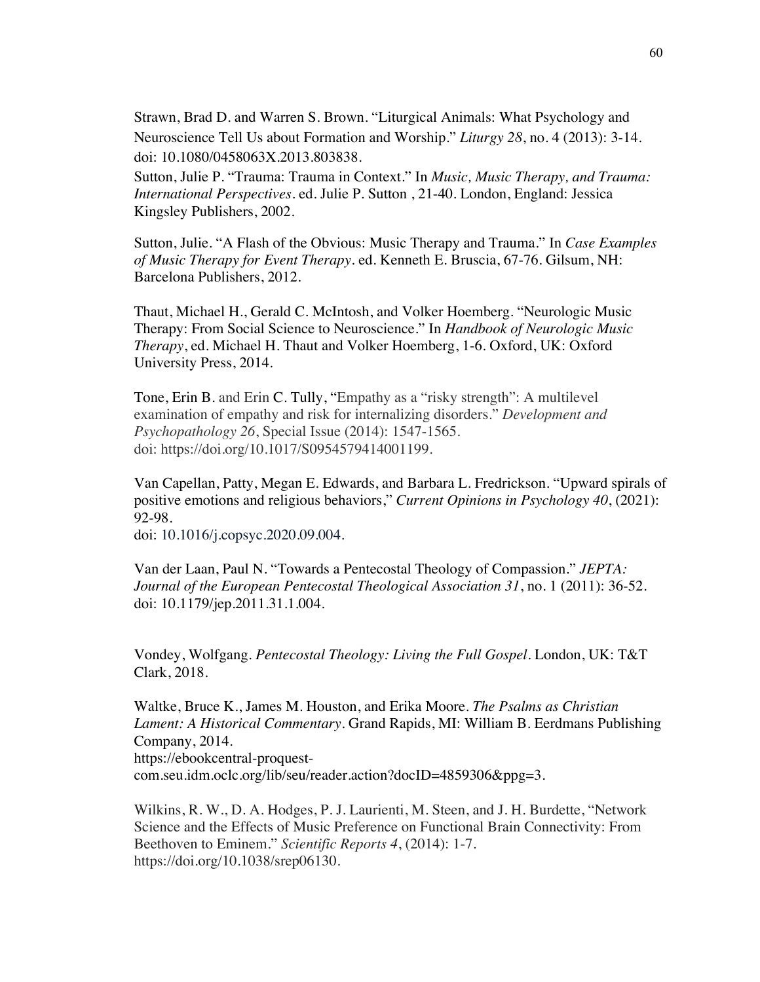Strawn, Brad D. and Warren S. Brown. "Liturgical Animals: What Psychology and Neuroscience Tell Us about Formation and Worship." *Liturgy 28*, no. 4 (2013): 3-14. doi: 10.1080/0458063X.2013.803838.

Sutton, Julie P. "Trauma: Trauma in Context." In *Music, Music Therapy, and Trauma: International Perspectives*. ed. Julie P. Sutton , 21-40. London, England: Jessica Kingsley Publishers, 2002.

Sutton, Julie. "A Flash of the Obvious: Music Therapy and Trauma." In *Case Examples of Music Therapy for Event Therapy*. ed. Kenneth E. Bruscia, 67-76. Gilsum, NH: Barcelona Publishers, 2012.

Thaut, Michael H., Gerald C. McIntosh, and Volker Hoemberg. "Neurologic Music Therapy: From Social Science to Neuroscience." In *Handbook of Neurologic Music Therapy*, ed. Michael H. Thaut and Volker Hoemberg, 1-6. Oxford, UK: Oxford University Press, 2014.

Tone, Erin B. and Erin C. Tully, "Empathy as a "risky strength": A multilevel examination of empathy and risk for internalizing disorders." *Development and Psychopathology 26*, Special Issue (2014): 1547-1565. doi: https://doi.org/10.1017/S0954579414001199.

Van Capellan, Patty, Megan E. Edwards, and Barbara L. Fredrickson. "Upward spirals of positive emotions and religious behaviors," *Current Opinions in Psychology 40*, (2021): 92-98.

doi: 10.1016/j.copsyc.2020.09.004.

Van der Laan, Paul N. "Towards a Pentecostal Theology of Compassion." *JEPTA: Journal of the European Pentecostal Theological Association 31*, no. 1 (2011): 36-52. doi: 10.1179/jep.2011.31.1.004.

Vondey, Wolfgang. *Pentecostal Theology: Living the Full Gospel*. London, UK: T&T Clark, 2018.

Waltke, Bruce K., James M. Houston, and Erika Moore. *The Psalms as Christian Lament: A Historical Commentary*. Grand Rapids, MI: William B. Eerdmans Publishing Company, 2014. https://ebookcentral-proquestcom.seu.idm.oclc.org/lib/seu/reader.action?docID=4859306&ppg=3.

Wilkins, R. W., D. A. Hodges, P. J. Laurienti, M. Steen, and J. H. Burdette, "Network Science and the Effects of Music Preference on Functional Brain Connectivity: From Beethoven to Eminem." *Scientific Reports 4*, (2014): 1-7. https://doi.org/10.1038/srep06130.